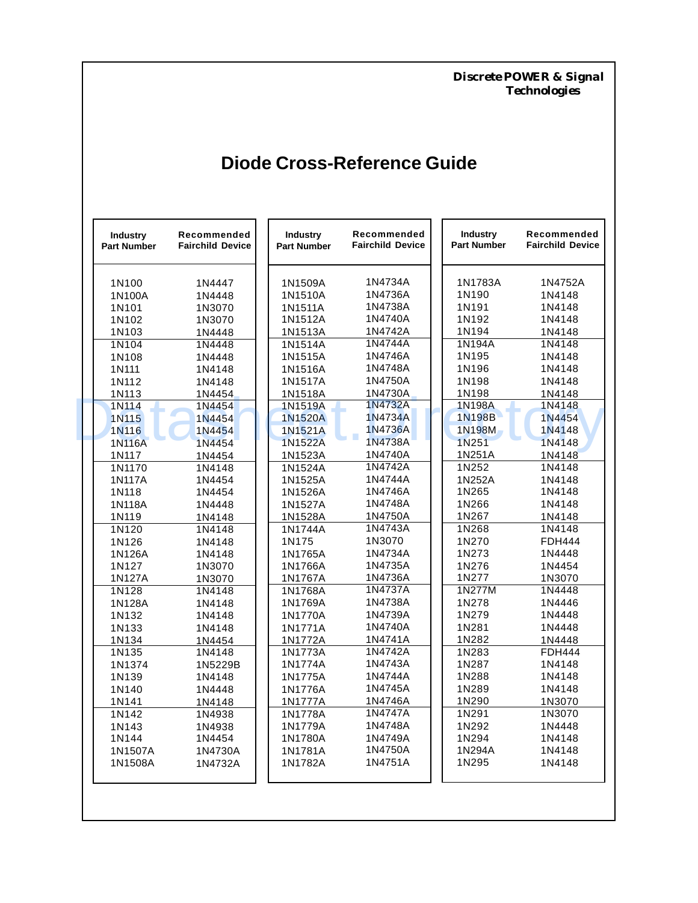*Discrete POWER & Signal Technologies*

# **Diode Cross-Reference Guide**

| <b>Industry</b><br><b>Part Number</b> | Recommended<br><b>Fairchild Device</b> | <b>Industry</b><br><b>Part Number</b> | Recommended<br><b>Fairchild Device</b> | <b>Industry</b><br><b>Part Number</b> | Recommended<br><b>Fairchild Device</b> |
|---------------------------------------|----------------------------------------|---------------------------------------|----------------------------------------|---------------------------------------|----------------------------------------|
| 1N100                                 | 1N4447                                 | 1N1509A                               | 1N4734A                                | 1N1783A                               | 1N4752A                                |
| 1N100A                                | 1N4448                                 | 1N1510A                               | 1N4736A                                | 1N190                                 | 1N4148                                 |
| 1N101                                 | 1N3070                                 | 1N1511A                               | 1N4738A                                | 1N191                                 | 1N4148                                 |
| 1N102                                 | 1N3070                                 | 1N1512A                               | 1N4740A                                | 1N192                                 | 1N4148                                 |
| 1N103                                 | 1N4448                                 | 1N1513A                               | 1N4742A                                | 1N194                                 | 1N4148                                 |
| 1N104                                 | 1N4448                                 | 1N1514A                               | 1N4744A                                | 1N194A                                | 1N4148                                 |
| 1N108                                 | 1N4448                                 | 1N1515A                               | 1N4746A                                | 1N195                                 | 1N4148                                 |
| 1N111                                 | 1N4148                                 | 1N1516A                               | 1N4748A                                | 1N196                                 | 1N4148                                 |
| 1N112                                 | 1N4148                                 | 1N1517A                               | 1N4750A                                | 1N198                                 | 1N4148                                 |
| 1N113                                 | 1N4454                                 | 1N1518A                               | 1N4730A                                | 1N198                                 | 1N4148                                 |
| 1N114                                 | 1N4454                                 | 1N1519A                               | 1N4732A                                | 1N198A                                | 1N4148                                 |
| 1N115                                 | 1N4454                                 | <b>1N1520A</b>                        | 1N4734A                                | 1N198B                                | 1N4454                                 |
| 1N116                                 | 1N4454                                 | 1N1521A                               | 1N4736A                                | 1N198M                                | 1N4148                                 |
| 1N116A                                | 1N4454                                 | 1N1522A                               | 1N4738A                                | 1N251                                 | 1N4148                                 |
| 1N117                                 | 1N4454                                 | 1N1523A                               | 1N4740A                                | 1N251A                                | 1N4148                                 |
| 1N1170                                | 1N4148                                 | 1N1524A                               | 1N4742A                                | 1N252                                 | 1N4148                                 |
| 1N117A                                | 1N4454                                 | 1N1525A                               | 1N4744A                                | 1N252A                                | 1N4148                                 |
| 1N118                                 | 1N4454                                 | 1N1526A                               | 1N4746A                                | 1N265                                 | 1N4148                                 |
| 1N118A                                | 1N4448                                 | 1N1527A                               | 1N4748A                                | 1N266                                 | 1N4148                                 |
| 1N119                                 | 1N4148                                 | 1N1528A                               | 1N4750A                                | 1N267                                 | 1N4148                                 |
| 1N120                                 | 1N4148                                 | 1N1744A                               | 1N4743A                                | 1N268                                 | 1N4148                                 |
| 1N126                                 | 1N4148                                 | 1N175                                 | 1N3070                                 | 1N270                                 | <b>FDH444</b>                          |
| 1N126A                                | 1N4148                                 | 1N1765A                               | 1N4734A                                | 1N273                                 | 1N4448                                 |
| 1N127                                 | 1N3070                                 | 1N1766A                               | 1N4735A                                | 1N276                                 | 1N4454                                 |
| 1N127A                                | 1N3070                                 | 1N1767A                               | 1N4736A                                | 1N277                                 | 1N3070                                 |
| 1N128                                 | 1N4148                                 | 1N1768A                               | 1N4737A                                | 1N277M                                | 1N4448                                 |
| 1N128A                                | 1N4148                                 | 1N1769A                               | 1N4738A                                | 1N278                                 | 1N4446                                 |
| 1N132                                 | 1N4148                                 | 1N1770A                               | 1N4739A                                | 1N279                                 | 1N4448                                 |
| 1N133                                 | 1N4148                                 | 1N1771A                               | 1N4740A                                | 1N281                                 | 1N4448                                 |
| 1N134                                 | 1N4454                                 | 1N1772A                               | 1N4741A                                | 1N282                                 | 1N4448                                 |
| 1N135                                 | 1N4148                                 | 1N1773A                               | 1N4742A                                | 1N283                                 | <b>FDH444</b>                          |
| 1N1374                                | 1N5229B                                | 1N1774A                               | 1N4743A                                | 1N287                                 | 1N4148                                 |
| 1N139                                 | 1N4148                                 | 1N1775A                               | 1N4744A                                | 1N288                                 | 1N4148                                 |
| 1N140                                 | 1N4448                                 | 1N1776A                               | 1N4745A                                | 1N289                                 | 1N4148                                 |
| 1N141                                 | 1N4148                                 | 1N1777A                               | 1N4746A                                | 1N290                                 | 1N3070                                 |
| 1N142                                 | 1N4938                                 | 1N1778A                               | 1N4747A                                | 1N291                                 | 1N3070                                 |
| 1N143                                 | 1N4938                                 | 1N1779A                               | 1N4748A                                | 1N292                                 | 1N4448                                 |
| 1N144                                 | 1N4454                                 | 1N1780A                               | 1N4749A                                | 1N294                                 | 1N4148                                 |
| 1N1507A                               | 1N4730A                                | 1N1781A                               | 1N4750A                                | 1N294A                                | 1N4148                                 |
| 1N1508A                               | 1N4732A                                | 1N1782A                               | 1N4751A                                | 1N295                                 | 1N4148                                 |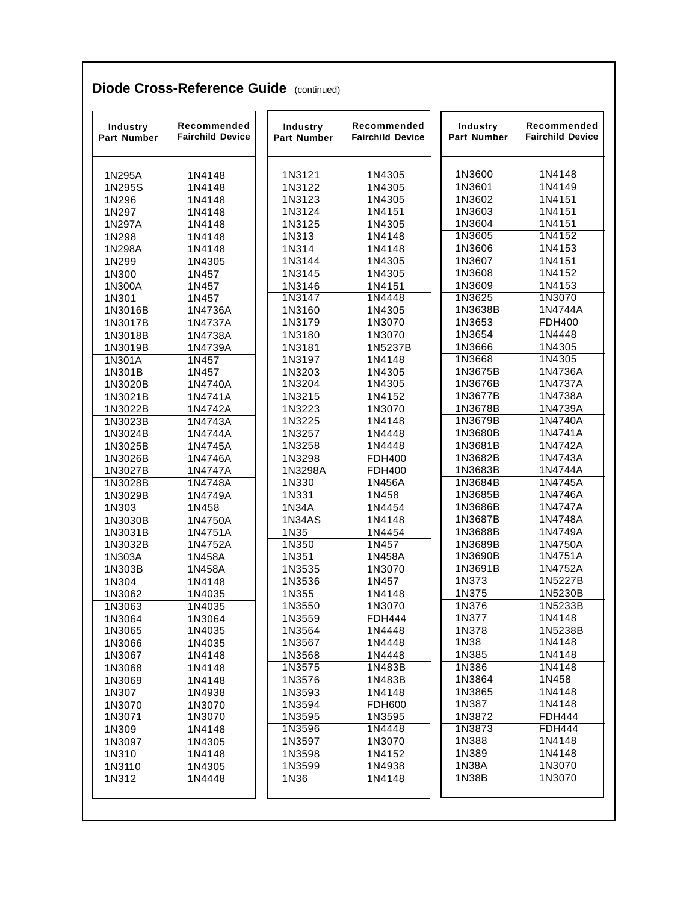| Industry<br>Part Number | Recommended<br><b>Fairchild Device</b> | Industry<br>Part Number | Recommended<br><b>Fairchild Device</b> | Industry<br><b>Part Number</b> | Recommended<br><b>Fairchild Device</b> |
|-------------------------|----------------------------------------|-------------------------|----------------------------------------|--------------------------------|----------------------------------------|
| 1N295A                  | 1N4148                                 | 1N3121                  | 1N4305                                 | 1N3600                         | 1N4148                                 |
| 1N295S                  | 1N4148                                 | 1N3122                  | 1N4305                                 | 1N3601                         | 1N4149                                 |
| 1N296                   | 1N4148                                 | 1N3123                  | 1N4305                                 | 1N3602                         | 1N4151                                 |
| 1N297                   | 1N4148                                 | 1N3124                  | 1N4151                                 | 1N3603                         | 1N4151                                 |
| 1N297A                  | 1N4148                                 | 1N3125                  | 1N4305                                 | 1N3604                         | 1N4151                                 |
| 1N298                   | 1N4148                                 | 1N313                   | 1N4148                                 | 1N3605                         | 1N4152                                 |
| 1N298A                  | 1N4148                                 | 1N314                   | 1N4148                                 | 1N3606                         | 1N4153                                 |
| 1N299                   | 1N4305                                 | 1N3144                  | 1N4305                                 | 1N3607                         | 1N4151                                 |
| 1N300                   | 1N457                                  | 1N3145                  | 1N4305                                 | 1N3608                         | 1N4152                                 |
| 1N300A                  | 1N457                                  | 1N3146                  | 1N4151                                 | 1N3609                         | 1N4153                                 |
| 1N301                   | 1N457                                  | 1N3147                  | 1N4448                                 | 1N3625                         | 1N3070                                 |
| 1N3016B                 | 1N4736A                                | 1N3160                  | 1N4305                                 | 1N3638B                        | 1N4744A                                |
| 1N3017B                 | 1N4737A                                | 1N3179                  | 1N3070                                 | 1N3653                         | <b>FDH400</b>                          |
| 1N3018B                 | 1N4738A                                | 1N3180                  | 1N3070                                 | 1N3654                         | 1N4448                                 |
| 1N3019B                 | 1N4739A                                | 1N3181                  | 1N5237B                                | 1N3666                         | 1N4305                                 |
| 1N301A                  | 1N457                                  | 1N3197                  | 1N4148                                 | 1N3668                         | 1N4305                                 |
| 1N301B                  | 1N457                                  | 1N3203                  | 1N4305                                 | 1N3675B                        | 1N4736A                                |
| 1N3020B                 | 1N4740A                                | 1N3204                  | 1N4305                                 | 1N3676B                        | 1N4737A                                |
| 1N3021B                 | 1N4741A                                | 1N3215                  | 1N4152                                 | 1N3677B                        | 1N4738A                                |
| 1N3022B                 | 1N4742A                                | 1N3223                  | 1N3070                                 | 1N3678B                        | 1N4739A                                |
| 1N3023B                 | 1N4743A                                | 1N3225                  | 1N4148                                 | 1N3679B                        | 1N4740A                                |
| 1N3024B                 | 1N4744A                                | 1N3257                  | 1N4448                                 | 1N3680B                        | 1N4741A                                |
| 1N3025B                 | 1N4745A                                | 1N3258                  | 1N4448                                 | 1N3681B                        | 1N4742A                                |
| 1N3026B                 | 1N4746A                                | 1N3298                  | FDH400                                 | 1N3682B                        | 1N4743A                                |
| 1N3027B                 | 1N4747A                                | 1N3298A                 | <b>FDH400</b>                          | 1N3683B                        | 1N4744A<br>1N4745A                     |
| 1N3028B                 | 1N4748A                                | 1N330                   | 1N456A                                 | 1N3684B<br>1N3685B             | 1N4746A                                |
| 1N3029B<br>1N303        | 1N4749A<br>1N458                       | 1N331<br>1N34A          | 1N458<br>1N4454                        | 1N3686B                        | 1N4747A                                |
| 1N3030B                 | 1N4750A                                | <b>1N34AS</b>           | 1N4148                                 | 1N3687B                        | 1N4748A                                |
| 1N3031B                 | 1N4751A                                | 1N35                    | 1N4454                                 | 1N3688B                        | 1N4749A                                |
| 1N3032B                 | 1N4752A                                | 1N350                   | 1N457                                  | 1N3689B                        | 1N4750A                                |
| 1N303A                  | 1N458A                                 | 1N351                   | 1N458A                                 | 1N3690B                        | 1N4751A                                |
| 1N303B                  | 1N458A                                 | 1N3535                  | 1N3070                                 | 1N3691B                        | 1N4752A                                |
| 1N304                   | 1N4148                                 | 1N3536                  | 1N457                                  | 1N373                          | 1N5227B                                |
| 1N3062                  | 1N4035                                 | 1N355                   | 1N4148                                 | 1N375                          | 1N5230B                                |
| 1N3063                  | 1N4035                                 | 1N3550                  | 1N3070                                 | 1N376                          | 1N5233B                                |
| 1N3064                  | 1N3064                                 | 1N3559                  | FDH444                                 | 1N377                          | 1N4148                                 |
| 1N3065                  | 1N4035                                 | 1N3564                  | 1N4448                                 | 1N378                          | 1N5238B                                |
| 1N3066                  | 1N4035                                 | 1N3567                  | 1N4448                                 | 1N38                           | 1N4148                                 |
| 1N3067                  | 1N4148                                 | 1N3568                  | 1N4448                                 | 1N385                          | 1N4148                                 |
| 1N3068                  | 1N4148                                 | 1N3575                  | 1N483B                                 | 1N386                          | 1N4148                                 |
| 1N3069                  | 1N4148                                 | 1N3576                  | 1N483B                                 | 1N3864                         | 1N458                                  |
| 1N307                   | 1N4938                                 | 1N3593                  | 1N4148                                 | 1N3865                         | 1N4148                                 |
| 1N3070                  | 1N3070                                 | 1N3594                  | <b>FDH600</b>                          | 1N387                          | 1N4148                                 |
| 1N3071                  | 1N3070                                 | 1N3595                  | 1N3595                                 | 1N3872                         | <b>FDH444</b>                          |
| 1N309                   | 1N4148                                 | 1N3596                  | 1N4448                                 | 1N3873                         | <b>FDH444</b>                          |
| 1N3097                  | 1N4305                                 | 1N3597                  | 1N3070                                 | 1N388                          | 1N4148                                 |
| 1N310                   | 1N4148                                 | 1N3598                  | 1N4152                                 | 1N389                          | 1N4148                                 |
| 1N3110                  | 1N4305                                 | 1N3599                  | 1N4938                                 | 1N38A                          | 1N3070                                 |
| 1N312                   | 1N4448                                 | 1N36                    | 1N4148                                 | 1N38B                          | 1N3070                                 |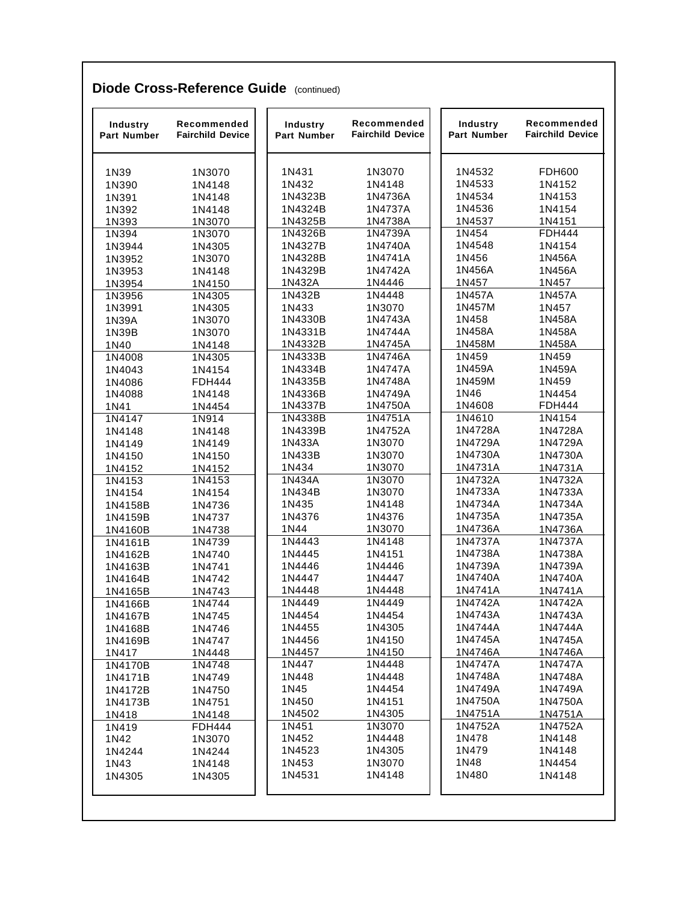| 1N3070<br>1N4148<br>1N4148<br>1N4148<br>1N3070 | 1N431<br>1N432<br>1N4323B | 1N3070                                                                |                                                                              | Recommended<br><b>Fairchild Device</b>                                        |
|------------------------------------------------|---------------------------|-----------------------------------------------------------------------|------------------------------------------------------------------------------|-------------------------------------------------------------------------------|
|                                                |                           |                                                                       | 1N4532                                                                       | <b>FDH600</b>                                                                 |
|                                                |                           | 1N4148                                                                | 1N4533                                                                       | 1N4152                                                                        |
|                                                |                           | 1N4736A                                                               | 1N4534                                                                       | 1N4153                                                                        |
|                                                | 1N4324B                   | 1N4737A                                                               | 1N4536                                                                       | 1N4154                                                                        |
|                                                | 1N4325B                   | 1N4738A                                                               | 1N4537                                                                       | 1N4151                                                                        |
| 1N3070                                         | 1N4326B                   | 1N4739A                                                               | 1N454                                                                        | <b>FDH444</b>                                                                 |
| 1N4305                                         | 1N4327B                   | 1N4740A                                                               | 1N4548                                                                       | 1N4154                                                                        |
| 1N3070                                         | 1N4328B                   | 1N4741A                                                               | 1N456                                                                        | 1N456A                                                                        |
| 1N4148                                         | 1N4329B                   | 1N4742A                                                               | 1N456A                                                                       | 1N456A                                                                        |
| 1N4150                                         | 1N432A                    | 1N4446                                                                | 1N457                                                                        | 1N457                                                                         |
| 1N4305                                         | 1N432B                    | 1N4448                                                                | 1N457A                                                                       | 1N457A                                                                        |
| 1N4305                                         | 1N433                     | 1N3070                                                                | 1N457M                                                                       | 1N457                                                                         |
| 1N3070                                         | 1N4330B                   | 1N4743A                                                               | 1N458                                                                        | 1N458A                                                                        |
| 1N3070                                         | 1N4331B                   | 1N4744A                                                               | 1N458A                                                                       | 1N458A                                                                        |
| 1N4148                                         | 1N4332B                   | 1N4745A                                                               | 1N458M                                                                       | 1N458A                                                                        |
| 1N4305                                         | 1N4333B                   | 1N4746A                                                               | 1N459                                                                        | 1N459                                                                         |
| 1N4154                                         | 1N4334B                   | 1N4747A                                                               | 1N459A                                                                       | 1N459A                                                                        |
| <b>FDH444</b>                                  | 1N4335B                   | 1N4748A                                                               | 1N459M                                                                       | 1N459                                                                         |
| 1N4148                                         | 1N4336B                   | 1N4749A                                                               | 1N46                                                                         | 1N4454                                                                        |
| 1N4454                                         | 1N4337B                   | 1N4750A                                                               | 1N4608                                                                       | <b>FDH444</b>                                                                 |
| 1N914                                          | 1N4338B                   | 1N4751A                                                               | 1N4610                                                                       | 1N4154                                                                        |
| 1N4148                                         | 1N4339B                   | 1N4752A                                                               | 1N4728A                                                                      | 1N4728A                                                                       |
| 1N4149                                         | 1N433A                    | 1N3070                                                                | 1N4729A                                                                      | 1N4729A                                                                       |
| 1N4150                                         | 1N433B                    | 1N3070                                                                | 1N4730A                                                                      | 1N4730A                                                                       |
| 1N4152                                         | 1N434                     | 1N3070                                                                | 1N4731A                                                                      | 1N4731A                                                                       |
| 1N4153                                         | 1N434A                    | 1N3070                                                                | 1N4732A                                                                      | 1N4732A                                                                       |
| 1N4154                                         | 1N434B                    | 1N3070                                                                | 1N4733A                                                                      | 1N4733A                                                                       |
| 1N4736                                         | 1N435                     | 1N4148                                                                | 1N4734A                                                                      | 1N4734A                                                                       |
| 1N4737                                         | 1N4376                    | 1N4376                                                                | 1N4735A                                                                      | 1N4735A                                                                       |
| 1N4738                                         | 1N44                      | 1N3070                                                                | 1N4736A                                                                      | 1N4736A                                                                       |
| 1N4739                                         | 1N4443                    | 1N4148                                                                | 1N4737A                                                                      | 1N4737A                                                                       |
| 1N4740                                         | 1N4445                    | 1N4151                                                                | 1N4738A                                                                      | 1N4738A                                                                       |
| 1N4741                                         | 1N4446                    | 1N4446                                                                | 1N4739A                                                                      | 1N4739A                                                                       |
| 1N4742                                         | 1N4447                    | 1N4447                                                                | 1N4740A                                                                      | 1N4740A                                                                       |
| 1N4743                                         | 1N4448<br>1N4449          | 1N4448<br>1N4449                                                      | 1N4741A<br>1N4742A                                                           | 1N4741A<br>1N4742A                                                            |
| 1N4744                                         |                           |                                                                       |                                                                              |                                                                               |
| 1N4745                                         | 1N4454<br>1N4455          | 1N4454<br>1N4305                                                      | 1N4743A<br>1N4744A                                                           | 1N4743A<br>1N4744A                                                            |
| 1N4746                                         | 1N4456                    | 1N4150                                                                | 1N4745A                                                                      | 1N4745A                                                                       |
| 1N4747                                         | 1N4457                    | 1N4150                                                                | 1N4746A                                                                      | 1N4746A                                                                       |
| 1N4448<br>1N4748                               | 1N447                     | 1N4448                                                                | 1N4747A                                                                      | 1N4747A                                                                       |
| 1N4749                                         |                           |                                                                       |                                                                              | 1N4748A                                                                       |
| 1N4750                                         |                           |                                                                       |                                                                              | 1N4749A                                                                       |
| 1N4751                                         |                           |                                                                       |                                                                              | 1N4750A                                                                       |
| 1N4148                                         |                           |                                                                       |                                                                              | 1N4751A                                                                       |
| <b>FDH444</b>                                  |                           |                                                                       |                                                                              | 1N4752A                                                                       |
| 1N3070                                         |                           |                                                                       |                                                                              | 1N4148                                                                        |
| 1N4244                                         |                           |                                                                       |                                                                              | 1N4148                                                                        |
| 1N4148                                         |                           |                                                                       |                                                                              | 1N4454                                                                        |
| 1N4305                                         | 1N4531                    | 1N4148                                                                | 1N480                                                                        | 1N4148                                                                        |
|                                                |                           | 1N448<br>1N45<br>1N450<br>1N4502<br>1N451<br>1N452<br>1N4523<br>1N453 | 1N4448<br>1N4454<br>1N4151<br>1N4305<br>1N3070<br>1N4448<br>1N4305<br>1N3070 | 1N4748A<br>1N4749A<br>1N4750A<br>1N4751A<br>1N4752A<br>1N478<br>1N479<br>1N48 |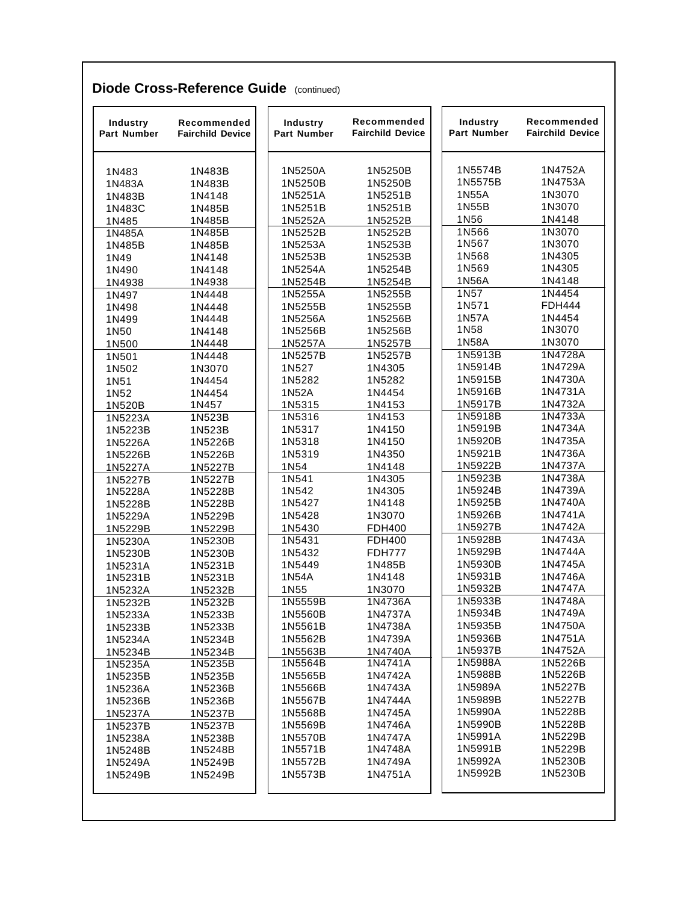| Industry<br><b>Part Number</b> | Recommended<br>Industry<br>Part Number<br><b>Fairchild Device</b> |                  | Recommended<br><b>Fairchild Device</b> | <b>Industry</b><br><b>Part Number</b> | Recommended<br><b>Fairchild Device</b> |  |
|--------------------------------|-------------------------------------------------------------------|------------------|----------------------------------------|---------------------------------------|----------------------------------------|--|
| 1N483                          | 1N483B                                                            | 1N5250A          | 1N5250B                                | 1N5574B                               | 1N4752A                                |  |
| 1N483A                         | 1N483B                                                            | 1N5250B          | 1N5250B                                | 1N5575B                               | 1N4753A                                |  |
| 1N483B                         | 1N4148                                                            | 1N5251A          | 1N5251B                                | 1N55A                                 | 1N3070                                 |  |
| 1N483C                         | 1N485B                                                            | 1N5251B          | 1N5251B                                | 1N55B                                 | 1N3070                                 |  |
| 1N485                          | 1N485B                                                            | 1N5252A          | 1N5252B                                | 1N56                                  | 1N4148                                 |  |
| 1N485A                         | 1N485B                                                            | 1N5252B          | 1N5252B                                | 1N566                                 | 1N3070                                 |  |
| 1N485B                         | 1N485B                                                            | 1N5253A          | 1N5253B                                | 1N567                                 | 1N3070                                 |  |
| 1N49                           | 1N4148                                                            | 1N5253B          | 1N5253B                                | 1N568                                 | 1N4305                                 |  |
| 1N490                          | 1N4148                                                            | 1N5254A          | 1N5254B                                | 1N569                                 | 1N4305                                 |  |
| 1N4938                         | 1N4938                                                            | 1N5254B          | 1N5254B                                | 1N56A                                 | 1N4148                                 |  |
| 1N497                          | 1N4448                                                            | 1N5255A          | 1N5255B                                | 1N57                                  | 1N4454                                 |  |
| 1N498                          | 1N4448                                                            | 1N5255B          | 1N5255B                                | 1N571                                 | <b>FDH444</b>                          |  |
| 1N499                          | 1N4448                                                            | 1N5256A          | 1N5256B                                | 1N57A                                 | 1N4454                                 |  |
| 1N50                           | 1N4148                                                            | 1N5256B          | 1N5256B                                | 1N58                                  | 1N3070                                 |  |
| 1N500                          | 1N4448                                                            | 1N5257A          | 1N5257B                                | 1N58A                                 | 1N3070                                 |  |
| 1N501                          | 1N4448                                                            | 1N5257B          | 1N5257B                                | 1N5913B                               | 1N4728A<br>1N4729A                     |  |
| 1N502                          | 1N3070                                                            | 1N527            | 1N4305                                 | 1N5914B<br>1N5915B                    | 1N4730A                                |  |
| 1N51                           | 1N4454                                                            | 1N5282           | 1N5282                                 | 1N5916B                               | 1N4731A                                |  |
| 1N52                           | 1N4454                                                            | 1N52A            | 1N4454                                 | 1N5917B                               | 1N4732A                                |  |
| 1N520B                         | 1N457<br>1N523B                                                   | 1N5315<br>1N5316 | 1N4153<br>1N4153                       | 1N5918B                               | 1N4733A                                |  |
| 1N5223A<br>1N5223B             | 1N523B                                                            | 1N5317           | 1N4150                                 | 1N5919B                               | 1N4734A                                |  |
| 1N5226A                        | 1N5226B                                                           | 1N5318           | 1N4150                                 | 1N5920B                               | 1N4735A                                |  |
| 1N5226B                        | 1N5226B                                                           | 1N5319           | 1N4350                                 | 1N5921B                               | 1N4736A                                |  |
| 1N5227A                        | 1N5227B                                                           | 1N54             | 1N4148                                 | 1N5922B                               | 1N4737A                                |  |
| 1N5227B                        | 1N5227B                                                           | 1N541            | 1N4305                                 | 1N5923B                               | 1N4738A                                |  |
| 1N5228A                        | 1N5228B                                                           | 1N542            | 1N4305                                 | 1N5924B                               | 1N4739A                                |  |
| 1N5228B                        | 1N5228B                                                           | 1N5427           | 1N4148                                 | 1N5925B                               | 1N4740A                                |  |
| 1N5229A                        | 1N5229B                                                           | 1N5428           | 1N3070                                 | 1N5926B                               | 1N4741A                                |  |
| 1N5229B                        | 1N5229B                                                           | 1N5430           | <b>FDH400</b>                          | 1N5927B                               | 1N4742A                                |  |
| 1N5230A                        | 1N5230B                                                           | 1N5431           | <b>FDH400</b>                          | 1N5928B                               | 1N4743A                                |  |
| 1N5230B                        | 1N5230B                                                           | 1N5432           | <b>FDH777</b>                          | 1N5929B                               | 1N4744A                                |  |
| 1N5231A                        | 1N5231B                                                           | 1N5449           | 1N485B                                 | 1N5930B                               | 1N4745A                                |  |
| 1N5231B                        | 1N5231B                                                           | 1N54A            | 1N4148                                 | 1N5931B                               | 1N4746A                                |  |
| 1N5232A                        | 1N5232B                                                           | 1N55             | 1N3070                                 | 1N5932B                               | 1N4747A                                |  |
| 1N5232B                        | 1N5232B                                                           | 1N5559B          | 1N4736A                                | 1N5933B                               | 1N4748A                                |  |
| 1N5233A                        | 1N5233B                                                           | 1N5560B          | 1N4737A                                | 1N5934B                               | 1N4749A                                |  |
| 1N5233B                        | 1N5233B                                                           | 1N5561B          | 1N4738A                                | 1N5935B                               | 1N4750A                                |  |
| 1N5234A                        | 1N5234B                                                           | 1N5562B          | 1N4739A                                | 1N5936B                               | 1N4751A                                |  |
| 1N5234B                        | 1N5234B                                                           | 1N5563B          | 1N4740A                                | 1N5937B                               | 1N4752A                                |  |
| 1N5235A                        | 1N5235B                                                           | 1N5564B          | 1N4741A                                | 1N5988A                               | 1N5226B                                |  |
| 1N5235B                        | 1N5235B                                                           | 1N5565B          | 1N4742A                                | 1N5988B                               | 1N5226B                                |  |
| 1N5236A                        | 1N5236B                                                           | 1N5566B          | 1N4743A                                | 1N5989A                               | 1N5227B                                |  |
| 1N5236B                        | 1N5236B                                                           | 1N5567B          | 1N4744A                                | 1N5989B                               | 1N5227B                                |  |
| 1N5237A                        | 1N5237B                                                           | 1N5568B          | 1N4745A                                | 1N5990A                               | 1N5228B                                |  |
| 1N5237B                        | 1N5237B                                                           | 1N5569B          | 1N4746A                                | 1N5990B                               | 1N5228B                                |  |
| 1N5238A                        | 1N5238B                                                           | 1N5570B          | 1N4747A                                | 1N5991A                               | 1N5229B                                |  |
| 1N5248B                        | 1N5248B                                                           | 1N5571B          | 1N4748A                                | 1N5991B                               | 1N5229B                                |  |
| 1N5249A                        | 1N5249B                                                           | 1N5572B          | 1N4749A                                | 1N5992A<br>1N5992B                    | 1N5230B<br>1N5230B                     |  |
| 1N5249B                        | 1N5249B                                                           | 1N5573B          | 1N4751A                                |                                       |                                        |  |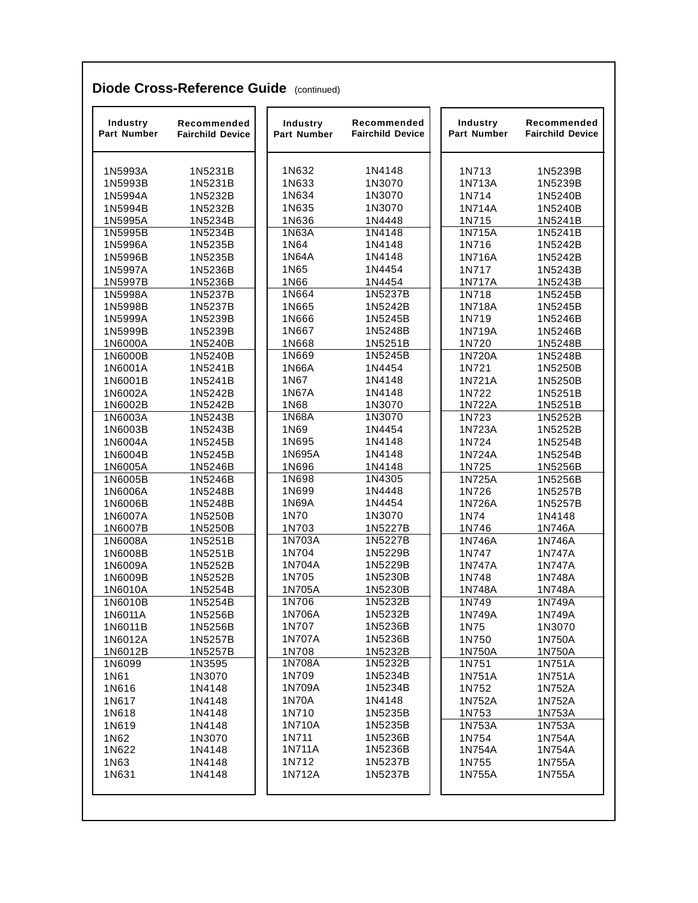| Industry<br><b>Part Number</b> | Recommended<br><b>Fairchild Device</b> | Industry<br><b>Part Number</b> | Recommended<br><b>Fairchild Device</b> | Industry<br><b>Part Number</b> | Recommended<br><b>Fairchild Device</b> |
|--------------------------------|----------------------------------------|--------------------------------|----------------------------------------|--------------------------------|----------------------------------------|
| 1N5993A                        | 1N5231B                                | 1N632                          | 1N4148                                 | 1N713                          | 1N5239B                                |
| 1N5993B                        | 1N5231B                                | 1N633                          | 1N3070                                 | 1N713A                         | 1N5239B                                |
| 1N5994A                        | 1N5232B                                | 1N634                          | 1N3070                                 | 1N714                          | 1N5240B                                |
| 1N5994B                        | 1N5232B                                | 1N635                          | 1N3070                                 | 1N714A                         | 1N5240B                                |
| 1N5995A                        | 1N5234B                                | 1N636                          | 1N4448                                 | 1N715                          | 1N5241B                                |
| 1N5995B                        | 1N5234B                                | 1N63A                          | 1N4148                                 | 1N715A                         | 1N5241B                                |
| 1N5996A                        | 1N5235B                                | 1N64                           | 1N4148                                 | 1N716                          | 1N5242B                                |
| 1N5996B                        | 1N5235B                                | 1N64A                          | 1N4148                                 | 1N716A                         | 1N5242B                                |
| 1N5997A                        | 1N5236B                                | 1N65                           | 1N4454                                 | 1N717                          | 1N5243B                                |
| 1N5997B                        | 1N5236B                                | 1N66                           | 1N4454                                 | 1N717A                         | 1N5243B                                |
| 1N5998A                        | 1N5237B                                | 1N664                          | 1N5237B                                | 1N718                          | 1N5245B                                |
| 1N5998B                        | 1N5237B                                | 1N665                          | 1N5242B                                | 1N718A                         | 1N5245B                                |
| 1N5999A                        | 1N5239B                                | 1N666                          | 1N5245B                                | 1N719                          | 1N5246B                                |
| 1N5999B                        | 1N5239B                                | 1N667                          | 1N5248B                                | 1N719A                         | 1N5246B                                |
| 1N6000A                        | 1N5240B                                | 1N668                          | 1N5251B                                | 1N720                          | 1N5248B                                |
| 1N6000B                        | 1N5240B                                | 1N669                          | 1N5245B                                | 1N720A                         | 1N5248B                                |
| 1N6001A                        | 1N5241B                                | 1N66A                          | 1N4454                                 | 1N721                          | 1N5250B                                |
| 1N6001B                        | 1N5241B                                | 1N67                           | 1N4148                                 | 1N721A                         | 1N5250B                                |
| 1N6002A                        | 1N5242B                                | 1N67A                          | 1N4148                                 | 1N722                          | 1N5251B                                |
| 1N6002B                        | 1N5242B                                | 1N68<br><b>1N68A</b>           | 1N3070<br>1N3070                       | 1N722A                         | 1N5251B                                |
| 1N6003A<br>1N6003B             | 1N5243B<br>1N5243B                     | 1N69                           | 1N4454                                 | 1N723<br>1N723A                | 1N5252B                                |
|                                |                                        | 1N695                          | 1N4148                                 |                                | 1N5252B                                |
| 1N6004A<br>1N6004B             | 1N5245B<br>1N5245B                     | 1N695A                         | 1N4148                                 | 1N724<br>1N724A                | 1N5254B<br>1N5254B                     |
| 1N6005A                        | 1N5246B                                | 1N696                          | 1N4148                                 | 1N725                          | 1N5256B                                |
| 1N6005B                        | 1N5246B                                | 1N698                          | 1N4305                                 | 1N725A                         | 1N5256B                                |
| 1N6006A                        | 1N5248B                                | 1N699                          | 1N4448                                 | 1N726                          | 1N5257B                                |
| 1N6006B                        | 1N5248B                                | 1N69A                          | 1N4454                                 | 1N726A                         | 1N5257B                                |
| 1N6007A                        | 1N5250B                                | 1N70                           | 1N3070                                 | 1N74                           | 1N4148                                 |
| 1N6007B                        | 1N5250B                                | 1N703                          | 1N5227B                                | 1N746                          | 1N746A                                 |
| 1N6008A                        | 1N5251B                                | 1N703A                         | 1N5227B                                | 1N746A                         | 1N746A                                 |
| 1N6008B                        | 1N5251B                                | 1N704                          | 1N5229B                                | 1N747                          | 1N747A                                 |
| 1N6009A                        | 1N5252B                                | 1N704A                         | 1N5229B                                | 1N747A                         | 1N747A                                 |
| 1N6009B                        | 1N5252B                                | 1N705                          | 1N5230B                                | 1N748                          | 1N748A                                 |
| 1N6010A                        | 1N5254B                                | 1N705A                         | 1N5230B                                | 1N748A                         | 1N748A                                 |
| 1N6010B                        | 1N5254B                                | 1N706                          | 1N5232B                                | 1N749                          | 1N749A                                 |
| 1N6011A                        | 1N5256B                                | 1N706A                         | 1N5232B                                | 1N749A                         | 1N749A                                 |
| 1N6011B                        | 1N5256B                                | 1N707                          | 1N5236B                                | 1N75                           | 1N3070                                 |
| 1N6012A                        | 1N5257B                                | 1N707A                         | 1N5236B                                | 1N750                          | 1N750A                                 |
| 1N6012B                        | 1N5257B                                | 1N708                          | 1N5232B                                | 1N750A                         | 1N750A                                 |
| 1N6099                         | 1N3595                                 | 1N708A                         | 1N5232B                                | 1N751                          | 1N751A                                 |
| 1N61                           | 1N3070                                 | 1N709                          | 1N5234B                                | 1N751A                         | 1N751A                                 |
| 1N616                          | 1N4148                                 | 1N709A                         | 1N5234B                                | 1N752                          | 1N752A                                 |
| 1N617                          | 1N4148                                 | <b>1N70A</b>                   | 1N4148                                 | 1N752A                         | 1N752A                                 |
| 1N618                          | 1N4148                                 | 1N710                          | 1N5235B                                | 1N753                          | 1N753A                                 |
| 1N619                          | 1N4148                                 | 1N710A                         | 1N5235B                                | 1N753A                         | 1N753A                                 |
| 1N62                           | 1N3070                                 | 1N711<br>1N711A                | 1N5236B                                | 1N754                          | 1N754A                                 |
| 1N622                          | 1N4148                                 | 1N712                          | 1N5236B<br>1N5237B                     | 1N754A                         | 1N754A                                 |
| 1N63<br>1N631                  | 1N4148<br>1N4148                       | 1N712A                         | 1N5237B                                | 1N755<br>1N755A                | 1N755A<br>1N755A                       |
|                                |                                        |                                |                                        |                                |                                        |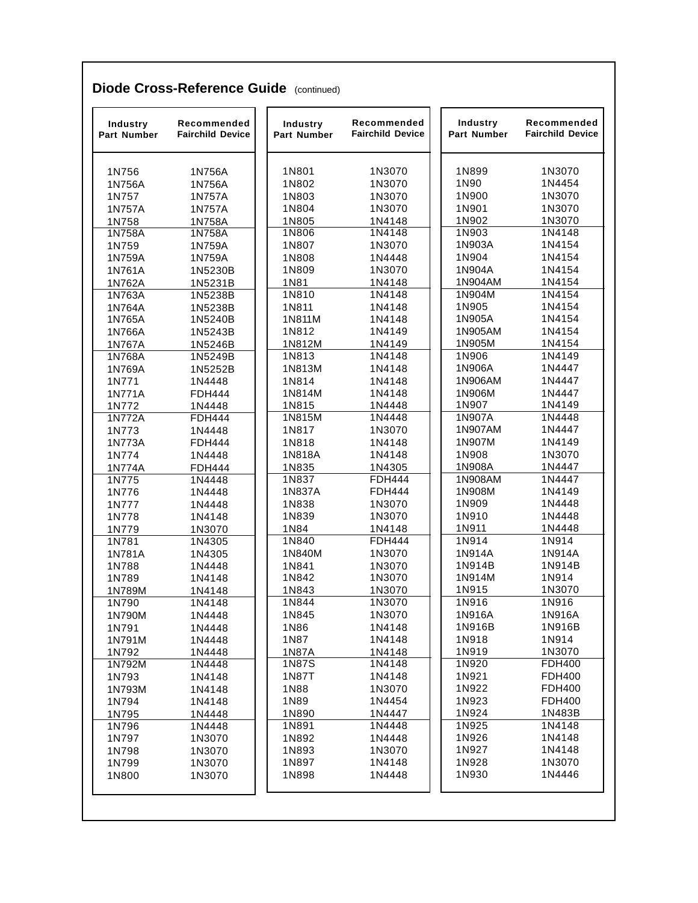| 1N756           |                  | Part Number   | <b>Fairchild Device</b> | Part Number    | <b>Fairchild Device</b> |
|-----------------|------------------|---------------|-------------------------|----------------|-------------------------|
|                 | 1N756A           | 1N801         | 1N3070                  | 1N899          | 1N3070                  |
| 1N756A          | 1N756A           | 1N802         | 1N3070                  | 1N90           | 1N4454                  |
| 1N757           | 1N757A           | 1N803         | 1N3070                  | 1N900          | 1N3070                  |
| 1N757A          | 1N757A           | 1N804         | 1N3070                  | 1N901          | 1N3070                  |
| 1N758           | 1N758A           | 1N805         | 1N4148                  | 1N902          | 1N3070                  |
| 1N758A          | 1N758A           | 1N806         | 1N4148                  | 1N903          | 1N4148                  |
| 1N759           | 1N759A           | 1N807         | 1N3070                  | 1N903A         | 1N4154                  |
| 1N759A          | 1N759A           | 1N808         | 1N4448                  | 1N904          | 1N4154                  |
| 1N761A          | 1N5230B          | 1N809         | 1N3070                  | 1N904A         | 1N4154                  |
| 1N762A          | 1N5231B          | 1N81          | 1N4148                  | 1N904AM        | 1N4154                  |
| 1N763A          | 1N5238B          | 1N810         | 1N4148                  | 1N904M         | 1N4154                  |
| 1N764A          | 1N5238B          | 1N811         | 1N4148                  | 1N905          | 1N4154                  |
| 1N765A          | 1N5240B          | 1N811M        | 1N4148                  | 1N905A         | 1N4154                  |
| 1N766A          | 1N5243B          | 1N812         | 1N4149                  | 1N905AM        | 1N4154                  |
| 1N767A          | 1N5246B          | 1N812M        | 1N4149                  | 1N905M         | 1N4154                  |
| 1N768A          | 1N5249B          | 1N813         | 1N4148                  | 1N906          | 1N4149                  |
| 1N769A          | 1N5252B          | 1N813M        | 1N4148                  | 1N906A         | 1N4447                  |
| 1N771           | 1N4448           | 1N814         | 1N4148                  | 1N906AM        | 1N4447                  |
| 1N771A          | <b>FDH444</b>    | 1N814M        | 1N4148                  | 1N906M         | 1N4447                  |
| 1N772           | 1N4448           | 1N815         | 1N4448                  | 1N907          | 1N4149                  |
| 1N772A          | <b>FDH444</b>    | 1N815M        | 1N4448                  | 1N907A         | 1N4448                  |
| 1N773           | 1N4448           | 1N817         | 1N3070                  | 1N907AM        | 1N4447                  |
| 1N773A          | <b>FDH444</b>    | 1N818         | 1N4148                  | 1N907M         | 1N4149                  |
| 1N774           | 1N4448           | 1N818A        | 1N4148                  | 1N908          | 1N3070                  |
| 1N774A          | <b>FDH444</b>    | 1N835         | 1N4305                  | 1N908A         | 1N4447                  |
| 1N775           | 1N4448           | 1N837         | <b>FDH444</b>           | 1N908AM        | 1N4447                  |
| 1N776           | 1N4448           | 1N837A        | <b>FDH444</b>           | 1N908M         | 1N4149                  |
| 1N777           | 1N4448           | 1N838         | 1N3070                  | 1N909          | 1N4448                  |
| 1N778           | 1N4148           | 1N839<br>1N84 | 1N3070                  | 1N910<br>1N911 | 1N4448<br>1N4448        |
| 1N779           | 1N3070           | 1N840         | 1N4148<br><b>FDH444</b> | 1N914          | 1N914                   |
| 1N781<br>1N781A | 1N4305<br>1N4305 | 1N840M        | 1N3070                  | 1N914A         | 1N914A                  |
| 1N788           | 1N4448           | 1N841         | 1N3070                  | 1N914B         | 1N914B                  |
| 1N789           | 1N4148           | 1N842         | 1N3070                  | 1N914M         | 1N914                   |
| 1N789M          | 1N4148           | 1N843         | 1N3070                  | 1N915          | 1N3070                  |
| 1N790           | 1N4148           | 1N844         | 1N3070                  | 1N916          | 1N916                   |
| 1N790M          | 1N4448           | 1N845         | 1N3070                  | 1N916A         | 1N916A                  |
| 1N791           | 1N4448           | 1N86          | 1N4148                  | 1N916B         | 1N916B                  |
| 1N791M          | 1N4448           | 1N87          | 1N4148                  | 1N918          | 1N914                   |
| 1N792           | 1N4448           | 1N87A         | 1N4148                  | 1N919          | 1N3070                  |
| 1N792M          | 1N4448           | 1N87S         | 1N4148                  | 1N920          | <b>FDH400</b>           |
| 1N793           | 1N4148           | 1N87T         | 1N4148                  | 1N921          | <b>FDH400</b>           |
| 1N793M          | 1N4148           | 1N88          | 1N3070                  | 1N922          | <b>FDH400</b>           |
| 1N794           | 1N4148           | 1N89          | 1N4454                  | 1N923          | <b>FDH400</b>           |
| 1N795           | 1N4448           | 1N890         | 1N4447                  | 1N924          | 1N483B                  |
| 1N796           | 1N4448           | 1N891         | 1N4448                  | 1N925          | 1N4148                  |
| 1N797           | 1N3070           | 1N892         | 1N4448                  | 1N926          | 1N4148                  |
| 1N798           | 1N3070           | 1N893         | 1N3070                  | 1N927          | 1N4148                  |
| 1N799           | 1N3070           | 1N897         | 1N4148                  | 1N928          | 1N3070                  |
| 1N800           | 1N3070           | 1N898         | 1N4448                  | 1N930          | 1N4446                  |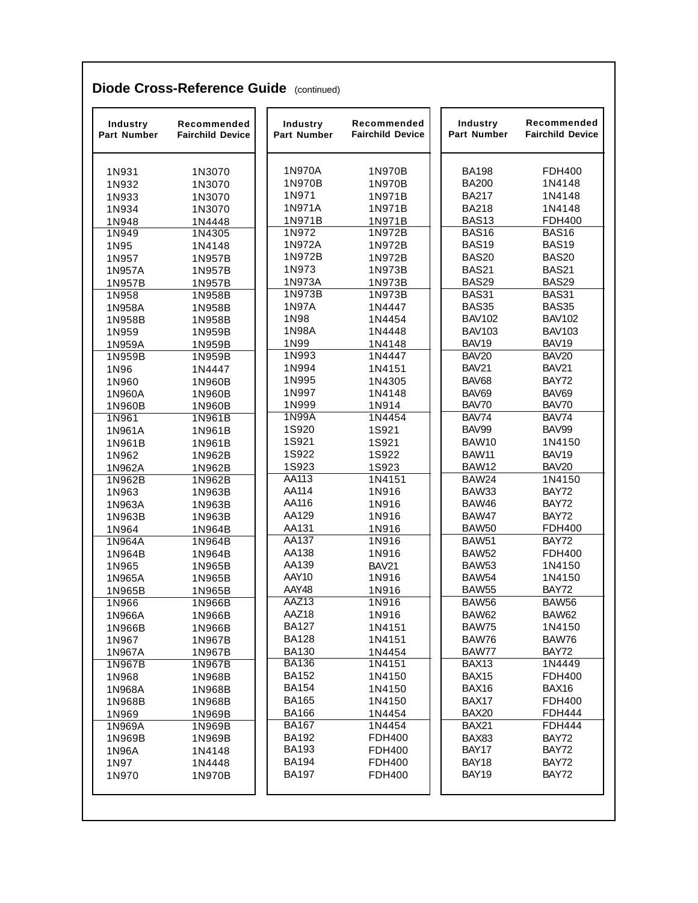| Industry<br><b>Part Number</b> | Recommended<br><b>Fairchild Device</b> | Industry<br><b>Part Number</b> | Recommended<br><b>Fairchild Device</b> | <b>Industry</b><br>Part Number | Recommended<br><b>Fairchild Device</b> |
|--------------------------------|----------------------------------------|--------------------------------|----------------------------------------|--------------------------------|----------------------------------------|
| 1N931                          | 1N3070                                 | 1N970A                         | 1N970B                                 | <b>BA198</b>                   | <b>FDH400</b>                          |
| 1N932                          | 1N3070                                 | 1N970B                         | 1N970B                                 | <b>BA200</b>                   | 1N4148                                 |
| 1N933                          | 1N3070                                 | 1N971                          | 1N971B                                 | <b>BA217</b>                   | 1N4148                                 |
| 1N934                          | 1N3070                                 | 1N971A                         | 1N971B                                 | <b>BA218</b>                   | 1N4148                                 |
| 1N948                          | 1N4448                                 | 1N971B                         | 1N971B                                 | BAS <sub>13</sub>              | FDH400                                 |
| 1N949                          | 1N4305                                 | 1N972                          | 1N972B                                 | <b>BAS16</b>                   | <b>BAS16</b>                           |
| 1N95                           | 1N4148                                 | 1N972A                         | 1N972B                                 | <b>BAS19</b>                   | <b>BAS19</b>                           |
| 1N957                          | 1N957B                                 | 1N972B                         | 1N972B                                 | <b>BAS20</b>                   | <b>BAS20</b>                           |
| 1N957A                         | 1N957B                                 | 1N973                          | 1N973B                                 | <b>BAS21</b>                   | <b>BAS21</b>                           |
| 1N957B                         | 1N957B                                 | 1N973A                         | 1N973B                                 | BAS29                          | BAS29                                  |
| 1N958                          | 1N958B                                 | 1N973B                         | 1N973B                                 | <b>BAS31</b>                   | <b>BAS31</b>                           |
| 1N958A                         | 1N958B                                 | 1N97A                          | 1N4447                                 | <b>BAS35</b>                   | BAS35                                  |
| 1N958B                         | 1N958B                                 | 1N98                           | 1N4454                                 | <b>BAV102</b>                  | <b>BAV102</b>                          |
| 1N959                          | 1N959B                                 | 1N98A                          | 1N4448                                 | <b>BAV103</b>                  | <b>BAV103</b>                          |
| 1N959A                         | 1N959B                                 | 1N99                           | 1N4148                                 | BAV19                          | BAV19                                  |
| 1N959B                         | 1N959B                                 | 1N993                          | 1N4447                                 | <b>BAV20</b>                   | <b>BAV20</b>                           |
| 1N96                           | 1N4447                                 | 1N994                          | 1N4151                                 | <b>BAV21</b>                   | <b>BAV21</b>                           |
| 1N960                          | 1N960B                                 | 1N995                          | 1N4305                                 | BAV68                          | BAY72                                  |
| 1N960A                         | 1N960B                                 | 1N997                          | 1N4148                                 | BAV69                          | BAV69                                  |
| 1N960B                         | 1N960B                                 | 1N999                          | 1N914                                  | BAV70                          | BAV70                                  |
| 1N961                          | 1N961B                                 | 1N99A                          | 1N4454                                 | BAV74                          | BAV74                                  |
| 1N961A                         | 1N961B                                 | 1S920                          | 1S921                                  | BAV99                          | BAV99                                  |
| 1N961B                         | 1N961B                                 | 1S921                          | 1S921                                  | <b>BAW10</b>                   | 1N4150                                 |
| 1N962                          | 1N962B                                 | 1S922                          | 1S922                                  | <b>BAW11</b>                   | BAV <sub>19</sub>                      |
| 1N962A                         | 1N962B                                 | 1S923                          | 1S923                                  | <b>BAW12</b>                   | <b>BAV20</b>                           |
| 1N962B                         | 1N962B                                 | AA113                          | 1N4151                                 | <b>BAW24</b>                   | 1N4150                                 |
| 1N963                          | 1N963B                                 | AA114                          | 1N916                                  | BAW33                          | BAY72                                  |
| 1N963A                         | 1N963B                                 | AA116                          | 1N916                                  | BAW46                          | BAY72                                  |
| 1N963B                         | 1N963B                                 | AA129                          | 1N916                                  | BAW47                          | BAY72                                  |
| 1N964                          | 1N964B                                 | AA131                          | 1N916                                  | <b>BAW50</b>                   | <b>FDH400</b>                          |
| 1N964A                         | 1N964B                                 | AA137                          | 1N916                                  | <b>BAW51</b>                   | BAY72                                  |
| 1N964B                         | 1N964B                                 | AA138                          | 1N916                                  | <b>BAW52</b>                   | <b>FDH400</b>                          |
| 1N965                          | 1N965B                                 | AA139                          | BAV21                                  | <b>BAW53</b>                   | 1N4150                                 |
| 1N965A                         | 1N965B                                 | AAY10                          | 1N916                                  | <b>BAW54</b>                   | 1N4150                                 |
| 1N965B                         | 1N965B                                 | AAY48                          | 1N916                                  | <b>BAW55</b>                   | <b>BAY72</b>                           |
| 1N966                          | 1N966B                                 | AAZ13                          | 1N916                                  | <b>BAW56</b>                   | <b>BAW56</b>                           |
| 1N966A                         | 1N966B                                 | AAZ18                          | 1N916                                  | BAW62                          | BAW62                                  |
| 1N966B                         | 1N966B                                 | <b>BA127</b>                   | 1N4151                                 | <b>BAW75</b>                   | 1N4150                                 |
| 1N967                          | 1N967B                                 | <b>BA128</b>                   | 1N4151                                 | BAW76                          | BAW76                                  |
| 1N967A                         | 1N967B                                 | <b>BA130</b>                   | 1N4454                                 | BAW77                          | BAY72                                  |
| 1N967B                         | 1N967B                                 | <b>BA136</b>                   | 1N4151                                 | BAX <sub>13</sub>              | 1N4449                                 |
| 1N968                          | 1N968B                                 | <b>BA152</b>                   | 1N4150                                 | BAX15                          | <b>FDH400</b>                          |
| 1N968A                         | 1N968B                                 | <b>BA154</b>                   | 1N4150                                 | BAX16                          | BAX16                                  |
| 1N968B                         | 1N968B                                 | <b>BA165</b>                   | 1N4150                                 | BAX17                          | <b>FDH400</b>                          |
| 1N969                          | 1N969B                                 | <b>BA166</b>                   | 1N4454                                 | <b>BAX20</b>                   | <b>FDH444</b>                          |
| 1N969A                         | 1N969B                                 | <b>BA167</b>                   | 1N4454                                 | <b>BAX21</b>                   | <b>FDH444</b>                          |
| 1N969B                         | 1N969B                                 | <b>BA192</b>                   | <b>FDH400</b>                          | BAX83                          | BAY72                                  |
| 1N96A                          | 1N4148                                 | <b>BA193</b>                   | <b>FDH400</b>                          | BAY17                          | BAY72                                  |
| 1N97                           | 1N4448                                 | <b>BA194</b>                   | <b>FDH400</b>                          | BAY18                          | BAY72                                  |
| 1N970                          | 1N970B                                 | <b>BA197</b>                   | <b>FDH400</b>                          | BAY19                          | BAY72                                  |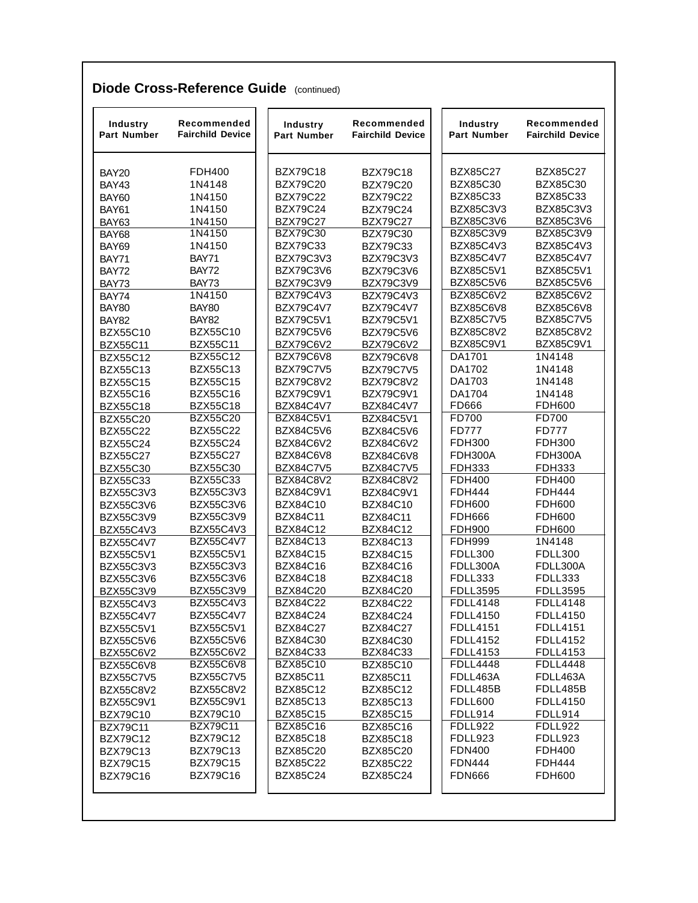| Industry<br><b>Part Number</b>     | Recommended<br><b>Fairchild Device</b> | Industry<br><b>Part Number</b> | Recommended<br><b>Fairchild Device</b> | Industry<br><b>Part Number</b>  | Recommended<br><b>Fairchild Device</b> |
|------------------------------------|----------------------------------------|--------------------------------|----------------------------------------|---------------------------------|----------------------------------------|
| <b>BAY20</b>                       | <b>FDH400</b>                          | <b>BZX79C18</b>                | <b>BZX79C18</b>                        | <b>BZX85C27</b>                 | <b>BZX85C27</b>                        |
| <b>BAY43</b>                       | 1N4148                                 | <b>BZX79C20</b>                | <b>BZX79C20</b>                        | <b>BZX85C30</b>                 | BZX85C30                               |
| <b>BAY60</b>                       | 1N4150                                 | <b>BZX79C22</b>                | <b>BZX79C22</b>                        | <b>BZX85C33</b>                 | <b>BZX85C33</b>                        |
| BAY61                              | 1N4150                                 | <b>BZX79C24</b>                | <b>BZX79C24</b>                        | BZX85C3V3                       | BZX85C3V3                              |
| BAY63                              | 1N4150                                 | <b>BZX79C27</b>                | <b>BZX79C27</b>                        | BZX85C3V6                       | <b>BZX85C3V6</b>                       |
| <b>BAY68</b>                       | 1N4150                                 | <b>BZX79C30</b>                | <b>BZX79C30</b>                        | BZX85C3V9                       | BZX85C3V9                              |
| <b>BAY69</b>                       | 1N4150                                 | <b>BZX79C33</b>                | <b>BZX79C33</b>                        | BZX85C4V3                       | BZX85C4V3                              |
| BAY71                              | BAY71                                  | BZX79C3V3                      | BZX79C3V3                              | <b>BZX85C4V7</b>                | <b>BZX85C4V7</b>                       |
| BAY72                              | BAY72                                  | BZX79C3V6                      | BZX79C3V6                              | BZX85C5V1                       | BZX85C5V1                              |
| BAY73                              | BAY73                                  | BZX79C3V9                      | BZX79C3V9                              | <b>BZX85C5V6</b>                | <b>BZX85C5V6</b>                       |
| BAY74                              | 1N4150                                 | <b>BZX79C4V3</b>               | <b>BZX79C4V3</b>                       | <b>BZX85C6V2</b>                | BZX85C6V2                              |
| <b>BAY80</b>                       | BAY80                                  | <b>BZX79C4V7</b>               | <b>BZX79C4V7</b>                       | <b>BZX85C6V8</b>                | <b>BZX85C6V8</b>                       |
| <b>BAY82</b>                       | <b>BAY82</b>                           | <b>BZX79C5V1</b>               | <b>BZX79C5V1</b>                       | <b>BZX85C7V5</b>                | <b>BZX85C7V5</b>                       |
| <b>BZX55C10</b>                    | <b>BZX55C10</b>                        | <b>BZX79C5V6</b>               | <b>BZX79C5V6</b>                       | <b>BZX85C8V2</b>                | <b>BZX85C8V2</b>                       |
| <b>BZX55C11</b>                    | <b>BZX55C11</b>                        | <b>BZX79C6V2</b>               | BZX79C6V2                              | BZX85C9V1                       | <b>BZX85C9V1</b>                       |
| <b>BZX55C12</b>                    | <b>BZX55C12</b>                        | BZX79C6V8                      | BZX79C6V8                              | DA1701                          | 1N4148                                 |
| <b>BZX55C13</b>                    | <b>BZX55C13</b>                        | <b>BZX79C7V5</b>               | <b>BZX79C7V5</b>                       | DA1702                          | 1N4148                                 |
| <b>BZX55C15</b>                    | <b>BZX55C15</b>                        | <b>BZX79C8V2</b>               | <b>BZX79C8V2</b>                       | DA1703                          | 1N4148                                 |
| <b>BZX55C16</b>                    | <b>BZX55C16</b>                        | BZX79C9V1                      | <b>BZX79C9V1</b>                       | DA1704                          | 1N4148                                 |
| <b>BZX55C18</b>                    | <b>BZX55C18</b>                        | <b>BZX84C4V7</b>               | <b>BZX84C4V7</b>                       | FD666                           | <b>FDH600</b>                          |
| <b>BZX55C20</b>                    | <b>BZX55C20</b>                        | <b>BZX84C5V1</b>               | <b>BZX84C5V1</b>                       | FD700                           | FD700                                  |
| <b>BZX55C22</b>                    | <b>BZX55C22</b>                        | <b>BZX84C5V6</b>               | <b>BZX84C5V6</b>                       | <b>FD777</b>                    | <b>FD777</b>                           |
| <b>BZX55C24</b>                    | <b>BZX55C24</b><br><b>BZX55C27</b>     | <b>BZX84C6V2</b><br>BZX84C6V8  | BZX84C6V2                              | <b>FDH300</b><br><b>FDH300A</b> | <b>FDH300</b><br>FDH300A               |
| <b>BZX55C27</b>                    | <b>BZX55C30</b>                        | <b>BZX84C7V5</b>               | BZX84C6V8<br><b>BZX84C7V5</b>          | <b>FDH333</b>                   | <b>FDH333</b>                          |
| <b>BZX55C30</b><br><b>BZX55C33</b> | <b>BZX55C33</b>                        | <b>BZX84C8V2</b>               | BZX84C8V2                              | <b>FDH400</b>                   | <b>FDH400</b>                          |
| BZX55C3V3                          | BZX55C3V3                              | BZX84C9V1                      | <b>BZX84C9V1</b>                       | <b>FDH444</b>                   | <b>FDH444</b>                          |
| <b>BZX55C3V6</b>                   | BZX55C3V6                              | <b>BZX84C10</b>                | <b>BZX84C10</b>                        | <b>FDH600</b>                   | <b>FDH600</b>                          |
| BZX55C3V9                          | BZX55C3V9                              | <b>BZX84C11</b>                | <b>BZX84C11</b>                        | <b>FDH666</b>                   | <b>FDH600</b>                          |
| BZX55C4V3                          | BZX55C4V3                              | <b>BZX84C12</b>                | <b>BZX84C12</b>                        | <b>FDH900</b>                   | <b>FDH600</b>                          |
| <b>BZX55C4V7</b>                   | <b>BZX55C4V7</b>                       | <b>BZX84C13</b>                | <b>BZX84C13</b>                        | <b>FDH999</b>                   | 1N4148                                 |
| BZX55C5V1                          | BZX55C5V1                              | <b>BZX84C15</b>                | <b>BZX84C15</b>                        | <b>FDLL300</b>                  | <b>FDLL300</b>                         |
| BZX55C3V3                          | BZX55C3V3                              | <b>BZX84C16</b>                | <b>BZX84C16</b>                        | FDLL300A                        | FDLL300A                               |
| <b>BZX55C3V6</b>                   | <b>BZX55C3V6</b>                       | <b>BZX84C18</b>                | <b>BZX84C18</b>                        | <b>FDLL333</b>                  | FDLL333                                |
| BZX55C3V9                          | BZX55C3V9                              | <b>BZX84C20</b>                | <b>BZX84C20</b>                        | <b>FDLL3595</b>                 | <b>FDLL3595</b>                        |
| BZX55C4V3                          | BZX55C4V3                              | <b>BZX84C22</b>                | <b>BZX84C22</b>                        | <b>FDLL4148</b>                 | <b>FDLL4148</b>                        |
| <b>BZX55C4V7</b>                   | <b>BZX55C4V7</b>                       | <b>BZX84C24</b>                | <b>BZX84C24</b>                        | <b>FDLL4150</b>                 | <b>FDLL4150</b>                        |
| BZX55C5V1                          | BZX55C5V1                              | <b>BZX84C27</b>                | <b>BZX84C27</b>                        | <b>FDLL4151</b>                 | <b>FDLL4151</b>                        |
| <b>BZX55C5V6</b>                   | <b>BZX55C5V6</b>                       | BZX84C30                       | <b>BZX84C30</b>                        | <b>FDLL4152</b>                 | <b>FDLL4152</b>                        |
| <b>BZX55C6V2</b>                   | <b>BZX55C6V2</b>                       | <b>BZX84C33</b>                | BZX84C33                               | FDLL4153                        | <b>FDLL4153</b>                        |
| <b>BZX55C6V8</b>                   | <b>BZX55C6V8</b>                       | <b>BZX85C10</b>                | <b>BZX85C10</b>                        | <b>FDLL4448</b>                 | <b>FDLL4448</b>                        |
| <b>BZX55C7V5</b>                   | <b>BZX55C7V5</b>                       | <b>BZX85C11</b>                | <b>BZX85C11</b>                        | FDLL463A                        | FDLL463A                               |
| <b>BZX55C8V2</b>                   | <b>BZX55C8V2</b>                       | <b>BZX85C12</b>                | <b>BZX85C12</b>                        | FDLL485B                        | FDLL485B                               |
| BZX55C9V1                          | <b>BZX55C9V1</b>                       | <b>BZX85C13</b>                | <b>BZX85C13</b>                        | <b>FDLL600</b>                  | <b>FDLL4150</b>                        |
| <b>BZX79C10</b>                    | <b>BZX79C10</b>                        | <b>BZX85C15</b>                | <b>BZX85C15</b>                        | FDLL914                         | FDLL914                                |
| <b>BZX79C11</b>                    | <b>BZX79C11</b>                        | <b>BZX85C16</b>                | <b>BZX85C16</b>                        | <b>FDLL922</b>                  | FDLL922                                |
| <b>BZX79C12</b>                    | <b>BZX79C12</b>                        | <b>BZX85C18</b>                | <b>BZX85C18</b>                        | FDLL923                         | FDLL923                                |
| <b>BZX79C13</b>                    | <b>BZX79C13</b>                        | <b>BZX85C20</b>                | <b>BZX85C20</b>                        | <b>FDN400</b>                   | <b>FDH400</b>                          |
| <b>BZX79C15</b>                    | <b>BZX79C15</b>                        | <b>BZX85C22</b>                | <b>BZX85C22</b>                        | <b>FDN444</b>                   | <b>FDH444</b>                          |
| <b>BZX79C16</b>                    | <b>BZX79C16</b>                        | <b>BZX85C24</b>                | <b>BZX85C24</b>                        | <b>FDN666</b>                   | <b>FDH600</b>                          |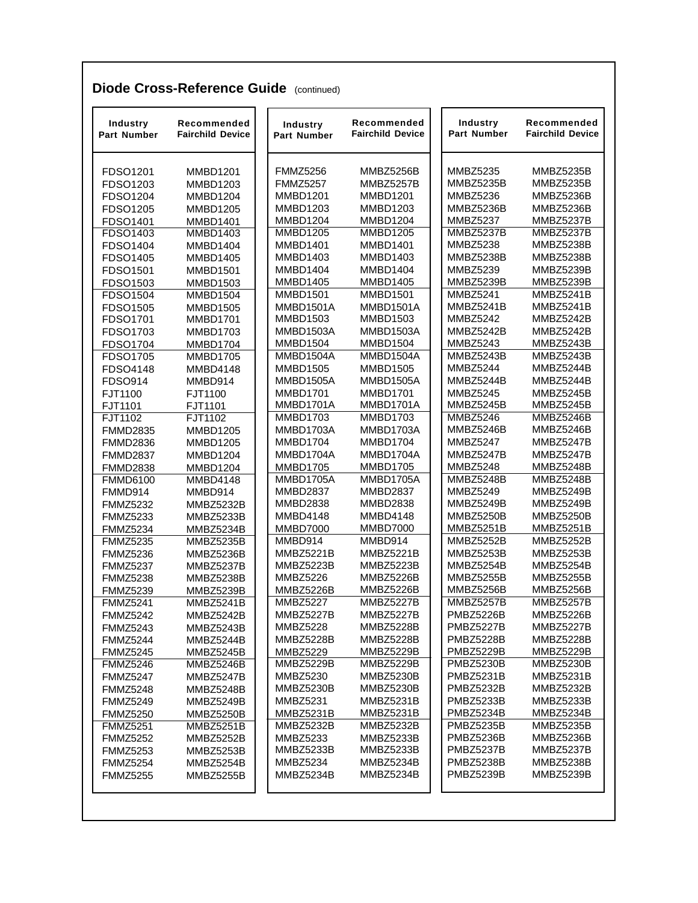|  | <b>Diode Cross-Reference Guide (continued)</b> |  |  |
|--|------------------------------------------------|--|--|
|--|------------------------------------------------|--|--|

| <b>Industry</b><br><b>Part Number</b> | Recommended<br><b>Fairchild Device</b> | Industry<br><b>Part Number</b> | Recommended<br><b>Fairchild Device</b> | Industry<br><b>Part Number</b> | Recommended<br><b>Fairchild Device</b> |
|---------------------------------------|----------------------------------------|--------------------------------|----------------------------------------|--------------------------------|----------------------------------------|
| FDSO1201                              | <b>MMBD1201</b>                        | <b>FMMZ5256</b>                | MMBZ5256B                              | MMBZ5235                       | <b>MMBZ5235B</b>                       |
| FDSO1203                              | <b>MMBD1203</b>                        | <b>FMMZ5257</b>                | MMBZ5257B                              | <b>MMBZ5235B</b>               | MMBZ5235B                              |
| FDSO1204                              | MMBD1204                               | <b>MMBD1201</b>                | <b>MMBD1201</b>                        | <b>MMBZ5236</b>                | MMBZ5236B                              |
| FDSO1205                              | <b>MMBD1205</b>                        | MMBD1203                       | <b>MMBD1203</b>                        | MMBZ5236B                      | MMBZ5236B                              |
| FDSO1401                              | <b>MMBD1401</b>                        | MMBD1204                       | MMBD1204                               | <b>MMBZ5237</b>                | MMBZ5237B                              |
| FDSO1403                              | <b>MMBD1403</b>                        | <b>MMBD1205</b>                | <b>MMBD1205</b>                        | MMBZ5237B                      | MMBZ5237B                              |
| FDSO1404                              | <b>MMBD1404</b>                        | <b>MMBD1401</b>                | <b>MMBD1401</b>                        | <b>MMBZ5238</b>                | MMBZ5238B                              |
| FDSO1405                              | <b>MMBD1405</b>                        | <b>MMBD1403</b>                | <b>MMBD1403</b>                        | MMBZ5238B                      | MMBZ5238B                              |
| FDSO1501                              | <b>MMBD1501</b>                        | <b>MMBD1404</b>                | <b>MMBD1404</b>                        | <b>MMBZ5239</b>                | <b>MMBZ5239B</b>                       |
| FDSO1503                              | <b>MMBD1503</b>                        | <b>MMBD1405</b>                | <b>MMBD1405</b>                        | MMBZ5239B                      | MMBZ5239B                              |
| FDSO1504                              | <b>MMBD1504</b>                        | <b>MMBD1501</b>                | <b>MMBD1501</b>                        | <b>MMBZ5241</b>                | MMBZ5241B                              |
| FDSO1505                              | <b>MMBD1505</b>                        | MMBD1501A                      | MMBD1501A                              | MMBZ5241B                      | MMBZ5241B                              |
| FDSO1701                              | <b>MMBD1701</b>                        | <b>MMBD1503</b>                | <b>MMBD1503</b>                        | <b>MMBZ5242</b>                | MMBZ5242B                              |
| FDSO1703                              | MMBD1703                               | MMBD1503A                      | MMBD1503A                              | MMBZ5242B                      | MMBZ5242B                              |
| FDSO1704                              | MMBD1704                               | MMBD1504                       | <b>MMBD1504</b>                        | <b>MMBZ5243</b>                | MMBZ5243B                              |
| FDSO1705                              | <b>MMBD1705</b>                        | MMBD1504A                      | MMBD1504A                              | MMBZ5243B                      | <b>MMBZ5243B</b>                       |
| FDSO4148                              | <b>MMBD4148</b>                        | <b>MMBD1505</b>                | <b>MMBD1505</b>                        | <b>MMBZ5244</b>                | MMBZ5244B                              |
| <b>FDSO914</b>                        | MMBD914                                | MMBD1505A                      | MMBD1505A                              | MMBZ5244B                      | MMBZ5244B                              |
| FJT1100                               | FJT1100                                | <b>MMBD1701</b>                | <b>MMBD1701</b>                        | <b>MMBZ5245</b>                | MMBZ5245B                              |
| FJT1101                               | FJT1101                                | MMBD1701A                      | MMBD1701A                              | MMBZ5245B                      | MMBZ5245B                              |
| FJT1102                               | FJT1102                                | <b>MMBD1703</b>                | <b>MMBD1703</b>                        | <b>MMBZ5246</b>                | MMBZ5246B                              |
| <b>FMMD2835</b>                       | <b>MMBD1205</b>                        | MMBD1703A                      | MMBD1703A                              | MMBZ5246B                      | MMBZ5246B                              |
| <b>FMMD2836</b>                       | <b>MMBD1205</b>                        | MMBD1704                       | MMBD1704                               | <b>MMBZ5247</b>                | MMBZ5247B                              |
| <b>FMMD2837</b>                       | MMBD1204                               | MMBD1704A                      | MMBD1704A                              | MMBZ5247B                      | MMBZ5247B                              |
| <b>FMMD2838</b>                       | MMBD1204                               | <b>MMBD1705</b>                | <b>MMBD1705</b>                        | <b>MMBZ5248</b>                | MMBZ5248B                              |
| <b>FMMD6100</b>                       | <b>MMBD4148</b>                        | MMBD1705A                      | MMBD1705A                              | MMBZ5248B                      | MMBZ5248B                              |
| FMMD914                               | MMBD914                                | <b>MMBD2837</b>                | <b>MMBD2837</b>                        | <b>MMBZ5249</b>                | MMBZ5249B                              |
| <b>FMMZ5232</b>                       | <b>MMBZ5232B</b>                       | <b>MMBD2838</b>                | MMBD2838                               | MMBZ5249B                      | MMBZ5249B                              |
| <b>FMMZ5233</b>                       | MMBZ5233B                              | <b>MMBD4148</b>                | <b>MMBD4148</b>                        | MMBZ5250B                      | MMBZ5250B                              |
| <b>FMMZ5234</b>                       | MMBZ5234B                              | <b>MMBD7000</b>                | <b>MMBD7000</b>                        | MMBZ5251B                      | MMBZ5251B                              |
| <b>FMMZ5235</b>                       | MMBZ5235B                              | MMBD914                        | MMBD914                                | <b>MMBZ5252B</b>               | <b>MMBZ5252B</b>                       |
| <b>FMMZ5236</b>                       | MMBZ5236B                              | <b>MMBZ5221B</b>               | MMBZ5221B                              | MMBZ5253B                      | MMBZ5253B                              |
| <b>FMMZ5237</b>                       | MMBZ5237B                              | <b>MMBZ5223B</b>               | MMBZ5223B                              | MMBZ5254B                      | MMBZ5254B                              |
| <b>FMMZ5238</b>                       | MMBZ5238B                              | <b>MMBZ5226</b>                | MMBZ5226B                              | MMBZ5255B                      | MMBZ5255B                              |
| <b>FMMZ5239</b>                       | MMBZ5239B                              | <b>MMBZ5226B</b>               | MMBZ5226B                              | MMBZ5256B                      | MMBZ5256B                              |
| <b>FMMZ5241</b>                       | MMBZ5241B                              | <b>MMBZ5227</b>                | <b>MMBZ5227B</b>                       | MMBZ5257B                      | MMBZ5257B                              |
| <b>FMMZ5242</b>                       | MMBZ5242B                              | MMBZ5227B                      | MMBZ5227B                              | <b>PMBZ5226B</b>               | MMBZ5226B                              |
| <b>FMMZ5243</b>                       | MMBZ5243B                              | <b>MMBZ5228</b>                | <b>MMBZ5228B</b>                       | <b>PMBZ5227B</b>               | MMBZ5227B                              |
| <b>FMMZ5244</b>                       | MMBZ5244B                              | <b>MMBZ5228B</b>               | <b>MMBZ5228B</b>                       | PMBZ5228B                      | <b>MMBZ5228B</b>                       |
| <b>FMMZ5245</b>                       | MMBZ5245B                              | <b>MMBZ5229</b>                | <b>MMBZ5229B</b>                       | <b>PMBZ5229B</b>               | <b>MMBZ5229B</b>                       |
| <b>FMMZ5246</b>                       | MMBZ5246B                              | <b>MMBZ5229B</b>               | MMBZ5229B                              | <b>PMBZ5230B</b>               | MMBZ5230B                              |
| <b>FMMZ5247</b>                       | MMBZ5247B                              | <b>MMBZ5230</b>                | MMBZ5230B                              | <b>PMBZ5231B</b>               | MMBZ5231B                              |
| <b>FMMZ5248</b>                       | MMBZ5248B                              | MMBZ5230B                      | MMBZ5230B                              | <b>PMBZ5232B</b>               | MMBZ5232B                              |
| <b>FMMZ5249</b>                       | MMBZ5249B                              | <b>MMBZ5231</b>                | <b>MMBZ5231B</b>                       | <b>PMBZ5233B</b>               | MMBZ5233B                              |
| <b>FMMZ5250</b>                       | <b>MMBZ5250B</b>                       | MMBZ5231B                      | MMBZ5231B                              | PMBZ5234B                      | MMBZ5234B                              |
| <b>FMMZ5251</b>                       | MMBZ5251B                              | MMBZ5232B                      | MMBZ5232B                              | <b>PMBZ5235B</b>               | <b>MMBZ5235B</b>                       |
| <b>FMMZ5252</b>                       | <b>MMBZ5252B</b>                       | <b>MMBZ5233</b>                | MMBZ5233B                              | <b>PMBZ5236B</b>               | <b>MMBZ5236B</b>                       |
| <b>FMMZ5253</b>                       | MMBZ5253B                              | MMBZ5233B                      | MMBZ5233B                              | <b>PMBZ5237B</b>               | MMBZ5237B                              |
| <b>FMMZ5254</b>                       | MMBZ5254B                              | <b>MMBZ5234</b>                | MMBZ5234B                              | <b>PMBZ5238B</b>               | MMBZ5238B                              |
| <b>FMMZ5255</b>                       | MMBZ5255B                              | MMBZ5234B                      | MMBZ5234B                              | <b>PMBZ5239B</b>               | MMBZ5239B                              |
|                                       |                                        |                                |                                        |                                |                                        |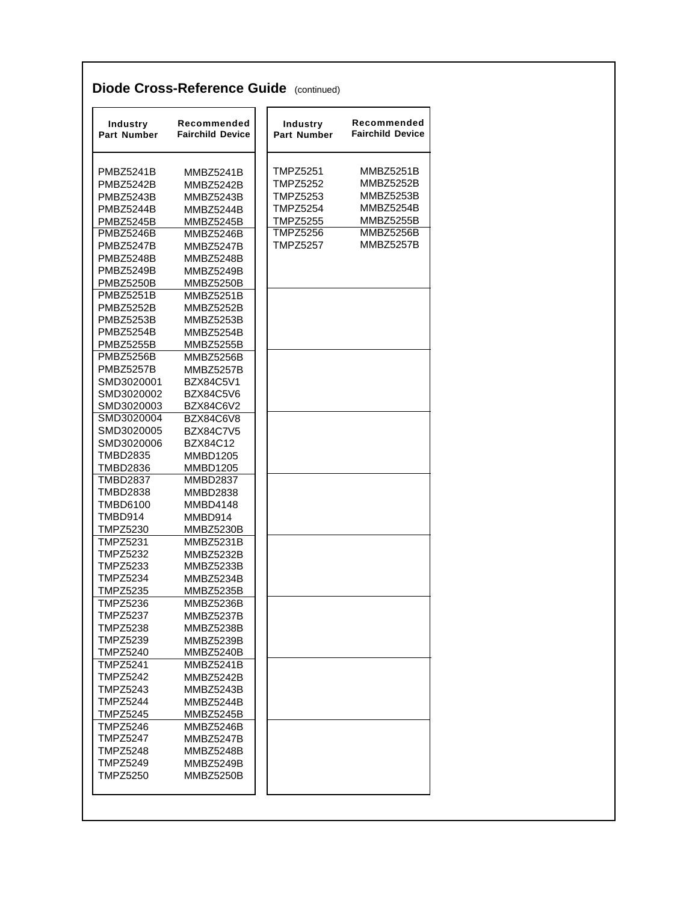| Industry<br>Part Number            | Recommended<br><b>Fairchild Device</b> | <b>Industry</b><br><b>Part Number</b> | Recommended<br><b>Fairchild Device</b> |
|------------------------------------|----------------------------------------|---------------------------------------|----------------------------------------|
| <b>PMBZ5241B</b>                   | MMBZ5241B                              | <b>TMPZ5251</b>                       | MMBZ5251B                              |
| PMBZ5242B                          | MMBZ5242B                              | <b>TMPZ5252</b>                       | <b>MMBZ5252B</b>                       |
| <b>PMBZ5243B</b>                   | MMBZ5243B                              | <b>TMPZ5253</b>                       | MMBZ5253B                              |
| PMBZ5244B                          | MMBZ5244B                              | <b>TMPZ5254</b>                       | MMBZ5254B                              |
| <b>PMBZ5245B</b>                   | MMBZ5245B                              | <b>TMPZ5255</b>                       | MMBZ5255B                              |
| <b>PMBZ5246B</b>                   | MMBZ5246B                              | <b>TMPZ5256</b>                       | MMBZ5256B                              |
| <b>PMBZ5247B</b>                   | MMBZ5247B                              | <b>TMPZ5257</b>                       | MMBZ5257B                              |
| <b>PMBZ5248B</b>                   | <b>MMBZ5248B</b>                       |                                       |                                        |
| <b>PMBZ5249B</b>                   | MMBZ5249B                              |                                       |                                        |
| <b>PMBZ5250B</b>                   | MMBZ5250B                              |                                       |                                        |
| <b>PMBZ5251B</b>                   | <b>MMBZ5251B</b>                       |                                       |                                        |
| PMBZ5252B                          | MMBZ5252B                              |                                       |                                        |
| <b>PMBZ5253B</b>                   | MMBZ5253B                              |                                       |                                        |
| <b>PMBZ5254B</b>                   | MMBZ5254B                              |                                       |                                        |
| <b>PMBZ5255B</b>                   | <b>MMBZ5255B</b>                       |                                       |                                        |
| <b>PMBZ5256B</b>                   | MMBZ5256B                              |                                       |                                        |
| <b>PMBZ5257B</b>                   | MMBZ5257B                              |                                       |                                        |
| SMD3020001                         | BZX84C5V1                              |                                       |                                        |
| SMD3020002                         | BZX84C5V6                              |                                       |                                        |
| SMD3020003                         | BZX84C6V2                              |                                       |                                        |
| SMD3020004                         | BZX84C6V8                              |                                       |                                        |
| SMD3020005                         | <b>BZX84C7V5</b>                       |                                       |                                        |
| SMD3020006                         | BZX84C12                               |                                       |                                        |
| <b>TMBD2835</b>                    | <b>MMBD1205</b>                        |                                       |                                        |
| <b>TMBD2836</b>                    | <b>MMBD1205</b>                        |                                       |                                        |
| <b>TMBD2837</b>                    | <b>MMBD2837</b>                        |                                       |                                        |
| <b>TMBD2838</b>                    | <b>MMBD2838</b>                        |                                       |                                        |
| TMBD6100                           | MMBD4148                               |                                       |                                        |
| TMBD914                            | MMBD914                                |                                       |                                        |
| <b>TMPZ5230</b>                    | MMBZ5230B                              |                                       |                                        |
| <b>TMPZ5231</b>                    | <b>MMBZ5231B</b>                       |                                       |                                        |
| <b>TMPZ5232</b>                    | <b>MMBZ5232B</b>                       |                                       |                                        |
| <b>TMPZ5233</b>                    | MMBZ5233B                              |                                       |                                        |
| <b>TMPZ5234</b>                    | MMBZ5234B                              |                                       |                                        |
| <b>TMPZ5235</b>                    | MMBZ5235B                              |                                       |                                        |
| <b>TMPZ5236</b>                    | MMBZ5236B                              |                                       |                                        |
| <b>TMPZ5237</b>                    | MMBZ5237B                              |                                       |                                        |
| TMPZ5238                           | MMBZ5238B                              |                                       |                                        |
| TMPZ5239                           | MMBZ5239B                              |                                       |                                        |
| <b>TMPZ5240</b><br><b>TMPZ5241</b> | MMBZ5240B<br>MMBZ5241B                 |                                       |                                        |
| TMPZ5242                           |                                        |                                       |                                        |
| TMPZ5243                           | MMBZ5242B<br><b>MMBZ5243B</b>          |                                       |                                        |
| <b>TMPZ5244</b>                    | MMBZ5244B                              |                                       |                                        |
| <b>TMPZ5245</b>                    | MMBZ5245B                              |                                       |                                        |
| <b>TMPZ5246</b>                    | MMBZ5246B                              |                                       |                                        |
| TMPZ5247                           | MMBZ5247B                              |                                       |                                        |
| TMPZ5248                           | MMBZ5248B                              |                                       |                                        |
| <b>TMPZ5249</b>                    | <b>MMBZ5249B</b>                       |                                       |                                        |
| <b>TMPZ5250</b>                    | MMBZ5250B                              |                                       |                                        |
|                                    |                                        |                                       |                                        |
|                                    |                                        |                                       |                                        |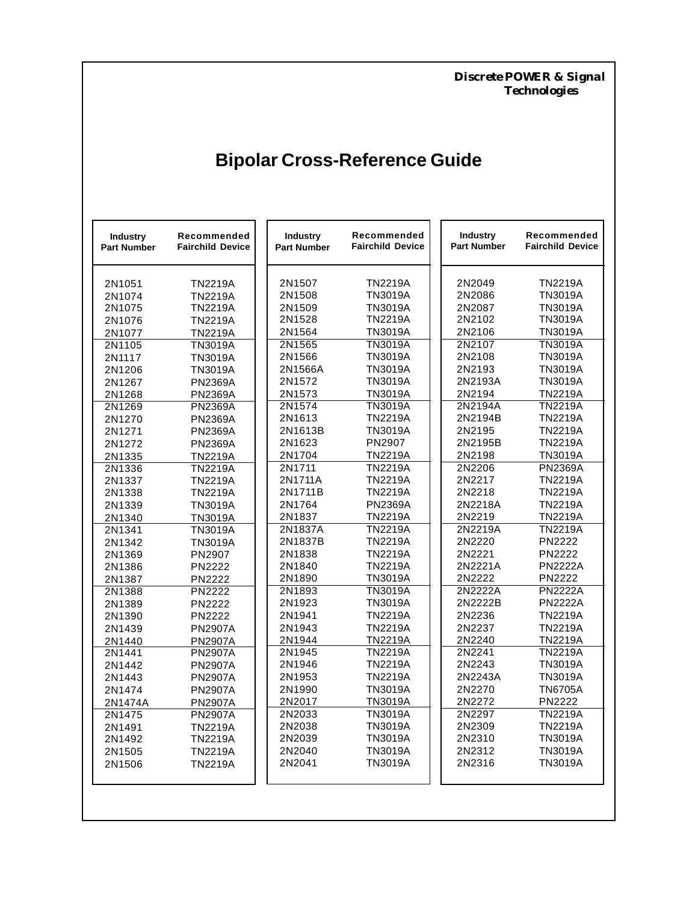*Discrete POWER & Signal Technologies*

# **Bipolar Cross-Reference Guide**

| <b>Industry</b><br><b>Part Number</b> | Recommended<br><b>Fairchild Device</b> | Industry<br><b>Part Number</b> | Recommended<br><b>Fairchild Device</b> | <b>Industry</b><br><b>Part Number</b> | Recommended<br><b>Fairchild Device</b> |
|---------------------------------------|----------------------------------------|--------------------------------|----------------------------------------|---------------------------------------|----------------------------------------|
| 2N1051                                | <b>TN2219A</b>                         | 2N1507                         | <b>TN2219A</b>                         | 2N2049                                | <b>TN2219A</b>                         |
| 2N1074                                | <b>TN2219A</b>                         | 2N1508                         | <b>TN3019A</b>                         | 2N2086                                | <b>TN3019A</b>                         |
| 2N1075                                | <b>TN2219A</b>                         | 2N1509                         | TN3019A                                | 2N2087                                | <b>TN3019A</b>                         |
| 2N1076                                | <b>TN2219A</b>                         | 2N1528                         | <b>TN2219A</b>                         | 2N2102                                | <b>TN3019A</b>                         |
| 2N1077                                | <b>TN2219A</b>                         | 2N1564                         | TN3019A                                | 2N2106                                | <b>TN3019A</b>                         |
| 2N1105                                | <b>TN3019A</b>                         | 2N1565                         | TN3019A                                | 2N2107                                | <b>TN3019A</b>                         |
| 2N1117                                | <b>TN3019A</b>                         | 2N1566                         | TN3019A                                | 2N2108                                | <b>TN3019A</b>                         |
| 2N1206                                | <b>TN3019A</b>                         | 2N1566A                        | <b>TN3019A</b>                         | 2N2193                                | <b>TN3019A</b>                         |
| 2N1267                                | <b>PN2369A</b>                         | 2N1572                         | <b>TN3019A</b>                         | 2N2193A                               | <b>TN3019A</b>                         |
| 2N1268                                | <b>PN2369A</b>                         | 2N1573                         | <b>TN3019A</b>                         | 2N2194                                | <b>TN2219A</b>                         |
| 2N1269                                | <b>PN2369A</b>                         | 2N1574                         | TN3019A                                | 2N2194A                               | <b>TN2219A</b>                         |
| 2N1270                                | <b>PN2369A</b>                         | 2N1613                         | TN2219A                                | 2N2194B                               | <b>TN2219A</b>                         |
| 2N1271                                | <b>PN2369A</b>                         | 2N1613B                        | TN3019A                                | 2N2195                                | <b>TN2219A</b>                         |
| 2N1272                                | <b>PN2369A</b>                         | 2N1623                         | PN2907                                 | 2N2195B                               | <b>TN2219A</b>                         |
| 2N1335                                | <b>TN2219A</b>                         | 2N1704                         | TN2219A                                | 2N2198                                | <b>TN3019A</b>                         |
| 2N1336                                | <b>TN2219A</b>                         | 2N1711                         | <b>TN2219A</b>                         | 2N2206                                | <b>PN2369A</b>                         |
| 2N1337                                | <b>TN2219A</b>                         | 2N1711A                        | <b>TN2219A</b>                         | 2N2217                                | <b>TN2219A</b>                         |
| 2N1338                                | <b>TN2219A</b>                         | 2N1711B                        | TN2219A                                | 2N2218                                | <b>TN2219A</b>                         |
| 2N1339                                | <b>TN3019A</b>                         | 2N1764                         | <b>PN2369A</b>                         | 2N2218A                               | <b>TN2219A</b>                         |
| 2N1340                                | <b>TN3019A</b>                         | 2N1837                         | TN2219A                                | 2N2219                                | <b>TN2219A</b>                         |
| 2N1341                                | <b>TN3019A</b>                         | 2N1837A                        | <b>TN2219A</b>                         | 2N2219A                               | <b>TN2219A</b>                         |
| 2N1342                                | <b>TN3019A</b>                         | 2N1837B                        | <b>TN2219A</b>                         | 2N2220                                | PN2222                                 |
| 2N1369                                | PN2907                                 | 2N1838                         | <b>TN2219A</b>                         | 2N2221                                | PN2222                                 |
| 2N1386                                | PN2222                                 | 2N1840                         | <b>TN2219A</b>                         | 2N2221A                               | <b>PN2222A</b>                         |
| 2N1387                                | <b>PN2222</b>                          | 2N1890                         | TN3019A                                | 2N2222                                | PN2222                                 |
| 2N1388                                | <b>PN2222</b>                          | 2N1893                         | TN3019A                                | 2N2222A                               | <b>PN2222A</b>                         |
| 2N1389                                | PN2222                                 | 2N1923                         | TN3019A                                | 2N2222B                               | <b>PN2222A</b>                         |
| 2N1390                                | PN2222                                 | 2N1941                         | TN2219A                                | 2N2236                                | <b>TN2219A</b>                         |
| 2N1439                                | <b>PN2907A</b>                         | 2N1943                         | <b>TN2219A</b>                         | 2N2237                                | <b>TN2219A</b>                         |
| 2N1440                                | <b>PN2907A</b>                         | 2N1944                         | <b>TN2219A</b>                         | 2N2240                                | <b>TN2219A</b>                         |
| 2N1441                                | <b>PN2907A</b>                         | 2N1945                         | <b>TN2219A</b>                         | 2N2241                                | <b>TN2219A</b>                         |
| 2N1442                                | <b>PN2907A</b>                         | 2N1946                         | <b>TN2219A</b>                         | 2N2243                                | TN3019A                                |
| 2N1443                                | <b>PN2907A</b>                         | 2N1953                         | <b>TN2219A</b>                         | 2N2243A                               | <b>TN3019A</b>                         |
| 2N1474                                | <b>PN2907A</b>                         | 2N1990                         | TN3019A                                | 2N2270                                | <b>TN6705A</b>                         |
| 2N1474A                               | <b>PN2907A</b>                         | 2N2017                         | <b>TN3019A</b>                         | 2N2272                                | PN2222                                 |
| 2N1475                                | <b>PN2907A</b>                         | 2N2033                         | TN3019A                                | 2N2297                                | <b>TN2219A</b>                         |
| 2N1491                                | <b>TN2219A</b>                         | 2N2038                         | TN3019A                                | 2N2309                                | <b>TN2219A</b>                         |
| 2N1492                                | <b>TN2219A</b>                         | 2N2039                         | TN3019A                                | 2N2310                                | <b>TN3019A</b>                         |
| 2N1505                                | <b>TN2219A</b>                         | 2N2040                         | TN3019A                                | 2N2312                                | TN3019A                                |
| 2N1506                                | <b>TN2219A</b>                         | 2N2041                         | TN3019A                                | 2N2316                                | TN3019A                                |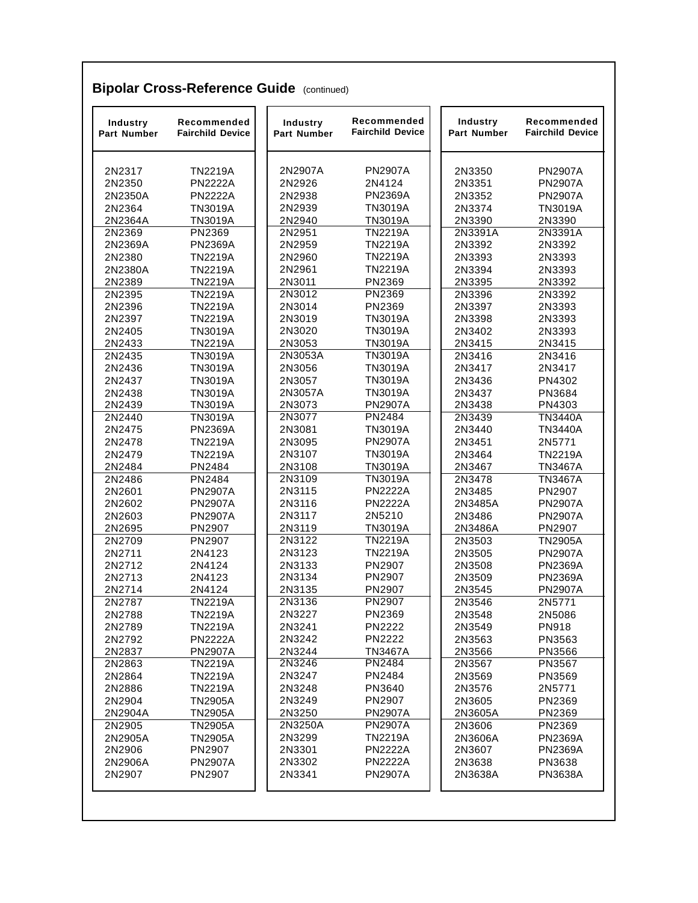| Industry<br><b>Part Number</b> | Recommended<br><b>Fairchild Device</b> | Industry<br><b>Part Number</b> | Recommended<br><b>Fairchild Device</b> | Industry<br><b>Part Number</b> | Recommended<br><b>Fairchild Device</b> |
|--------------------------------|----------------------------------------|--------------------------------|----------------------------------------|--------------------------------|----------------------------------------|
| 2N2317                         | <b>TN2219A</b>                         | 2N2907A                        | <b>PN2907A</b>                         | 2N3350                         | <b>PN2907A</b>                         |
| 2N2350                         | <b>PN2222A</b>                         | 2N2926                         | 2N4124                                 | 2N3351                         | <b>PN2907A</b>                         |
| 2N2350A                        | <b>PN2222A</b>                         | 2N2938                         | <b>PN2369A</b>                         | 2N3352                         | <b>PN2907A</b>                         |
| 2N2364                         | <b>TN3019A</b>                         | 2N2939                         | <b>TN3019A</b>                         | 2N3374                         | <b>TN3019A</b>                         |
| 2N2364A                        | <b>TN3019A</b>                         | 2N2940                         | <b>TN3019A</b>                         | 2N3390                         | 2N3390                                 |
| 2N2369                         | PN2369                                 | 2N2951                         | <b>TN2219A</b>                         | 2N3391A                        | 2N3391A                                |
| 2N2369A                        | <b>PN2369A</b>                         | 2N2959                         | <b>TN2219A</b>                         | 2N3392                         | 2N3392                                 |
| 2N2380                         | <b>TN2219A</b>                         | 2N2960                         | <b>TN2219A</b>                         | 2N3393                         | 2N3393                                 |
| 2N2380A                        | <b>TN2219A</b>                         | 2N2961                         | <b>TN2219A</b>                         | 2N3394                         | 2N3393                                 |
| 2N2389                         | <b>TN2219A</b>                         | 2N3011                         | PN2369                                 | 2N3395                         | 2N3392                                 |
| 2N2395                         | <b>TN2219A</b>                         | 2N3012                         | <b>PN2369</b>                          | 2N3396                         | 2N3392                                 |
| 2N2396                         | <b>TN2219A</b>                         | 2N3014                         | PN2369                                 | 2N3397                         | 2N3393                                 |
| 2N2397                         | <b>TN2219A</b>                         | 2N3019                         | <b>TN3019A</b>                         | 2N3398                         | 2N3393                                 |
| 2N2405                         | <b>TN3019A</b>                         | 2N3020                         | <b>TN3019A</b>                         | 2N3402                         | 2N3393                                 |
| 2N2433                         | <b>TN2219A</b>                         | 2N3053                         | TN3019A                                | 2N3415                         | 2N3415                                 |
| 2N2435                         | <b>TN3019A</b>                         | 2N3053A                        | <b>TN3019A</b>                         | 2N3416                         | 2N3416                                 |
| 2N2436                         | <b>TN3019A</b>                         | 2N3056                         | <b>TN3019A</b>                         | 2N3417                         | 2N3417                                 |
| 2N2437                         | <b>TN3019A</b>                         | 2N3057                         | <b>TN3019A</b>                         | 2N3436                         | PN4302                                 |
| 2N2438                         | <b>TN3019A</b>                         | 2N3057A                        | <b>TN3019A</b>                         | 2N3437                         | PN3684                                 |
| 2N2439                         | <b>TN3019A</b>                         | 2N3073                         | <b>PN2907A</b>                         | 2N3438                         | PN4303                                 |
| 2N2440                         | <b>TN3019A</b>                         | 2N3077                         | <b>PN2484</b>                          | 2N3439                         | <b>TN3440A</b>                         |
| 2N2475                         | <b>PN2369A</b>                         | 2N3081                         | <b>TN3019A</b>                         | 2N3440                         | <b>TN3440A</b>                         |
| 2N2478                         | <b>TN2219A</b>                         | 2N3095                         | <b>PN2907A</b>                         | 2N3451                         | 2N5771                                 |
| 2N2479                         | <b>TN2219A</b>                         | 2N3107                         | <b>TN3019A</b>                         | 2N3464                         | <b>TN2219A</b>                         |
| 2N2484                         | PN2484                                 | 2N3108                         | <b>TN3019A</b>                         | 2N3467                         | <b>TN3467A</b>                         |
| 2N2486                         | PN2484                                 | 2N3109                         | <b>TN3019A</b>                         | 2N3478                         | <b>TN3467A</b>                         |
| 2N2601                         | <b>PN2907A</b>                         | 2N3115                         | <b>PN2222A</b>                         | 2N3485                         | PN2907                                 |
| 2N2602                         | <b>PN2907A</b>                         | 2N3116                         | <b>PN2222A</b>                         | 2N3485A                        | <b>PN2907A</b>                         |
| 2N2603                         | <b>PN2907A</b>                         | 2N3117                         | 2N5210                                 | 2N3486                         | <b>PN2907A</b>                         |
| 2N2695                         | PN2907                                 | 2N3119                         | <b>TN3019A</b>                         | 2N3486A                        | PN2907                                 |
| 2N2709                         | <b>PN2907</b>                          | 2N3122                         | <b>TN2219A</b>                         | 2N3503                         | <b>TN2905A</b>                         |
| 2N2711                         | 2N4123                                 | 2N3123                         | <b>TN2219A</b>                         | 2N3505                         | <b>PN2907A</b>                         |
| 2N2712                         | 2N4124                                 | 2N3133                         | PN2907                                 | 2N3508                         | <b>PN2369A</b>                         |
| 2N2713                         | 2N4123                                 | 2N3134                         | PN2907                                 | 2N3509                         | <b>PN2369A</b>                         |
| 2N2714                         | 2N4124                                 | 2N3135                         | PN2907                                 | 2N3545                         | <b>PN2907A</b>                         |
| 2N2787                         | <b>TN2219A</b>                         | 2N3136                         | PN2907                                 | 2N3546                         | 2N5771                                 |
| 2N2788                         | <b>TN2219A</b>                         | 2N3227                         | PN2369                                 | 2N3548                         | 2N5086                                 |
| 2N2789                         | <b>TN2219A</b>                         | 2N3241                         | <b>PN2222</b>                          | 2N3549                         | PN918                                  |
| 2N2792                         | <b>PN2222A</b>                         | 2N3242                         | <b>PN2222</b>                          | 2N3563                         | PN3563                                 |
| 2N2837                         | <b>PN2907A</b>                         | 2N3244                         | <b>TN3467A</b>                         | 2N3566                         | PN3566                                 |
| 2N2863                         | <b>TN2219A</b>                         | 2N3246                         | PN2484                                 | 2N3567                         | PN3567                                 |
| 2N2864                         | <b>TN2219A</b>                         | 2N3247                         | PN2484                                 | 2N3569                         | PN3569                                 |
| 2N2886                         | <b>TN2219A</b>                         | 2N3248                         | PN3640                                 | 2N3576                         | 2N5771                                 |
| 2N2904                         | <b>TN2905A</b>                         | 2N3249                         | PN2907                                 | 2N3605                         | PN2369                                 |
| 2N2904A                        | <b>TN2905A</b>                         | 2N3250                         | <b>PN2907A</b>                         | 2N3605A                        | PN2369                                 |
| 2N2905                         | <b>TN2905A</b>                         | 2N3250A                        | <b>PN2907A</b>                         | 2N3606                         | PN2369                                 |
|                                |                                        | 2N3299                         | <b>TN2219A</b>                         | 2N3606A                        | <b>PN2369A</b>                         |
| 2N2905A<br>2N2906              | <b>TN2905A</b><br>PN2907               | 2N3301                         | <b>PN2222A</b>                         | 2N3607                         | <b>PN2369A</b>                         |
| 2N2906A                        | <b>PN2907A</b>                         | 2N3302                         | <b>PN2222A</b>                         | 2N3638                         | PN3638                                 |
| 2N2907                         | PN2907                                 | 2N3341                         | <b>PN2907A</b>                         | 2N3638A                        | <b>PN3638A</b>                         |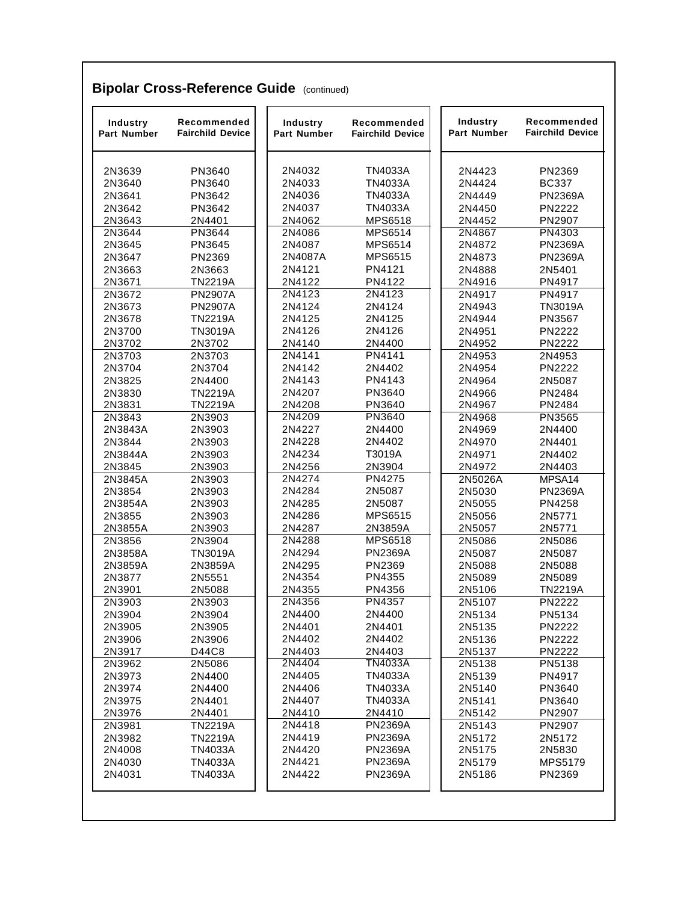| Industry<br>Part Number | Recommended<br><b>Fairchild Device</b> | Industry<br>Part Number | Recommended<br><b>Fairchild Device</b> | <b>Industry</b><br>Part Number | Recommended<br><b>Fairchild Device</b> |
|-------------------------|----------------------------------------|-------------------------|----------------------------------------|--------------------------------|----------------------------------------|
| 2N3639                  | PN3640                                 | 2N4032                  | <b>TN4033A</b>                         | 2N4423                         | PN2369                                 |
| 2N3640                  | PN3640                                 | 2N4033                  | <b>TN4033A</b>                         | 2N4424                         | <b>BC337</b>                           |
| 2N3641                  | PN3642                                 | 2N4036                  | <b>TN4033A</b>                         | 2N4449                         | <b>PN2369A</b>                         |
| 2N3642                  | PN3642                                 | 2N4037                  | <b>TN4033A</b>                         | 2N4450                         | <b>PN2222</b>                          |
| 2N3643                  | 2N4401                                 | 2N4062                  | MPS6518                                | 2N4452                         | PN2907                                 |
| 2N3644                  | PN3644                                 | 2N4086                  | <b>MPS6514</b>                         | 2N4867                         | PN4303                                 |
| 2N3645                  | PN3645                                 | 2N4087                  | MPS6514                                | 2N4872                         | <b>PN2369A</b>                         |
| 2N3647                  | PN2369                                 | 2N4087A                 | MPS6515                                | 2N4873                         | <b>PN2369A</b>                         |
| 2N3663                  | 2N3663                                 | 2N4121                  | PN4121                                 | 2N4888                         | 2N5401                                 |
| 2N3671                  | <b>TN2219A</b>                         | 2N4122                  | PN4122                                 | 2N4916                         | PN4917                                 |
| 2N3672                  | <b>PN2907A</b>                         | 2N4123                  | 2N4123                                 | 2N4917                         | PN4917                                 |
| 2N3673                  | <b>PN2907A</b>                         | 2N4124                  | 2N4124                                 | 2N4943                         | <b>TN3019A</b>                         |
| 2N3678                  | <b>TN2219A</b>                         | 2N4125                  | 2N4125                                 | 2N4944                         | PN3567                                 |
| 2N3700                  | <b>TN3019A</b>                         | 2N4126                  | 2N4126                                 | 2N4951                         | <b>PN2222</b>                          |
| 2N3702                  | 2N3702                                 | 2N4140                  | 2N4400                                 | 2N4952                         | <b>PN2222</b>                          |
| 2N3703                  | 2N3703                                 | 2N4141                  | PN4141                                 | 2N4953                         | 2N4953                                 |
| 2N3704                  | 2N3704                                 | 2N4142                  | 2N4402                                 | 2N4954                         | <b>PN2222</b>                          |
| 2N3825                  | 2N4400                                 | 2N4143                  | PN4143                                 | 2N4964                         | 2N5087                                 |
| 2N3830                  | <b>TN2219A</b>                         | 2N4207                  | PN3640                                 | 2N4966                         | PN2484                                 |
| 2N3831                  | <b>TN2219A</b>                         | 2N4208                  | PN3640                                 | 2N4967                         | PN2484                                 |
| 2N3843                  | 2N3903                                 | 2N4209                  | <b>PN3640</b>                          | 2N4968                         | PN3565                                 |
| 2N3843A                 | 2N3903                                 | 2N4227                  | 2N4400                                 | 2N4969                         | 2N4400                                 |
| 2N3844                  | 2N3903                                 | 2N4228                  | 2N4402                                 | 2N4970                         | 2N4401                                 |
| 2N3844A                 | 2N3903                                 | 2N4234                  | T3019A                                 | 2N4971                         | 2N4402                                 |
| 2N3845                  | 2N3903                                 | 2N4256                  | 2N3904                                 | 2N4972                         | 2N4403                                 |
| 2N3845A                 | 2N3903                                 | 2N4274                  | <b>PN4275</b>                          | 2N5026A                        | MPSA14                                 |
| 2N3854                  | 2N3903                                 | 2N4284                  | 2N5087                                 | 2N5030                         | <b>PN2369A</b>                         |
| 2N3854A                 | 2N3903                                 | 2N4285                  | 2N5087                                 | 2N5055                         | PN4258                                 |
| 2N3855                  | 2N3903                                 | 2N4286                  | MPS6515                                | 2N5056                         | 2N5771                                 |
| 2N3855A                 | 2N3903                                 | 2N4287                  | 2N3859A                                | 2N5057                         | 2N5771                                 |
| 2N3856                  | 2N3904                                 | 2N4288                  | <b>MPS6518</b>                         | 2N5086                         | 2N5086                                 |
| 2N3858A                 | <b>TN3019A</b>                         | 2N4294                  | <b>PN2369A</b>                         | 2N5087                         | 2N5087                                 |
| 2N3859A                 | 2N3859A                                | 2N4295                  | PN2369                                 | 2N5088                         | 2N5088                                 |
| 2N3877                  | 2N5551                                 | 2N4354                  | PN4355                                 | 2N5089                         | 2N5089                                 |
| 2N3901                  | 2N5088                                 | 2N4355                  | PN4356                                 | 2N5106                         | <b>TN2219A</b>                         |
| 2N3903                  | 2N3903                                 | 2N4356                  | PN4357                                 | 2N5107                         | <b>PN2222</b>                          |
| 2N3904                  | 2N3904                                 | 2N4400                  | 2N4400                                 | 2N5134                         | PN5134                                 |
| 2N3905                  | 2N3905                                 | 2N4401                  | 2N4401                                 | 2N5135                         | PN2222                                 |
| 2N3906                  | 2N3906                                 | 2N4402                  | 2N4402                                 | 2N5136                         | <b>PN2222</b>                          |
| 2N3917                  | D44C8                                  | 2N4403                  | 2N4403                                 | 2N5137                         | PN2222                                 |
| 2N3962                  | 2N5086                                 | 2N4404                  | <b>TN4033A</b>                         | 2N5138                         | PN5138                                 |
| 2N3973                  | 2N4400                                 | 2N4405                  | <b>TN4033A</b>                         | 2N5139                         | PN4917                                 |
| 2N3974                  | 2N4400                                 | 2N4406                  | <b>TN4033A</b>                         | 2N5140                         | PN3640                                 |
| 2N3975                  | 2N4401                                 | 2N4407                  | <b>TN4033A</b>                         | 2N5141                         | PN3640                                 |
| 2N3976                  | 2N4401                                 | 2N4410                  | 2N4410                                 | 2N5142                         | PN2907                                 |
| 2N3981                  | <b>TN2219A</b>                         | 2N4418                  | <b>PN2369A</b>                         | 2N5143                         | PN2907                                 |
| 2N3982                  | <b>TN2219A</b>                         | 2N4419                  | <b>PN2369A</b>                         | 2N5172                         | 2N5172                                 |
| 2N4008                  | <b>TN4033A</b>                         | 2N4420                  | <b>PN2369A</b>                         | 2N5175                         | 2N5830                                 |
| 2N4030                  | <b>TN4033A</b>                         | 2N4421                  | <b>PN2369A</b>                         | 2N5179                         | MPS5179                                |
| 2N4031                  |                                        | 2N4422                  | <b>PN2369A</b>                         |                                | PN2369                                 |
|                         | <b>TN4033A</b>                         |                         |                                        | 2N5186                         |                                        |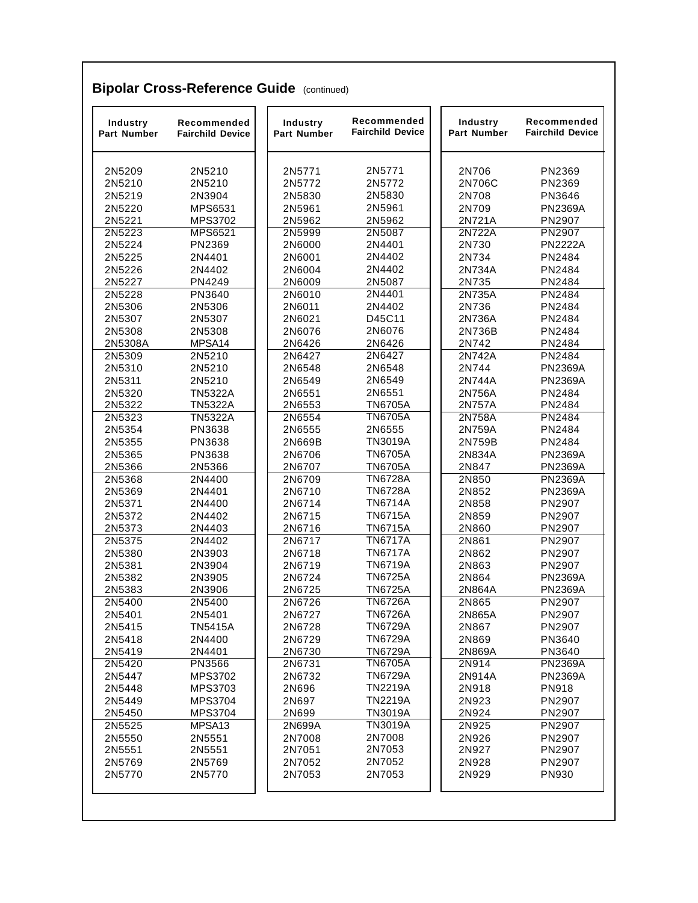| Industry<br>Part Number | Recommended<br><b>Fairchild Device</b> | Industry<br>Part Number | Recommended<br><b>Fairchild Device</b> | Industry<br>Part Number | Recommended<br><b>Fairchild Device</b> |
|-------------------------|----------------------------------------|-------------------------|----------------------------------------|-------------------------|----------------------------------------|
| 2N5209                  | 2N5210                                 | 2N5771                  | 2N5771                                 | 2N706                   | PN2369                                 |
| 2N5210                  | 2N5210                                 | 2N5772                  | 2N5772                                 | 2N706C                  | PN2369                                 |
| 2N5219                  | 2N3904                                 | 2N5830                  | 2N5830                                 | 2N708                   | PN3646                                 |
| 2N5220                  | <b>MPS6531</b>                         | 2N5961                  | 2N5961                                 | 2N709                   | <b>PN2369A</b>                         |
| 2N5221                  | MPS3702                                | 2N5962                  | 2N5962                                 | 2N721A                  | PN2907                                 |
| 2N5223                  | <b>MPS6521</b>                         | 2N5999                  | 2N5087                                 | 2N722A                  | <b>PN2907</b>                          |
| 2N5224                  | PN2369                                 | 2N6000                  | 2N4401                                 | 2N730                   | <b>PN2222A</b>                         |
| 2N5225                  | 2N4401                                 | 2N6001                  | 2N4402                                 | 2N734                   | PN2484                                 |
| 2N5226                  | 2N4402                                 | 2N6004                  | 2N4402                                 | 2N734A                  | PN2484                                 |
| 2N5227                  | PN4249                                 | 2N6009                  | 2N5087                                 | 2N735                   | PN2484                                 |
| 2N5228                  | PN3640                                 | 2N6010                  | 2N4401                                 | 2N735A                  | PN2484                                 |
| 2N5306                  | 2N5306                                 | 2N6011                  | 2N4402                                 | 2N736                   | PN2484                                 |
| 2N5307                  | 2N5307                                 | 2N6021                  | D45C11                                 | 2N736A                  | PN2484                                 |
| 2N5308                  | 2N5308                                 | 2N6076                  | 2N6076                                 | 2N736B                  | PN2484                                 |
| 2N5308A                 | MPSA14                                 | 2N6426                  | 2N6426                                 | 2N742                   | PN2484                                 |
| 2N5309                  | 2N5210                                 | 2N6427                  | 2N6427                                 | 2N742A                  | PN2484                                 |
| 2N5310                  | 2N5210                                 | 2N6548                  | 2N6548                                 | 2N744                   | <b>PN2369A</b>                         |
| 2N5311                  | 2N5210                                 | 2N6549                  | 2N6549                                 | 2N744A                  | <b>PN2369A</b>                         |
| 2N5320                  | <b>TN5322A</b>                         | 2N6551                  | 2N6551                                 | 2N756A                  | PN2484                                 |
| 2N5322                  | <b>TN5322A</b>                         | 2N6553                  | <b>TN6705A</b>                         | 2N757A                  | PN2484                                 |
| 2N5323                  | <b>TN5322A</b>                         | 2N6554                  | <b>TN6705A</b>                         | 2N758A                  | <b>PN2484</b>                          |
| 2N5354                  | PN3638                                 | 2N6555                  | 2N6555                                 | 2N759A                  | PN2484                                 |
| 2N5355                  | PN3638                                 | 2N669B                  | <b>TN3019A</b>                         | 2N759B                  | PN2484                                 |
| 2N5365                  | PN3638                                 | 2N6706                  | <b>TN6705A</b>                         | 2N834A                  | <b>PN2369A</b>                         |
| 2N5366                  | 2N5366                                 | 2N6707                  | <b>TN6705A</b>                         | 2N847                   | <b>PN2369A</b>                         |
| 2N5368                  | 2N4400                                 | 2N6709                  | <b>TN6728A</b>                         | 2N850                   | <b>PN2369A</b>                         |
| 2N5369                  | 2N4401                                 | 2N6710                  | <b>TN6728A</b>                         | 2N852                   | <b>PN2369A</b>                         |
| 2N5371                  | 2N4400                                 | 2N6714                  | <b>TN6714A</b>                         | 2N858                   | PN2907                                 |
| 2N5372                  | 2N4402                                 | 2N6715                  | <b>TN6715A</b>                         | 2N859                   | PN2907                                 |
| 2N5373                  | 2N4403                                 | 2N6716                  | <b>TN6715A</b>                         | 2N860                   | PN2907                                 |
| 2N5375                  | 2N4402                                 | 2N6717                  | <b>TN6717A</b>                         | 2N861                   | PN2907                                 |
| 2N5380                  | 2N3903                                 | 2N6718                  | <b>TN6717A</b>                         | 2N862                   | PN2907                                 |
| 2N5381                  | 2N3904                                 | 2N6719                  | <b>TN6719A</b>                         | 2N863                   | PN2907                                 |
| 2N5382                  | 2N3905                                 | 2N6724                  | <b>TN6725A</b>                         | 2N864                   | <b>PN2369A</b>                         |
| 2N5383                  | 2N3906                                 | 2N6725                  | <b>TN6725A</b>                         | 2N864A                  | <b>PN2369A</b>                         |
| 2N5400                  | 2N5400                                 | 2N6726                  | <b>TN6726A</b>                         | 2N865                   | PN2907                                 |
| 2N5401                  | 2N5401                                 | 2N6727                  | <b>TN6726A</b>                         | 2N865A                  | PN2907                                 |
| 2N5415                  | <b>TN5415A</b>                         | 2N6728                  | <b>TN6729A</b>                         | 2N867                   | PN2907                                 |
| 2N5418                  | 2N4400                                 | 2N6729                  | <b>TN6729A</b>                         | 2N869                   | PN3640                                 |
| 2N5419                  | 2N4401                                 | 2N6730                  | <b>TN6729A</b>                         | 2N869A                  | PN3640                                 |
| 2N5420                  | PN3566                                 | 2N6731                  | <b>TN6705A</b>                         | 2N914                   | <b>PN2369A</b>                         |
| 2N5447                  | MPS3702                                | 2N6732                  | <b>TN6729A</b>                         | 2N914A                  | <b>PN2369A</b>                         |
| 2N5448                  | MPS3703                                | 2N696                   | <b>TN2219A</b>                         | 2N918                   | PN918                                  |
| 2N5449                  | MPS3704                                | 2N697                   | <b>TN2219A</b>                         | 2N923                   | PN2907                                 |
| 2N5450                  | MPS3704                                | 2N699                   | <b>TN3019A</b>                         | 2N924                   | PN2907                                 |
| 2N5525                  | MPSA <sub>13</sub>                     | 2N699A                  | <b>TN3019A</b>                         | 2N925                   | PN2907                                 |
|                         | 2N5551                                 |                         | 2N7008                                 | 2N926                   | PN2907                                 |
| 2N5550                  |                                        | 2N7008                  | 2N7053                                 |                         |                                        |
| 2N5551                  | 2N5551                                 | 2N7051                  |                                        | 2N927                   | PN2907                                 |
| 2N5769                  | 2N5769                                 | 2N7052                  | 2N7052                                 | 2N928                   | PN2907                                 |
| 2N5770                  | 2N5770                                 | 2N7053                  | 2N7053                                 | 2N929                   | <b>PN930</b>                           |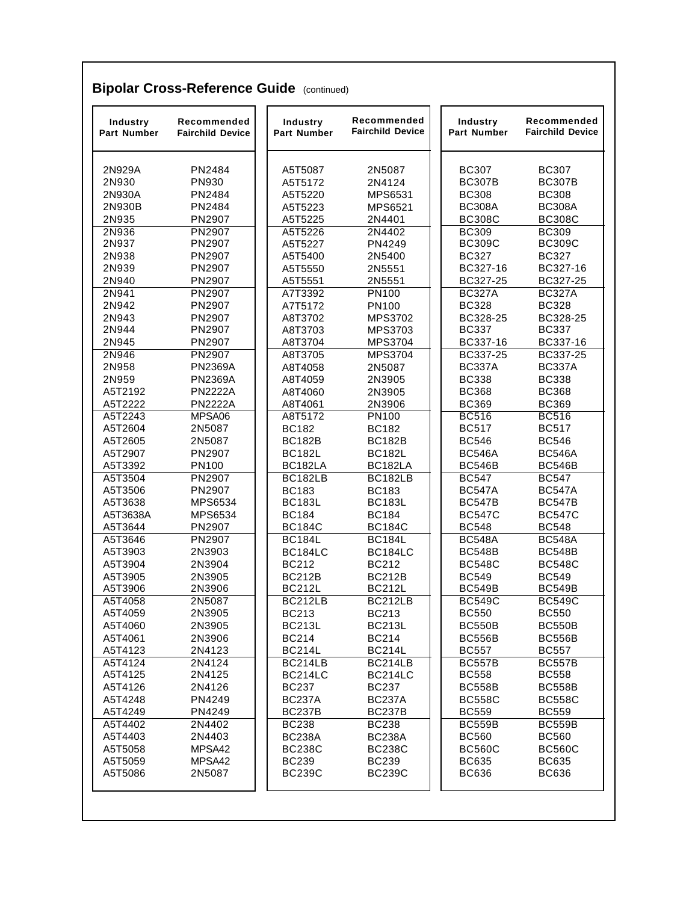| Industry<br>Part Number | Recommended<br><b>Fairchild Device</b> | Industry<br><b>Part Number</b> | Recommended<br><b>Fairchild Device</b> | Industry<br>Part Number       | Recommended<br><b>Fairchild Device</b> |
|-------------------------|----------------------------------------|--------------------------------|----------------------------------------|-------------------------------|----------------------------------------|
| 2N929A                  | PN2484                                 | A5T5087                        | 2N5087                                 | <b>BC307</b>                  | <b>BC307</b>                           |
| 2N930                   | PN930                                  | A5T5172                        | 2N4124                                 | <b>BC307B</b>                 | <b>BC307B</b>                          |
| 2N930A                  | PN2484                                 | A5T5220                        | <b>MPS6531</b>                         | <b>BC308</b>                  | <b>BC308</b>                           |
| 2N930B                  | PN2484                                 | A5T5223                        | <b>MPS6521</b>                         | <b>BC308A</b>                 | <b>BC308A</b>                          |
| 2N935                   | PN2907                                 | A5T5225                        | 2N4401                                 | <b>BC308C</b>                 | <b>BC308C</b>                          |
| 2N936                   | PN2907                                 | A5T5226                        | 2N4402                                 | <b>BC309</b>                  | <b>BC309</b>                           |
| 2N937                   | PN2907                                 | A5T5227                        | PN4249                                 | <b>BC309C</b>                 | <b>BC309C</b>                          |
| 2N938                   | PN2907                                 | A5T5400                        | 2N5400                                 | <b>BC327</b>                  | <b>BC327</b>                           |
| 2N939                   | PN2907                                 | A5T5550                        | 2N5551                                 | BC327-16                      | BC327-16                               |
| 2N940                   | PN2907                                 | A5T5551                        | 2N5551                                 | BC327-25                      | BC327-25                               |
| 2N941                   | PN2907                                 | A7T3392                        | PN100                                  | <b>BC327A</b>                 | <b>BC327A</b>                          |
| 2N942                   | PN2907                                 | A7T5172                        | PN100                                  | <b>BC328</b>                  | <b>BC328</b>                           |
| 2N943                   | PN2907                                 | A8T3702                        | <b>MPS3702</b>                         | BC328-25                      | BC328-25                               |
| 2N944                   | PN2907                                 | A8T3703                        | MPS3703                                | <b>BC337</b>                  | <b>BC337</b>                           |
| 2N945                   | PN2907                                 | A8T3704                        | <b>MPS3704</b>                         | BC337-16                      | BC337-16                               |
| 2N946                   | <b>PN2907</b>                          | A8T3705                        | <b>MPS3704</b>                         | BC337-25                      | BC337-25                               |
| 2N958                   | <b>PN2369A</b>                         | A8T4058                        | 2N5087                                 | <b>BC337A</b>                 | <b>BC337A</b>                          |
| 2N959                   | <b>PN2369A</b>                         | A8T4059                        | 2N3905                                 | <b>BC338</b>                  | <b>BC338</b>                           |
| A5T2192                 | <b>PN2222A</b>                         | A8T4060                        | 2N3905                                 | <b>BC368</b>                  | <b>BC368</b>                           |
| A5T2222                 | <b>PN2222A</b>                         | A8T4061                        | 2N3906                                 | <b>BC369</b>                  | <b>BC369</b>                           |
| A5T2243                 | MPSA06                                 | A8T5172                        | PN100                                  | <b>BC516</b>                  | <b>BC516</b>                           |
| A5T2604                 | 2N5087                                 | <b>BC182</b>                   | <b>BC182</b>                           | <b>BC517</b>                  | <b>BC517</b>                           |
| A5T2605                 | 2N5087                                 | <b>BC182B</b>                  | <b>BC182B</b>                          | <b>BC546</b>                  | <b>BC546</b>                           |
| A5T2907                 | PN2907                                 | <b>BC182L</b>                  | <b>BC182L</b>                          | <b>BC546A</b>                 | <b>BC546A</b>                          |
| A5T3392                 | PN100                                  | BC182LA                        | BC182LA                                | <b>BC546B</b>                 | <b>BC546B</b>                          |
| A5T3504                 | PN2907                                 | BC182LB                        | BC182LB                                | <b>BC547</b>                  | <b>BC547</b>                           |
| A5T3506                 | PN2907                                 | <b>BC183</b>                   | <b>BC183</b>                           | <b>BC547A</b>                 | <b>BC547A</b>                          |
| A5T3638                 | MPS6534                                | <b>BC183L</b>                  | <b>BC183L</b>                          | <b>BC547B</b>                 | <b>BC547B</b>                          |
| A5T3638A                | <b>MPS6534</b>                         | <b>BC184</b>                   | <b>BC184</b>                           | <b>BC547C</b>                 | <b>BC547C</b>                          |
| A5T3644                 | PN2907                                 | <b>BC184C</b>                  | <b>BC184C</b>                          | <b>BC548</b>                  | <b>BC548</b>                           |
| A5T3646                 | PN2907                                 | <b>BC184L</b>                  | <b>BC184L</b>                          | <b>BC548A</b>                 | <b>BC548A</b>                          |
| A5T3903                 | 2N3903                                 | BC184LC                        | <b>BC184LC</b>                         | <b>BC548B</b>                 | <b>BC548B</b>                          |
| A5T3904                 | 2N3904                                 | <b>BC212</b>                   | <b>BC212</b>                           | <b>BC548C</b>                 | <b>BC548C</b>                          |
| A5T3905                 | 2N3905                                 | <b>BC212B</b><br><b>BC212L</b> | <b>BC212B</b><br><b>BC212L</b>         | <b>BC549</b>                  | <b>BC549</b>                           |
| A5T3906                 | 2N3906                                 |                                |                                        | <b>BC549B</b>                 | <b>BC549B</b>                          |
| A5T4058<br>A5T4059      | 2N5087<br>2N3905                       | BC212LB<br><b>BC213</b>        | BC212LB<br><b>BC213</b>                | <b>BC549C</b><br><b>BC550</b> | <b>BC549C</b><br><b>BC550</b>          |
| A5T4060                 | 2N3905                                 | <b>BC213L</b>                  | <b>BC213L</b>                          | <b>BC550B</b>                 | <b>BC550B</b>                          |
| A5T4061                 | 2N3906                                 | <b>BC214</b>                   | <b>BC214</b>                           | <b>BC556B</b>                 | <b>BC556B</b>                          |
| A5T4123                 | 2N4123                                 | <b>BC214L</b>                  | <b>BC214L</b>                          | <b>BC557</b>                  | <b>BC557</b>                           |
| A5T4124                 | 2N4124                                 | BC214LB                        | BC214LB                                | <b>BC557B</b>                 | <b>BC557B</b>                          |
| A5T4125                 | 2N4125                                 | BC214LC                        | BC214LC                                | <b>BC558</b>                  | <b>BC558</b>                           |
| A5T4126                 | 2N4126                                 | <b>BC237</b>                   | <b>BC237</b>                           | <b>BC558B</b>                 | <b>BC558B</b>                          |
| A5T4248                 | PN4249                                 | <b>BC237A</b>                  | <b>BC237A</b>                          | <b>BC558C</b>                 | <b>BC558C</b>                          |
| A5T4249                 | PN4249                                 | <b>BC237B</b>                  | <b>BC237B</b>                          | <b>BC559</b>                  | <b>BC559</b>                           |
| A5T4402                 | 2N4402                                 | <b>BC238</b>                   | <b>BC238</b>                           | <b>BC559B</b>                 | <b>BC559B</b>                          |
| A5T4403                 | 2N4403                                 | <b>BC238A</b>                  | <b>BC238A</b>                          | <b>BC560</b>                  | <b>BC560</b>                           |
| A5T5058                 | MPSA42                                 | <b>BC238C</b>                  | <b>BC238C</b>                          | <b>BC560C</b>                 | <b>BC560C</b>                          |
| A5T5059                 | MPSA42                                 | <b>BC239</b>                   | <b>BC239</b>                           | <b>BC635</b>                  | <b>BC635</b>                           |
| A5T5086                 | 2N5087                                 | <b>BC239C</b>                  | <b>BC239C</b>                          | <b>BC636</b>                  | <b>BC636</b>                           |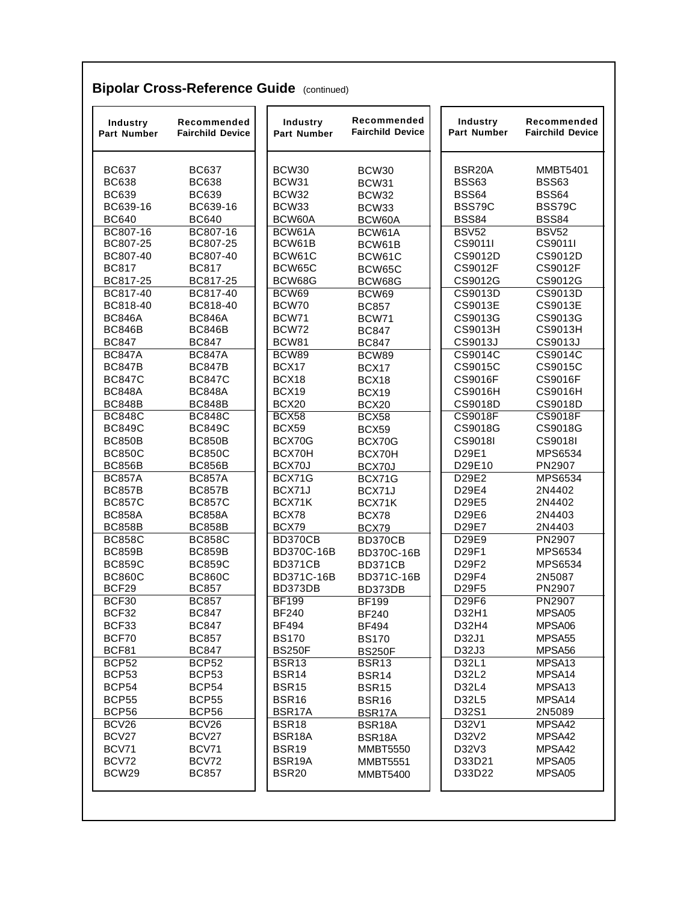| Industry<br><b>Part Number</b> | Recommended<br><b>Fairchild Device</b> | Industry<br>Part Number      | Recommended<br><b>Fairchild Device</b> | Industry<br>Part Number | Recommended<br><b>Fairchild Device</b> |
|--------------------------------|----------------------------------------|------------------------------|----------------------------------------|-------------------------|----------------------------------------|
| <b>BC637</b>                   | <b>BC637</b>                           | BCW30                        | BCW30                                  | BSR <sub>20</sub> A     | <b>MMBT5401</b>                        |
| <b>BC638</b>                   | <b>BC638</b>                           | BCW31                        | BCW31                                  | <b>BSS63</b>            | <b>BSS63</b>                           |
| <b>BC639</b>                   | <b>BC639</b>                           | BCW32                        | BCW32                                  | <b>BSS64</b>            | <b>BSS64</b>                           |
| BC639-16                       | BC639-16                               | BCW33                        | BCW33                                  | BSS79C                  | BSS79C                                 |
| <b>BC640</b>                   | <b>BC640</b>                           | BCW60A                       | BCW60A                                 | <b>BSS84</b>            | <b>BSS84</b>                           |
| BC807-16                       | BC807-16                               | BCW61A                       | BCW61A                                 | <b>BSV52</b>            | <b>BSV52</b>                           |
| BC807-25                       | BC807-25                               | BCW61B                       | BCW61B                                 | CS9011I                 | CS9011I                                |
| BC807-40                       | BC807-40                               | BCW61C                       | BCW61C                                 | CS9012D                 | CS9012D                                |
| <b>BC817</b>                   | <b>BC817</b>                           | BCW65C                       | BCW65C                                 | CS9012F                 | CS9012F                                |
| BC817-25                       | BC817-25                               | BCW68G                       | BCW68G                                 | CS9012G                 | CS9012G                                |
| BC817-40                       | BC817-40                               | BCW69                        | BCW69                                  | CS9013D                 | CS9013D                                |
| BC818-40                       | BC818-40                               | BCW70<br>BCW71               | <b>BC857</b>                           | CS9013E<br>CS9013G      | CS9013E                                |
| <b>BC846A</b><br><b>BC846B</b> | <b>BC846A</b><br><b>BC846B</b>         | BCW72                        | <b>BCW71</b>                           | <b>CS9013H</b>          | CS9013G<br><b>CS9013H</b>              |
| <b>BC847</b>                   | <b>BC847</b>                           | <b>BCW81</b>                 | <b>BC847</b>                           | CS9013J                 | CS9013J                                |
| <b>BC847A</b>                  | <b>BC847A</b>                          | BCW89                        | <b>BC847</b><br>BCW89                  | CS9014C                 | CS9014C                                |
| <b>BC847B</b>                  | <b>BC847B</b>                          | BCX17                        | BCX17                                  | CS9015C                 | CS9015C                                |
| <b>BC847C</b>                  | <b>BC847C</b>                          | BCX18                        | BCX18                                  | <b>CS9016F</b>          | <b>CS9016F</b>                         |
| <b>BC848A</b>                  | <b>BC848A</b>                          | BCX19                        | BCX19                                  | <b>CS9016H</b>          | CS9016H                                |
| <b>BC848B</b>                  | <b>BC848B</b>                          | <b>BCX20</b>                 | BCX20                                  | CS9018D                 | CS9018D                                |
| <b>BC848C</b>                  | <b>BC848C</b>                          | <b>BCX58</b>                 | BCX58                                  | <b>CS9018F</b>          | <b>CS9018F</b>                         |
| <b>BC849C</b>                  | <b>BC849C</b>                          | <b>BCX59</b>                 | BCX59                                  | CS9018G                 | CS9018G                                |
| <b>BC850B</b>                  | <b>BC850B</b>                          | BCX70G                       | BCX70G                                 | CS9018I                 | CS9018I                                |
| <b>BC850C</b>                  | <b>BC850C</b>                          | BCX70H                       | BCX70H                                 | D29E1                   | MPS6534                                |
| <b>BC856B</b>                  | <b>BC856B</b>                          | BCX70J                       | BCX70J                                 | D29E10                  | PN2907                                 |
| <b>BC857A</b>                  | <b>BC857A</b>                          | BCX71G                       | BCX71G                                 | D29E2                   | MPS6534                                |
| <b>BC857B</b>                  | <b>BC857B</b>                          | BCX71J                       | BCX71J                                 | D29E4                   | 2N4402                                 |
| <b>BC857C</b>                  | <b>BC857C</b>                          | BCX71K                       | BCX71K                                 | D29E5                   | 2N4402                                 |
| <b>BC858A</b>                  | <b>BC858A</b>                          | BCX78                        | BCX78                                  | D29E6                   | 2N4403                                 |
| <b>BC858B</b>                  | <b>BC858B</b>                          | BCX79                        | BCX79                                  | D29E7                   | 2N4403                                 |
| <b>BC858C</b>                  | <b>BC858C</b>                          | <b>BD370CB</b>               | BD370CB                                | D29E9                   | PN2907                                 |
| <b>BC859B</b>                  | <b>BC859B</b>                          | BD370C-16B                   | BD370C-16B                             | D29F1                   | MPS6534                                |
| <b>BC859C</b>                  | <b>BC859C</b>                          | BD371CB                      | BD371CB                                | D29F2                   | MPS6534                                |
| <b>BC860C</b>                  | <b>BC860C</b>                          | BD371C-16B                   | BD371C-16B                             | D29F4                   | 2N5087                                 |
| BCF29                          | <b>BC857</b>                           | BD373DB                      | BD373DB                                | D29F5                   | PN2907                                 |
| BCF30<br>BCF32                 | <b>BC857</b><br><b>BC847</b>           | <b>BF199</b><br><b>BF240</b> | <b>BF199</b>                           | D29F6<br>D32H1          | PN2907<br>MPSA05                       |
| BCF33                          | <b>BC847</b>                           | <b>BF494</b>                 | <b>BF240</b><br><b>BF494</b>           | D32H4                   | MPSA06                                 |
| BCF70                          | <b>BC857</b>                           | <b>BS170</b>                 | <b>BS170</b>                           | D32J1                   | MPSA <sub>55</sub>                     |
| BCF81                          | <b>BC847</b>                           | <b>BS250F</b>                | <b>BS250F</b>                          | D32J3                   | MPSA56                                 |
| <b>BCP52</b>                   | BCP <sub>52</sub>                      | BSR <sub>13</sub>            | BSR <sub>13</sub>                      | D32L1                   | MPSA <sub>13</sub>                     |
| BCP53                          | BCP53                                  | BSR14                        | BSR14                                  | D32L2                   | MPSA14                                 |
| BCP54                          | BCP54                                  | <b>BSR15</b>                 | <b>BSR15</b>                           | D32L4                   | MPSA <sub>13</sub>                     |
| <b>BCP55</b>                   | <b>BCP55</b>                           | <b>BSR16</b>                 | <b>BSR16</b>                           | D32L5                   | MPSA14                                 |
| BCP56                          | <b>BCP56</b>                           | BSR17A                       | BSR17A                                 | D32S1                   | 2N5089                                 |
| BCV26                          | BCV26                                  | BSR18                        | BSR18A                                 | D32V1                   | MPSA42                                 |
| BCV27                          | BCV27                                  | BSR18A                       | BSR18A                                 | D32V2                   | MPSA42                                 |
| BCV71                          | BCV71                                  | <b>BSR19</b>                 | <b>MMBT5550</b>                        | D32V3                   | MPSA42                                 |
| BCV72                          | BCV72                                  | BSR19A                       | <b>MMBT5551</b>                        | D33D21                  | MPSA05                                 |
| BCW29                          | <b>BC857</b>                           | <b>BSR20</b>                 | <b>MMBT5400</b>                        | D33D22                  | MPSA05                                 |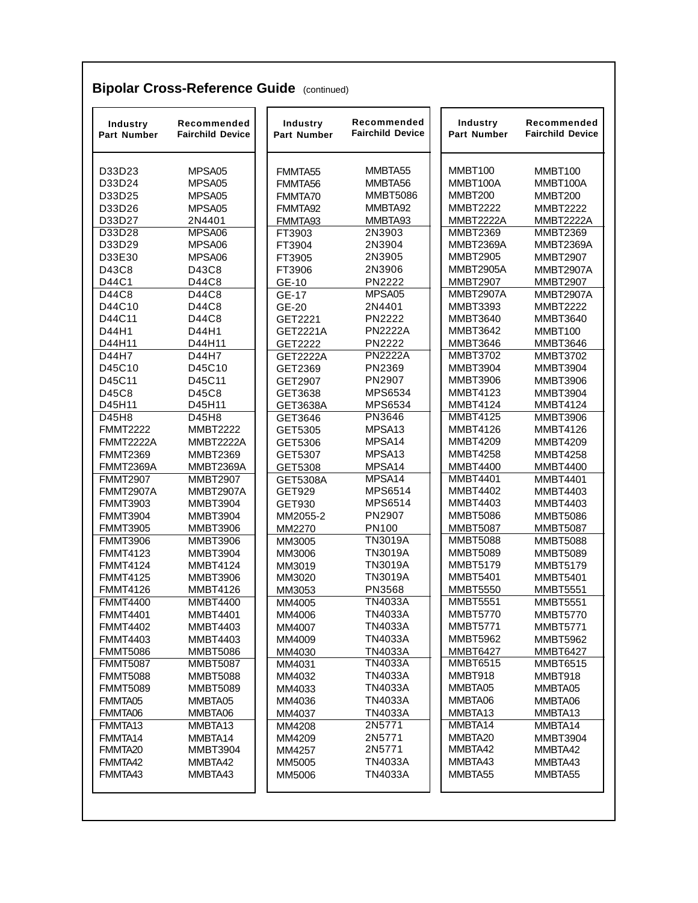| Industry<br><b>Part Number</b> | Recommended<br><b>Fairchild Device</b> | Industry<br><b>Part Number</b> | Recommended<br><b>Fairchild Device</b> | Industry<br>Part Number | Recommended<br><b>Fairchild Device</b> |
|--------------------------------|----------------------------------------|--------------------------------|----------------------------------------|-------------------------|----------------------------------------|
| D33D23                         | MPSA05                                 | FMMTA55                        | MMBTA55                                | MMBT100                 | MMBT100                                |
| D33D24                         | MPSA05                                 | FMMTA56                        | MMBTA56                                | MMBT100A                | MMBT100A                               |
| D33D25                         | MPSA05                                 | FMMTA70                        | <b>MMBT5086</b>                        | <b>MMBT200</b>          | <b>MMBT200</b>                         |
| D33D26                         | MPSA05                                 | FMMTA92                        | MMBTA92                                | <b>MMBT2222</b>         | <b>MMBT2222</b>                        |
| D33D27                         | 2N4401                                 | FMMTA93                        | MMBTA93                                | MMBT2222A               | <b>MMBT2222A</b>                       |
| D33D28                         | MPSA06                                 | FT3903                         | 2N3903                                 | <b>MMBT2369</b>         | <b>MMBT2369</b>                        |
| D33D29                         | MPSA06                                 | FT3904                         | 2N3904                                 | <b>MMBT2369A</b>        | MMBT2369A                              |
| D33E30                         | MPSA06                                 | FT3905                         | 2N3905                                 | <b>MMBT2905</b>         | <b>MMBT2907</b>                        |
| D43C8                          | D43C8                                  | FT3906                         | 2N3906                                 | <b>MMBT2905A</b>        | MMBT2907A                              |
| D44C1                          | D44C8                                  | GE-10                          | <b>PN2222</b>                          | <b>MMBT2907</b>         | <b>MMBT2907</b>                        |
| D44C8                          | D44C8                                  | GE-17                          | MPSA05                                 | <b>MMBT2907A</b>        | <b>MMBT2907A</b>                       |
| D44C10                         | D44C8                                  | GE-20                          | 2N4401                                 | <b>MMBT3393</b>         | <b>MMBT2222</b>                        |
| D44C11                         | D44C8                                  | GET2221                        | PN2222                                 | <b>MMBT3640</b>         | <b>MMBT3640</b>                        |
| D44H1                          | D44H1                                  | GET2221A                       | <b>PN2222A</b>                         | <b>MMBT3642</b>         | MMBT100                                |
| D44H11                         | D44H11                                 | GET2222                        | PN2222                                 | <b>MMBT3646</b>         | <b>MMBT3646</b>                        |
| D44H7                          | D44H7                                  | <b>GET2222A</b>                | <b>PN2222A</b>                         | <b>MMBT3702</b>         | <b>MMBT3702</b>                        |
| D45C10                         | D45C10                                 | GET2369                        | PN2369                                 | <b>MMBT3904</b>         | <b>MMBT3904</b>                        |
| D45C11                         | D45C11                                 | GET2907                        | PN2907                                 | <b>MMBT3906</b>         | <b>MMBT3906</b>                        |
| D45C8                          | D45C8                                  | GET3638                        | MPS6534                                | <b>MMBT4123</b>         | <b>MMBT3904</b>                        |
| D45H11                         | D45H11                                 | GET3638A                       | MPS6534                                | <b>MMBT4124</b>         | <b>MMBT4124</b>                        |
| D45H8                          | D45H8                                  | GET3646                        | PN3646                                 | <b>MMBT4125</b>         | <b>MMBT3906</b>                        |
| <b>FMMT2222</b>                | <b>MMBT2222</b>                        | GET5305                        | MPSA <sub>13</sub>                     | <b>MMBT4126</b>         | <b>MMBT4126</b>                        |
| <b>FMMT2222A</b>               | MMBT2222A                              | GET5306                        | MPSA14                                 | <b>MMBT4209</b>         | <b>MMBT4209</b>                        |
| <b>FMMT2369</b>                | <b>MMBT2369</b>                        | GET5307                        | MPSA <sub>13</sub>                     | <b>MMBT4258</b>         | <b>MMBT4258</b>                        |
| <b>FMMT2369A</b>               | MMBT2369A                              | GET5308                        | MPSA14                                 | <b>MMBT4400</b>         | <b>MMBT4400</b>                        |
| <b>FMMT2907</b>                | <b>MMBT2907</b>                        | GET5308A                       | MPSA14                                 | <b>MMBT4401</b>         | <b>MMBT4401</b>                        |
| <b>FMMT2907A</b>               | MMBT2907A                              | <b>GET929</b>                  | MPS6514                                | <b>MMBT4402</b>         | <b>MMBT4403</b>                        |
| <b>FMMT3903</b>                | <b>MMBT3904</b>                        | GET930                         | MPS6514                                | <b>MMBT4403</b>         | <b>MMBT4403</b>                        |
| <b>FMMT3904</b>                | <b>MMBT3904</b>                        | MM2055-2                       | PN2907                                 | <b>MMBT5086</b>         | <b>MMBT5086</b>                        |
| <b>FMMT3905</b>                | <b>MMBT3906</b>                        | MM2270                         | <b>PN100</b>                           | <b>MMBT5087</b>         | <b>MMBT5087</b>                        |
| <b>FMMT3906</b>                | <b>MMBT3906</b>                        | MM3005                         | <b>TN3019A</b>                         | <b>MMBT5088</b>         | <b>MMBT5088</b>                        |
| <b>FMMT4123</b>                | <b>MMBT3904</b>                        | MM3006                         | <b>TN3019A</b>                         | <b>MMBT5089</b>         | <b>MMBT5089</b>                        |
| <b>FMMT4124</b>                | <b>MMBT4124</b>                        | MM3019                         | <b>TN3019A</b>                         | <b>MMBT5179</b>         | <b>MMBT5179</b>                        |
| <b>FMMT4125</b>                | MMBT3906                               | MM3020                         | <b>TN3019A</b>                         | <b>MMBT5401</b>         | <b>MMBT5401</b>                        |
| <b>FMMT4126</b>                | <b>MMBT4126</b>                        | MM3053                         | PN3568                                 | <b>MMBT5550</b>         | <b>MMBT5551</b>                        |
| <b>FMMT4400</b>                | <b>MMBT4400</b>                        | MM4005                         | <b>TN4033A</b>                         | <b>MMBT5551</b>         | <b>MMBT5551</b>                        |
| <b>FMMT4401</b>                | <b>MMBT4401</b>                        | MM4006                         | <b>TN4033A</b>                         | <b>MMBT5770</b>         | <b>MMBT5770</b>                        |
| <b>FMMT4402</b>                | <b>MMBT4403</b>                        | MM4007                         | <b>TN4033A</b>                         | <b>MMBT5771</b>         | <b>MMBT5771</b>                        |
| <b>FMMT4403</b>                | <b>MMBT4403</b>                        | MM4009                         | <b>TN4033A</b>                         | <b>MMBT5962</b>         | <b>MMBT5962</b>                        |
| <b>FMMT5086</b>                | <b>MMBT5086</b>                        | MM4030                         | <b>TN4033A</b>                         | <b>MMBT6427</b>         | <b>MMBT6427</b>                        |
| <b>FMMT5087</b>                | <b>MMBT5087</b>                        | MM4031                         | <b>TN4033A</b>                         | <b>MMBT6515</b>         | <b>MMBT6515</b>                        |
| <b>FMMT5088</b>                | <b>MMBT5088</b>                        | MM4032                         | <b>TN4033A</b>                         | MMBT918                 | MMBT918                                |
| <b>FMMT5089</b>                | <b>MMBT5089</b>                        | MM4033                         | <b>TN4033A</b>                         | MMBTA05                 | MMBTA05                                |
| FMMTA05                        | MMBTA05                                | MM4036                         | <b>TN4033A</b>                         | MMBTA06                 | MMBTA06                                |
| FMMTA06                        | MMBTA06                                | MM4037                         | <b>TN4033A</b>                         | MMBTA13                 | MMBTA13                                |
| FMMTA13                        | MMBTA13                                | MM4208                         | 2N5771                                 | MMBTA14                 | MMBTA14                                |
| FMMTA14                        | MMBTA14                                | MM4209                         | 2N5771                                 | MMBTA20                 | <b>MMBT3904</b>                        |
| FMMTA <sub>20</sub>            | <b>MMBT3904</b>                        | MM4257                         | 2N5771                                 | MMBTA42                 | MMBTA42                                |
| FMMTA42                        | MMBTA42                                | MM5005                         | <b>TN4033A</b>                         | MMBTA43                 | MMBTA43                                |
| FMMTA43                        | MMBTA43                                | MM5006                         | <b>TN4033A</b>                         | MMBTA55                 | MMBTA55                                |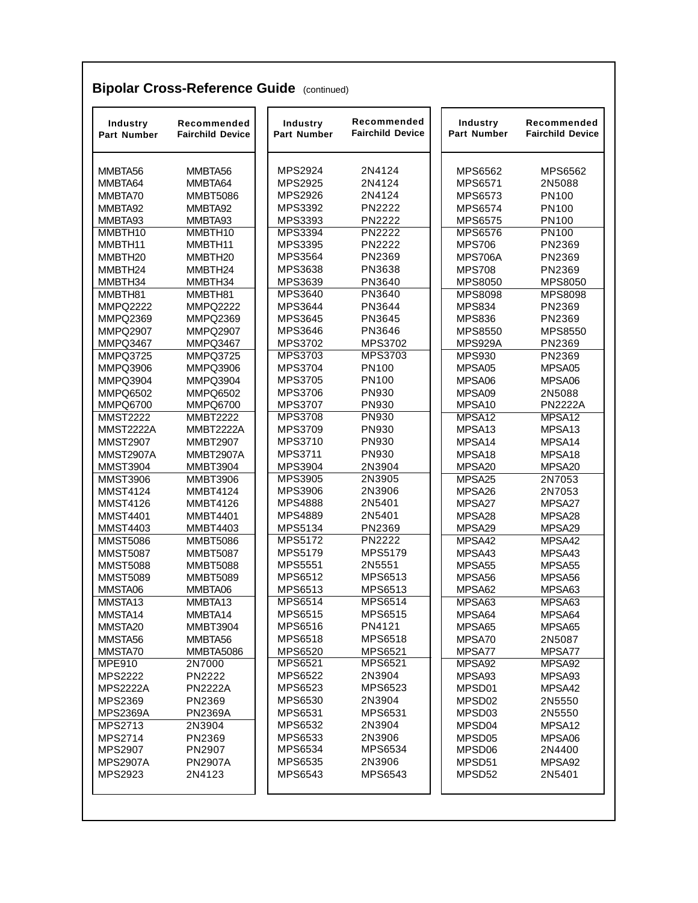| Industry<br><b>Part Number</b> | Recommended<br><b>Fairchild Device</b> | Industry<br>Part Number | Recommended<br><b>Fairchild Device</b> | Industry<br><b>Part Number</b> | Recommended<br><b>Fairchild Device</b> |
|--------------------------------|----------------------------------------|-------------------------|----------------------------------------|--------------------------------|----------------------------------------|
| MMBTA56                        | MMBTA56                                | <b>MPS2924</b>          | 2N4124                                 | <b>MPS6562</b>                 | <b>MPS6562</b>                         |
| MMBTA64                        | MMBTA64                                | MPS2925                 | 2N4124                                 | <b>MPS6571</b>                 | 2N5088                                 |
| MMBTA70                        | <b>MMBT5086</b>                        | <b>MPS2926</b>          | 2N4124                                 | MPS6573                        | <b>PN100</b>                           |
| MMBTA92                        | MMBTA92                                | MPS3392                 | <b>PN2222</b>                          | MPS6574                        | PN100                                  |
| MMBTA93                        | MMBTA93                                | MPS3393                 | <b>PN2222</b>                          | <b>MPS6575</b>                 | <b>PN100</b>                           |
| MMBTH10                        | MMBTH10                                | MPS3394                 | <b>PN2222</b>                          | <b>MPS6576</b>                 | <b>PN100</b>                           |
| MMBTH11                        | MMBTH11                                | MPS3395                 | PN2222                                 | <b>MPS706</b>                  | PN2369                                 |
| MMBTH <sub>20</sub>            | MMBTH <sub>20</sub>                    | <b>MPS3564</b>          | PN2369                                 | <b>MPS706A</b>                 | PN2369                                 |
| MMBTH24                        | MMBTH24                                | MPS3638                 | PN3638                                 | <b>MPS708</b>                  | PN2369                                 |
| MMBTH34                        | MMBTH34                                | MPS3639                 | PN3640                                 | <b>MPS8050</b>                 | <b>MPS8050</b>                         |
| MMBTH81                        | MMBTH81                                | MPS3640                 | PN3640                                 | <b>MPS8098</b>                 | <b>MPS8098</b>                         |
| <b>MMPQ2222</b>                | <b>MMPQ2222</b>                        | <b>MPS3644</b>          | PN3644                                 | <b>MPS834</b>                  | PN2369                                 |
| <b>MMPQ2369</b>                | <b>MMPQ2369</b>                        | MPS3645                 | PN3645                                 | <b>MPS836</b>                  | PN2369                                 |
| <b>MMPQ2907</b>                | <b>MMPQ2907</b>                        | MPS3646                 | PN3646                                 | <b>MPS8550</b>                 | <b>MPS8550</b>                         |
| MMPQ3467                       | MMPQ3467                               | MPS3702                 | <b>MPS3702</b>                         | MPS929A                        | PN2369                                 |
| <b>MMPQ3725</b>                | <b>MMPQ3725</b>                        | MPS3703                 | <b>MPS3703</b>                         | <b>MPS930</b>                  | PN2369                                 |
| <b>MMPQ3906</b>                | <b>MMPQ3906</b>                        | <b>MPS3704</b>          | <b>PN100</b>                           | MPSA05                         | MPSA05                                 |
| <b>MMPQ3904</b>                | <b>MMPQ3904</b>                        | MPS3705                 | <b>PN100</b>                           | MPSA06                         | MPSA06                                 |
| <b>MMPQ6502</b>                | MMPQ6502                               | <b>MPS3706</b>          | PN930                                  | MPSA09                         | 2N5088                                 |
| MMPQ6700                       | MMPQ6700                               | <b>MPS3707</b>          | <b>PN930</b>                           | MPSA10                         | <b>PN2222A</b>                         |
| <b>MMST2222</b>                | <b>MMBT2222</b>                        | <b>MPS3708</b>          | PN930                                  | MPSA12                         | MPSA <sub>12</sub>                     |
| <b>MMST2222A</b>               | MMBT2222A                              | MPS3709                 | PN930                                  | MPSA <sub>13</sub>             | MPSA <sub>13</sub>                     |
| <b>MMST2907</b>                | <b>MMBT2907</b>                        | MPS3710                 | PN930                                  | MPSA14                         | MPSA14                                 |
| <b>MMST2907A</b>               | <b>MMBT2907A</b>                       | <b>MPS3711</b>          | PN930                                  | MPSA <sub>18</sub>             | MPSA <sub>18</sub>                     |
| <b>MMST3904</b>                | <b>MMBT3904</b>                        | <b>MPS3904</b>          | 2N3904                                 | MPSA <sub>20</sub>             | MPSA20                                 |
| <b>MMST3906</b>                | <b>MMBT3906</b>                        | MPS3905                 | 2N3905                                 | MPSA25                         | 2N7053                                 |
| <b>MMST4124</b>                | <b>MMBT4124</b>                        | <b>MPS3906</b>          | 2N3906                                 | MPSA26                         | 2N7053                                 |
| <b>MMST4126</b>                | <b>MMBT4126</b>                        | <b>MPS4888</b>          | 2N5401                                 | MPSA27                         | MPSA27                                 |
| <b>MMST4401</b>                | <b>MMBT4401</b>                        | <b>MPS4889</b>          | 2N5401                                 | MPSA28                         | MPSA28                                 |
| <b>MMST4403</b>                | <b>MMBT4403</b>                        | <b>MPS5134</b>          | PN2369                                 | MPSA29                         | MPSA29                                 |
| <b>MMST5086</b>                | <b>MMBT5086</b>                        | <b>MPS5172</b>          | <b>PN2222</b>                          | MPSA42                         | MPSA42                                 |
| <b>MMST5087</b>                | <b>MMBT5087</b>                        | MPS5179                 | MPS5179                                | MPSA43                         | MPSA43                                 |
| <b>MMST5088</b>                | <b>MMBT5088</b>                        | <b>MPS5551</b>          | 2N5551                                 | MPSA55                         | MPSA55                                 |
| <b>MMST5089</b>                | <b>MMBT5089</b>                        | <b>MPS6512</b>          | MPS6513                                | MPSA56                         | MPSA56                                 |
| MMSTA06                        | MMBTA06                                | MPS6513                 | MPS6513                                | MPSA62                         | MPSA63                                 |
| MMSTA13                        | MMBTA13                                | MPS6514                 | MPS6514                                | MPSA63                         | MPSA63                                 |
| MMSTA14                        | MMBTA14                                | <b>MPS6515</b>          | <b>MPS6515</b>                         | MPSA64                         | MPSA64                                 |
| MMSTA20                        | <b>MMBT3904</b>                        | <b>MPS6516</b>          | PN4121                                 | MPSA65                         | MPSA65                                 |
| MMSTA56                        | MMBTA56                                | <b>MPS6518</b>          | <b>MPS6518</b>                         | MPSA70                         | 2N5087                                 |
| MMSTA70                        | MMBTA5086                              | <b>MPS6520</b>          | <b>MPS6521</b>                         | MPSA77                         | MPSA77                                 |
| <b>MPE910</b>                  | 2N7000                                 | MPS6521                 | <b>MPS6521</b>                         | MPSA92                         | MPSA92                                 |
| <b>MPS2222</b>                 | <b>PN2222</b>                          | <b>MPS6522</b>          | 2N3904                                 | MPSA93                         | MPSA93                                 |
| <b>MPS2222A</b>                | <b>PN2222A</b>                         | <b>MPS6523</b>          | MPS6523                                | MPSD01                         | MPSA42                                 |
| MPS2369                        | PN2369                                 | <b>MPS6530</b>          | 2N3904                                 | MPSD <sub>02</sub>             | 2N5550                                 |
| <b>MPS2369A</b>                | <b>PN2369A</b>                         | <b>MPS6531</b>          | MPS6531                                | MPSD03                         | 2N5550                                 |
| MPS2713                        | 2N3904                                 | MPS6532                 | 2N3904                                 | MPSD04                         | MPSA <sub>12</sub>                     |
| <b>MPS2714</b>                 | PN2369                                 | MPS6533                 | 2N3906                                 | MPSD05                         | MPSA06                                 |
| <b>MPS2907</b>                 | PN2907                                 | MPS6534                 | MPS6534                                | MPSD06                         | 2N4400                                 |
| <b>MPS2907A</b>                | <b>PN2907A</b>                         | <b>MPS6535</b>          | 2N3906                                 | MPSD51                         | MPSA92                                 |
| MPS2923                        | 2N4123                                 | MPS6543                 | MPS6543                                | MPSD52                         | 2N5401                                 |

#### **Bipolar Cross-Reference Guide** (continued)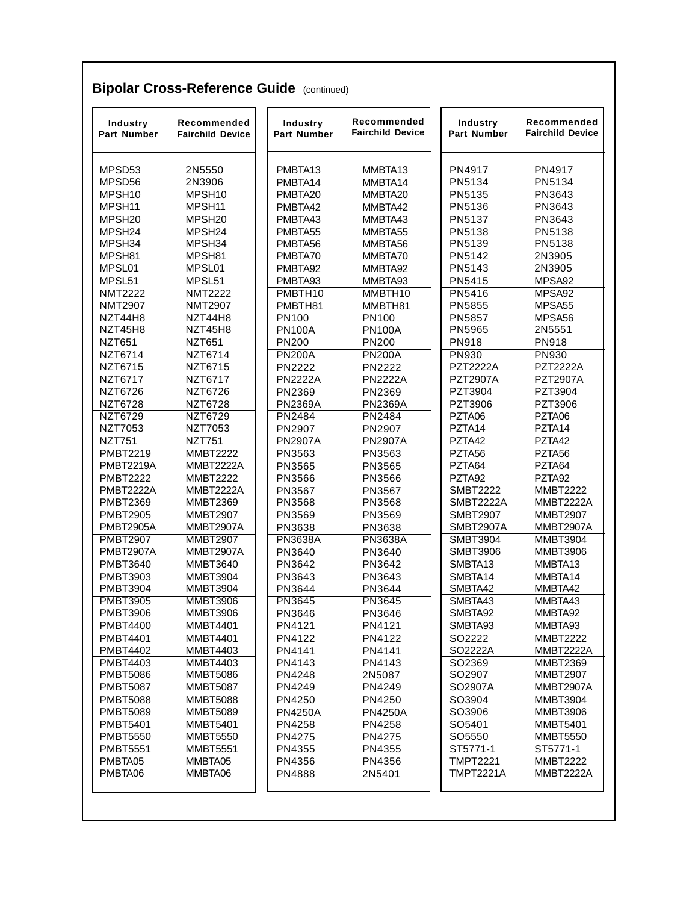| Industry<br><b>Part Number</b> | Recommended<br><b>Fairchild Device</b> | Industry<br>Part Number | Recommended<br><b>Fairchild Device</b> | Industry<br>Part Number | Recommended<br><b>Fairchild Device</b> |
|--------------------------------|----------------------------------------|-------------------------|----------------------------------------|-------------------------|----------------------------------------|
| MPSD53                         | 2N5550                                 | PMBTA13                 | MMBTA13                                | PN4917                  | PN4917                                 |
| MPSD56                         | 2N3906                                 | PMBTA14                 | MMBTA14                                | PN5134                  | PN5134                                 |
| MPSH10                         | MPSH10                                 | PMBTA20                 | MMBTA20                                | PN5135                  | PN3643                                 |
| MPSH11                         | MPSH11                                 | PMBTA42                 | MMBTA42                                | PN5136                  | PN3643                                 |
| MPSH <sub>20</sub>             | MPSH <sub>20</sub>                     | PMBTA43                 | MMBTA43                                | PN5137                  | PN3643                                 |
| MPSH <sub>24</sub>             | MPSH <sub>24</sub>                     | PMBTA55                 | MMBTA55                                | <b>PN5138</b>           | <b>PN5138</b>                          |
| MPSH34                         | MPSH34                                 | PMBTA56                 | MMBTA56                                | PN5139                  | PN5138                                 |
| MPSH81                         | MPSH81                                 | PMBTA70                 | MMBTA70                                | PN5142                  | 2N3905                                 |
| MPSL01                         | MPSL01                                 | PMBTA92                 | MMBTA92                                | PN5143                  | 2N3905                                 |
| MPSL51                         | MPSL51                                 | PMBTA93                 | MMBTA93                                | PN5415                  | MPSA92                                 |
| <b>NMT2222</b>                 | <b>NMT2222</b>                         | PMBTH10                 | MMBTH10                                | PN5416                  | MPSA92                                 |
| <b>NMT2907</b>                 | <b>NMT2907</b>                         | PMBTH81                 | MMBTH81                                | PN5855                  | MPSA <sub>55</sub>                     |
| NZT44H8                        | NZT44H8                                | PN100                   | PN100                                  | PN5857                  | MPSA56                                 |
| NZT45H8                        | NZT45H8                                | <b>PN100A</b>           | <b>PN100A</b>                          | PN5965                  | 2N5551                                 |
| <b>NZT651</b>                  | <b>NZT651</b>                          | <b>PN200</b>            | <b>PN200</b>                           | PN918                   | PN918                                  |
| NZT6714                        | NZT6714                                | <b>PN200A</b>           | <b>PN200A</b>                          | <b>PN930</b>            | <b>PN930</b>                           |
| NZT6715                        | NZT6715                                | <b>PN2222</b>           | <b>PN2222</b>                          | <b>PZT2222A</b>         | <b>PZT2222A</b>                        |
| NZT6717                        | NZT6717                                | <b>PN2222A</b>          | <b>PN2222A</b>                         | <b>PZT2907A</b>         | <b>PZT2907A</b>                        |
| <b>NZT6726</b>                 | NZT6726                                | PN2369                  | PN2369                                 | PZT3904                 | PZT3904                                |
| <b>NZT6728</b>                 | <b>NZT6728</b>                         | <b>PN2369A</b>          | <b>PN2369A</b>                         | PZT3906                 | PZT3906                                |
| NZT6729                        | NZT6729                                | PN2484                  | PN2484                                 | PZTA06                  | PZTA06                                 |
| <b>NZT7053</b>                 | <b>NZT7053</b>                         | PN2907                  | PN2907                                 | PZTA14                  | PZTA14                                 |
| <b>NZT751</b>                  | <b>NZT751</b>                          | <b>PN2907A</b>          | <b>PN2907A</b>                         | PZTA42                  | PZTA42                                 |
| <b>PMBT2219</b>                | <b>MMBT2222</b>                        | PN3563                  | PN3563                                 | PZTA56                  | PZTA56                                 |
| <b>PMBT2219A</b>               | MMBT2222A                              | PN3565                  | PN3565                                 | PZTA64                  | PZTA64                                 |
| <b>PMBT2222</b>                | <b>MMBT2222</b>                        | PN3566                  | <b>PN3566</b>                          | PZTA92                  | PZTA92                                 |
| PMBT2222A                      | MMBT2222A                              | PN3567                  | PN3567                                 | <b>SMBT2222</b>         | <b>MMBT2222</b>                        |
| <b>PMBT2369</b>                | <b>MMBT2369</b>                        | PN3568                  | PN3568                                 | <b>SMBT2222A</b>        | MMBT2222A                              |
| <b>PMBT2905</b>                | <b>MMBT2907</b>                        | PN3569                  | PN3569                                 | <b>SMBT2907</b>         | <b>MMBT2907</b>                        |
| <b>PMBT2905A</b>               | MMBT2907A                              | PN3638                  | PN3638                                 | SMBT2907A               | <b>MMBT2907A</b>                       |
| <b>PMBT2907</b>                | <b>MMBT2907</b>                        | <b>PN3638A</b>          | <b>PN3638A</b>                         | <b>SMBT3904</b>         | <b>MMBT3904</b>                        |
| <b>PMBT2907A</b>               | MMBT2907A                              | PN3640                  | PN3640                                 | <b>SMBT3906</b>         | <b>MMBT3906</b>                        |
| <b>PMBT3640</b>                | <b>MMBT3640</b>                        | PN3642                  | PN3642                                 | SMBTA13                 | MMBTA13                                |
| <b>PMBT3903</b>                | <b>MMBT3904</b>                        | PN3643                  | PN3643                                 | SMBTA14                 | MMBTA14                                |
| <b>PMBT3904</b>                | <b>MMBT3904</b>                        | PN3644                  | PN3644                                 | SMBTA42                 | MMBTA42                                |
| <b>PMBT3905</b>                | <b>MMBT3906</b>                        | PN3645                  | PN3645                                 | SMBTA43                 | MMBTA43                                |
| <b>PMBT3906</b>                | <b>MMBT3906</b>                        | PN3646                  | PN3646                                 | SMBTA92                 | MMBTA92                                |
| <b>PMBT4400</b>                | <b>MMBT4401</b>                        | PN4121                  | PN4121                                 | SMBTA93                 | MMBTA93                                |
| <b>PMBT4401</b>                | <b>MMBT4401</b>                        | PN4122                  | PN4122                                 | SO2222                  | <b>MMBT2222</b>                        |
| <b>PMBT4402</b>                | <b>MMBT4403</b>                        | PN4141                  | PN4141                                 | SO2222A                 | MMBT2222A                              |
| <b>PMBT4403</b>                | <b>MMBT4403</b>                        | PN4143                  | PN4143                                 | SO2369                  | <b>MMBT2369</b>                        |
| <b>PMBT5086</b>                | <b>MMBT5086</b>                        | PN4248                  | 2N5087                                 | SO2907                  | <b>MMBT2907</b>                        |
| <b>PMBT5087</b>                | <b>MMBT5087</b>                        | PN4249                  | PN4249                                 | SO2907A                 | MMBT2907A                              |
| <b>PMBT5088</b>                | <b>MMBT5088</b>                        | PN4250                  | PN4250                                 | SO3904                  | <b>MMBT3904</b>                        |
| <b>PMBT5089</b>                | <b>MMBT5089</b>                        | <b>PN4250A</b>          | <b>PN4250A</b>                         | SO3906                  | <b>MMBT3906</b>                        |
| <b>PMBT5401</b>                | <b>MMBT5401</b>                        | PN4258                  | PN4258                                 | SO5401                  | <b>MMBT5401</b>                        |
| <b>PMBT5550</b>                | <b>MMBT5550</b>                        | PN4275                  | PN4275                                 | SO5550                  | <b>MMBT5550</b>                        |
| <b>PMBT5551</b>                | <b>MMBT5551</b>                        | PN4355                  | PN4355                                 | ST5771-1                | ST5771-1                               |
| PMBTA05                        | MMBTA05                                | PN4356                  | PN4356                                 | <b>TMPT2221</b>         | <b>MMBT2222</b>                        |
| PMBTA06                        | MMBTA06                                | PN4888                  | 2N5401                                 | <b>TMPT2221A</b>        | MMBT2222A                              |

#### **Bipolar Cross-Reference Guide** (continued)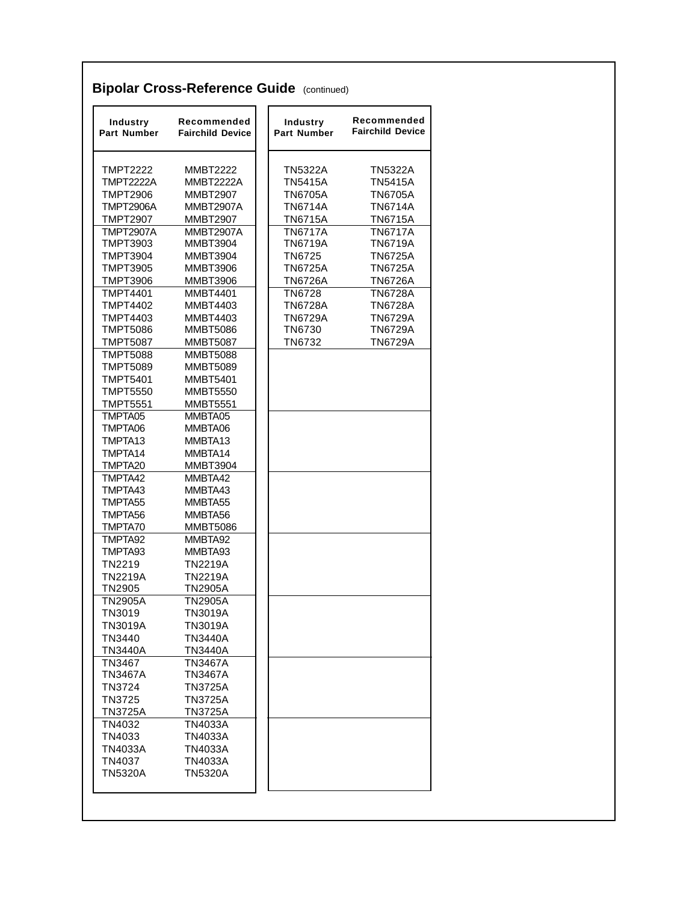| <b>TMPT2222</b><br><b>MMBT2222</b><br><b>TMPT2222A</b><br>MMBT2222A<br><b>TMPT2906</b><br><b>MMBT2907</b><br><b>TMPT2906A</b><br><b>MMBT2907A</b><br><b>TMPT2907</b><br><b>MMBT2907</b><br><b>TMPT2907A</b><br><b>MMBT2907A</b><br><b>TMPT3903</b><br><b>MMBT3904</b><br><b>TMPT3904</b><br><b>MMBT3904</b><br><b>TMPT3905</b><br><b>MMBT3906</b><br>TMPT3906<br><b>MMBT3906</b><br><b>TMPT4401</b><br><b>MMBT4401</b><br><b>TMPT4402</b><br><b>MMBT4403</b><br><b>TMPT4403</b><br><b>MMBT4403</b><br><b>TMPT5086</b><br><b>MMBT5086</b><br>TMPT5087<br><b>MMBT5087</b><br><b>TMPT5088</b><br><b>MMBT5088</b><br><b>TMPT5089</b><br><b>MMBT5089</b><br><b>TMPT5401</b><br><b>MMBT5401</b><br>TMPT5550<br><b>MMBT5550</b><br>TMPT5551<br><b>MMBT5551</b><br>TMPTA05<br>MMBTA05<br>TMPTA06<br>MMBTA06<br>TMPTA13<br>MMBTA13<br>TMPTA14<br>MMBTA14<br>TMPTA <sub>20</sub><br><b>MMBT3904</b><br>TMPTA42<br>MMBTA42<br>TMPTA43<br>MMBTA43<br>TMPTA55<br>MMBTA55<br>TMPTA56<br>MMBTA56<br>TMPTA70<br><b>MMBT5086</b><br>TMPTA92<br>MMBTA92<br>TMPTA93<br>MMBTA93 | <b>TN5322A</b><br><b>TN5415A</b><br><b>TN6705A</b><br><b>TN6714A</b><br><b>TN6715A</b><br><b>TN6717A</b><br><b>TN6719A</b><br>TN6725<br><b>TN6725A</b><br><b>TN6726A</b><br><b>TN6728</b><br><b>TN6728A</b><br><b>TN6729A</b><br>TN6730<br>TN6732 | TN5322A                                                                                                                                                                          |
|-------------------------------------------------------------------------------------------------------------------------------------------------------------------------------------------------------------------------------------------------------------------------------------------------------------------------------------------------------------------------------------------------------------------------------------------------------------------------------------------------------------------------------------------------------------------------------------------------------------------------------------------------------------------------------------------------------------------------------------------------------------------------------------------------------------------------------------------------------------------------------------------------------------------------------------------------------------------------------------------------------------------------------------------------------------|---------------------------------------------------------------------------------------------------------------------------------------------------------------------------------------------------------------------------------------------------|----------------------------------------------------------------------------------------------------------------------------------------------------------------------------------|
|                                                                                                                                                                                                                                                                                                                                                                                                                                                                                                                                                                                                                                                                                                                                                                                                                                                                                                                                                                                                                                                             |                                                                                                                                                                                                                                                   | <b>TN5415A</b><br><b>TN6705A</b>                                                                                                                                                 |
|                                                                                                                                                                                                                                                                                                                                                                                                                                                                                                                                                                                                                                                                                                                                                                                                                                                                                                                                                                                                                                                             |                                                                                                                                                                                                                                                   |                                                                                                                                                                                  |
|                                                                                                                                                                                                                                                                                                                                                                                                                                                                                                                                                                                                                                                                                                                                                                                                                                                                                                                                                                                                                                                             |                                                                                                                                                                                                                                                   | TN6714A                                                                                                                                                                          |
|                                                                                                                                                                                                                                                                                                                                                                                                                                                                                                                                                                                                                                                                                                                                                                                                                                                                                                                                                                                                                                                             |                                                                                                                                                                                                                                                   | <b>TN6715A</b>                                                                                                                                                                   |
|                                                                                                                                                                                                                                                                                                                                                                                                                                                                                                                                                                                                                                                                                                                                                                                                                                                                                                                                                                                                                                                             |                                                                                                                                                                                                                                                   | <b>TN6717A</b><br><b>TN6719A</b><br><b>TN6725A</b><br><b>TN6725A</b><br><b>TN6726A</b><br><b>TN6728A</b><br><b>TN6728A</b><br><b>TN6729A</b><br><b>TN6729A</b><br><b>TN6729A</b> |
|                                                                                                                                                                                                                                                                                                                                                                                                                                                                                                                                                                                                                                                                                                                                                                                                                                                                                                                                                                                                                                                             |                                                                                                                                                                                                                                                   |                                                                                                                                                                                  |
|                                                                                                                                                                                                                                                                                                                                                                                                                                                                                                                                                                                                                                                                                                                                                                                                                                                                                                                                                                                                                                                             |                                                                                                                                                                                                                                                   |                                                                                                                                                                                  |
|                                                                                                                                                                                                                                                                                                                                                                                                                                                                                                                                                                                                                                                                                                                                                                                                                                                                                                                                                                                                                                                             |                                                                                                                                                                                                                                                   |                                                                                                                                                                                  |
|                                                                                                                                                                                                                                                                                                                                                                                                                                                                                                                                                                                                                                                                                                                                                                                                                                                                                                                                                                                                                                                             |                                                                                                                                                                                                                                                   |                                                                                                                                                                                  |
|                                                                                                                                                                                                                                                                                                                                                                                                                                                                                                                                                                                                                                                                                                                                                                                                                                                                                                                                                                                                                                                             |                                                                                                                                                                                                                                                   |                                                                                                                                                                                  |
|                                                                                                                                                                                                                                                                                                                                                                                                                                                                                                                                                                                                                                                                                                                                                                                                                                                                                                                                                                                                                                                             |                                                                                                                                                                                                                                                   |                                                                                                                                                                                  |
|                                                                                                                                                                                                                                                                                                                                                                                                                                                                                                                                                                                                                                                                                                                                                                                                                                                                                                                                                                                                                                                             |                                                                                                                                                                                                                                                   |                                                                                                                                                                                  |
|                                                                                                                                                                                                                                                                                                                                                                                                                                                                                                                                                                                                                                                                                                                                                                                                                                                                                                                                                                                                                                                             |                                                                                                                                                                                                                                                   |                                                                                                                                                                                  |
|                                                                                                                                                                                                                                                                                                                                                                                                                                                                                                                                                                                                                                                                                                                                                                                                                                                                                                                                                                                                                                                             |                                                                                                                                                                                                                                                   |                                                                                                                                                                                  |
|                                                                                                                                                                                                                                                                                                                                                                                                                                                                                                                                                                                                                                                                                                                                                                                                                                                                                                                                                                                                                                                             |                                                                                                                                                                                                                                                   |                                                                                                                                                                                  |
|                                                                                                                                                                                                                                                                                                                                                                                                                                                                                                                                                                                                                                                                                                                                                                                                                                                                                                                                                                                                                                                             |                                                                                                                                                                                                                                                   |                                                                                                                                                                                  |
|                                                                                                                                                                                                                                                                                                                                                                                                                                                                                                                                                                                                                                                                                                                                                                                                                                                                                                                                                                                                                                                             |                                                                                                                                                                                                                                                   |                                                                                                                                                                                  |
|                                                                                                                                                                                                                                                                                                                                                                                                                                                                                                                                                                                                                                                                                                                                                                                                                                                                                                                                                                                                                                                             |                                                                                                                                                                                                                                                   |                                                                                                                                                                                  |
|                                                                                                                                                                                                                                                                                                                                                                                                                                                                                                                                                                                                                                                                                                                                                                                                                                                                                                                                                                                                                                                             |                                                                                                                                                                                                                                                   |                                                                                                                                                                                  |
|                                                                                                                                                                                                                                                                                                                                                                                                                                                                                                                                                                                                                                                                                                                                                                                                                                                                                                                                                                                                                                                             |                                                                                                                                                                                                                                                   |                                                                                                                                                                                  |
|                                                                                                                                                                                                                                                                                                                                                                                                                                                                                                                                                                                                                                                                                                                                                                                                                                                                                                                                                                                                                                                             |                                                                                                                                                                                                                                                   |                                                                                                                                                                                  |
|                                                                                                                                                                                                                                                                                                                                                                                                                                                                                                                                                                                                                                                                                                                                                                                                                                                                                                                                                                                                                                                             |                                                                                                                                                                                                                                                   |                                                                                                                                                                                  |
|                                                                                                                                                                                                                                                                                                                                                                                                                                                                                                                                                                                                                                                                                                                                                                                                                                                                                                                                                                                                                                                             |                                                                                                                                                                                                                                                   |                                                                                                                                                                                  |
|                                                                                                                                                                                                                                                                                                                                                                                                                                                                                                                                                                                                                                                                                                                                                                                                                                                                                                                                                                                                                                                             |                                                                                                                                                                                                                                                   |                                                                                                                                                                                  |
|                                                                                                                                                                                                                                                                                                                                                                                                                                                                                                                                                                                                                                                                                                                                                                                                                                                                                                                                                                                                                                                             |                                                                                                                                                                                                                                                   |                                                                                                                                                                                  |
|                                                                                                                                                                                                                                                                                                                                                                                                                                                                                                                                                                                                                                                                                                                                                                                                                                                                                                                                                                                                                                                             |                                                                                                                                                                                                                                                   |                                                                                                                                                                                  |
|                                                                                                                                                                                                                                                                                                                                                                                                                                                                                                                                                                                                                                                                                                                                                                                                                                                                                                                                                                                                                                                             |                                                                                                                                                                                                                                                   |                                                                                                                                                                                  |
|                                                                                                                                                                                                                                                                                                                                                                                                                                                                                                                                                                                                                                                                                                                                                                                                                                                                                                                                                                                                                                                             |                                                                                                                                                                                                                                                   |                                                                                                                                                                                  |
|                                                                                                                                                                                                                                                                                                                                                                                                                                                                                                                                                                                                                                                                                                                                                                                                                                                                                                                                                                                                                                                             |                                                                                                                                                                                                                                                   |                                                                                                                                                                                  |
|                                                                                                                                                                                                                                                                                                                                                                                                                                                                                                                                                                                                                                                                                                                                                                                                                                                                                                                                                                                                                                                             |                                                                                                                                                                                                                                                   |                                                                                                                                                                                  |
|                                                                                                                                                                                                                                                                                                                                                                                                                                                                                                                                                                                                                                                                                                                                                                                                                                                                                                                                                                                                                                                             |                                                                                                                                                                                                                                                   |                                                                                                                                                                                  |
|                                                                                                                                                                                                                                                                                                                                                                                                                                                                                                                                                                                                                                                                                                                                                                                                                                                                                                                                                                                                                                                             |                                                                                                                                                                                                                                                   |                                                                                                                                                                                  |
| TN2219<br><b>TN2219A</b>                                                                                                                                                                                                                                                                                                                                                                                                                                                                                                                                                                                                                                                                                                                                                                                                                                                                                                                                                                                                                                    |                                                                                                                                                                                                                                                   |                                                                                                                                                                                  |
| <b>TN2219A</b><br><b>TN2219A</b>                                                                                                                                                                                                                                                                                                                                                                                                                                                                                                                                                                                                                                                                                                                                                                                                                                                                                                                                                                                                                            |                                                                                                                                                                                                                                                   |                                                                                                                                                                                  |
| TN2905<br>TN2905A                                                                                                                                                                                                                                                                                                                                                                                                                                                                                                                                                                                                                                                                                                                                                                                                                                                                                                                                                                                                                                           |                                                                                                                                                                                                                                                   |                                                                                                                                                                                  |
| <b>TN2905A</b><br><b>TN2905A</b>                                                                                                                                                                                                                                                                                                                                                                                                                                                                                                                                                                                                                                                                                                                                                                                                                                                                                                                                                                                                                            |                                                                                                                                                                                                                                                   |                                                                                                                                                                                  |
| TN3019<br><b>TN3019A</b>                                                                                                                                                                                                                                                                                                                                                                                                                                                                                                                                                                                                                                                                                                                                                                                                                                                                                                                                                                                                                                    |                                                                                                                                                                                                                                                   |                                                                                                                                                                                  |
| <b>TN3019A</b><br>TN3019A                                                                                                                                                                                                                                                                                                                                                                                                                                                                                                                                                                                                                                                                                                                                                                                                                                                                                                                                                                                                                                   |                                                                                                                                                                                                                                                   |                                                                                                                                                                                  |
| TN3440<br><b>TN3440A</b>                                                                                                                                                                                                                                                                                                                                                                                                                                                                                                                                                                                                                                                                                                                                                                                                                                                                                                                                                                                                                                    |                                                                                                                                                                                                                                                   |                                                                                                                                                                                  |
| <b>TN3440A</b><br><b>TN3440A</b>                                                                                                                                                                                                                                                                                                                                                                                                                                                                                                                                                                                                                                                                                                                                                                                                                                                                                                                                                                                                                            |                                                                                                                                                                                                                                                   |                                                                                                                                                                                  |
| TN3467<br><b>TN3467A</b>                                                                                                                                                                                                                                                                                                                                                                                                                                                                                                                                                                                                                                                                                                                                                                                                                                                                                                                                                                                                                                    |                                                                                                                                                                                                                                                   |                                                                                                                                                                                  |
| TN3467A<br>TN3467A                                                                                                                                                                                                                                                                                                                                                                                                                                                                                                                                                                                                                                                                                                                                                                                                                                                                                                                                                                                                                                          |                                                                                                                                                                                                                                                   |                                                                                                                                                                                  |
| TN3724<br><b>TN3725A</b>                                                                                                                                                                                                                                                                                                                                                                                                                                                                                                                                                                                                                                                                                                                                                                                                                                                                                                                                                                                                                                    |                                                                                                                                                                                                                                                   |                                                                                                                                                                                  |
| TN3725<br><b>TN3725A</b>                                                                                                                                                                                                                                                                                                                                                                                                                                                                                                                                                                                                                                                                                                                                                                                                                                                                                                                                                                                                                                    |                                                                                                                                                                                                                                                   |                                                                                                                                                                                  |
| <b>TN3725A</b><br><b>TN3725A</b>                                                                                                                                                                                                                                                                                                                                                                                                                                                                                                                                                                                                                                                                                                                                                                                                                                                                                                                                                                                                                            |                                                                                                                                                                                                                                                   |                                                                                                                                                                                  |
| TN4032<br>TN4033A                                                                                                                                                                                                                                                                                                                                                                                                                                                                                                                                                                                                                                                                                                                                                                                                                                                                                                                                                                                                                                           |                                                                                                                                                                                                                                                   |                                                                                                                                                                                  |
| TN4033<br>TN4033A                                                                                                                                                                                                                                                                                                                                                                                                                                                                                                                                                                                                                                                                                                                                                                                                                                                                                                                                                                                                                                           |                                                                                                                                                                                                                                                   |                                                                                                                                                                                  |
|                                                                                                                                                                                                                                                                                                                                                                                                                                                                                                                                                                                                                                                                                                                                                                                                                                                                                                                                                                                                                                                             |                                                                                                                                                                                                                                                   |                                                                                                                                                                                  |
| TN4033A<br>TN4033A                                                                                                                                                                                                                                                                                                                                                                                                                                                                                                                                                                                                                                                                                                                                                                                                                                                                                                                                                                                                                                          |                                                                                                                                                                                                                                                   |                                                                                                                                                                                  |
| TN4037<br><b>TN4033A</b><br><b>TN5320A</b><br><b>TN5320A</b>                                                                                                                                                                                                                                                                                                                                                                                                                                                                                                                                                                                                                                                                                                                                                                                                                                                                                                                                                                                                |                                                                                                                                                                                                                                                   |                                                                                                                                                                                  |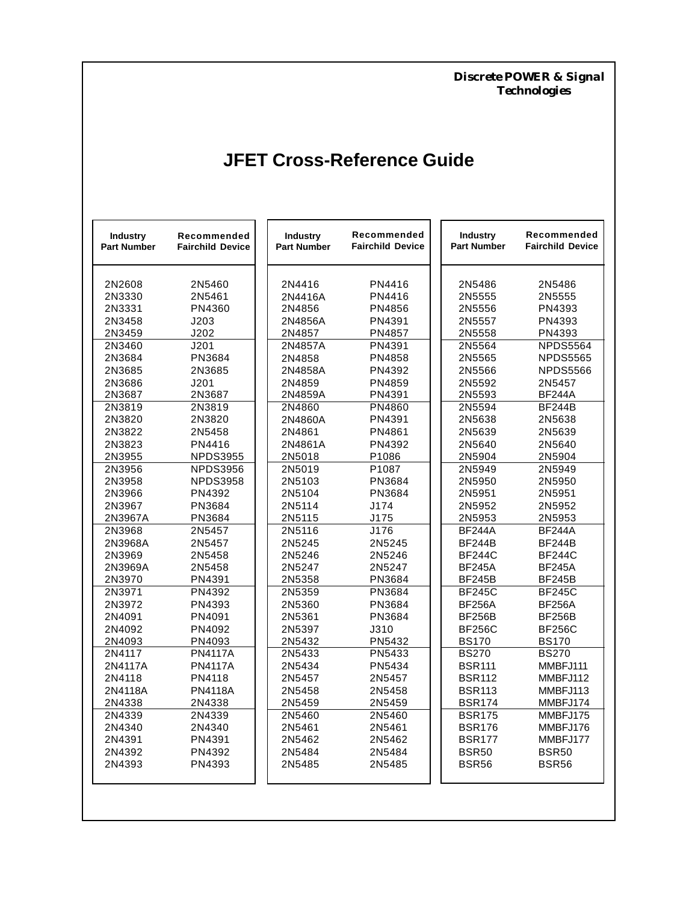*Discrete POWER & Signal Technologies*

# **JFET Cross-Reference Guide**

| <b>Industry</b><br><b>Part Number</b> | Recommended<br><b>Fairchild Device</b> | <b>Industry</b><br><b>Part Number</b> | Recommended<br><b>Fairchild Device</b> | <b>Industry</b><br><b>Part Number</b> | Recommended<br><b>Fairchild Device</b> |
|---------------------------------------|----------------------------------------|---------------------------------------|----------------------------------------|---------------------------------------|----------------------------------------|
| 2N2608                                | 2N5460                                 | 2N4416                                | PN4416                                 | 2N5486                                | 2N5486                                 |
| 2N3330                                | 2N5461                                 | 2N4416A                               | PN4416                                 | 2N5555                                | 2N5555                                 |
| 2N3331                                | PN4360                                 | 2N4856                                | PN4856                                 | 2N5556                                | PN4393                                 |
| 2N3458                                | J203                                   | 2N4856A                               | PN4391                                 | 2N5557                                | PN4393                                 |
| 2N3459                                | J202                                   | 2N4857                                | PN4857                                 | 2N5558                                | PN4393                                 |
| 2N3460                                | J201                                   | 2N4857A                               | PN4391                                 | 2N5564                                | <b>NPDS5564</b>                        |
| 2N3684                                | PN3684                                 | 2N4858                                | PN4858                                 | 2N5565                                | <b>NPDS5565</b>                        |
| 2N3685                                | 2N3685                                 | 2N4858A                               | PN4392                                 | 2N5566                                | <b>NPDS5566</b>                        |
| 2N3686                                | J201                                   | 2N4859                                | PN4859                                 | 2N5592                                | 2N5457                                 |
| 2N3687                                | 2N3687                                 | 2N4859A                               | PN4391                                 | 2N5593                                | <b>BF244A</b>                          |
| 2N3819                                | 2N3819                                 | 2N4860                                | PN4860                                 | 2N5594                                | <b>BF244B</b>                          |
| 2N3820                                | 2N3820                                 | 2N4860A                               | PN4391                                 | 2N5638                                | 2N5638                                 |
| 2N3822                                | 2N5458                                 | 2N4861                                | PN4861                                 | 2N5639                                | 2N5639                                 |
| 2N3823                                | PN4416                                 | 2N4861A                               | PN4392                                 | 2N5640                                | 2N5640                                 |
| 2N3955<br>2N3956                      | <b>NPDS3955</b><br><b>NPDS3956</b>     | 2N5018<br>2N5019                      | P1086<br>P <sub>1087</sub>             | 2N5904<br>2N5949                      | 2N5904<br>2N5949                       |
| 2N3958                                | <b>NPDS3958</b>                        | 2N5103                                | PN3684                                 | 2N5950                                |                                        |
| 2N3966                                | PN4392                                 | 2N5104                                | PN3684                                 | 2N5951                                | 2N5950<br>2N5951                       |
| 2N3967                                | PN3684                                 | 2N5114                                | J174                                   | 2N5952                                | 2N5952                                 |
| 2N3967A                               | PN3684                                 | 2N5115                                | J175                                   | 2N5953                                | 2N5953                                 |
| 2N3968                                | 2N5457                                 | 2N5116                                | J176                                   | <b>BF244A</b>                         | <b>BF244A</b>                          |
| 2N3968A                               | 2N5457                                 | 2N5245                                | 2N5245                                 | <b>BF244B</b>                         | <b>BF244B</b>                          |
| 2N3969                                | 2N5458                                 | 2N5246                                | 2N5246                                 | <b>BF244C</b>                         | <b>BF244C</b>                          |
| 2N3969A                               | 2N5458                                 | 2N5247                                | 2N5247                                 | <b>BF245A</b>                         | <b>BF245A</b>                          |
| 2N3970                                | PN4391                                 | 2N5358                                | PN3684                                 | <b>BF245B</b>                         | <b>BF245B</b>                          |
| 2N3971                                | PN4392                                 | 2N5359                                | PN3684                                 | <b>BF245C</b>                         | <b>BF245C</b>                          |
| 2N3972                                | PN4393                                 | 2N5360                                | PN3684                                 | <b>BF256A</b>                         | <b>BF256A</b>                          |
| 2N4091                                | PN4091                                 | 2N5361                                | PN3684                                 | <b>BF256B</b>                         | <b>BF256B</b>                          |
| 2N4092                                | PN4092                                 | 2N5397                                | J310                                   | <b>BF256C</b>                         | <b>BF256C</b>                          |
| 2N4093                                | PN4093                                 | 2N5432                                | PN5432                                 | <b>BS170</b>                          | <b>BS170</b>                           |
| 2N4117                                | <b>PN4117A</b>                         | 2N5433                                | PN5433                                 | <b>BS270</b>                          | <b>BS270</b>                           |
| 2N4117A                               | <b>PN4117A</b>                         | 2N5434                                | PN5434                                 | <b>BSR111</b>                         | MMBFJ111                               |
| 2N4118                                | PN4118                                 | 2N5457                                | 2N5457                                 | <b>BSR112</b>                         | MMBFJ112                               |
| 2N4118A                               | <b>PN4118A</b>                         | 2N5458                                | 2N5458                                 | <b>BSR113</b>                         | MMBFJ113                               |
| 2N4338                                | 2N4338                                 | 2N5459                                | 2N5459                                 | <b>BSR174</b>                         | MMBFJ174                               |
| 2N4339                                | 2N4339                                 | 2N5460                                | 2N5460                                 | <b>BSR175</b>                         | MMBFJ175                               |
| 2N4340                                | 2N4340                                 | 2N5461                                | 2N5461                                 | <b>BSR176</b>                         | MMBFJ176                               |
| 2N4391                                | PN4391                                 | 2N5462                                | 2N5462                                 | <b>BSR177</b>                         | MMBFJ177                               |
| 2N4392                                | PN4392                                 | 2N5484                                | 2N5484                                 | BSR50                                 | BSR <sub>50</sub>                      |
| 2N4393                                | PN4393                                 | 2N5485                                | 2N5485                                 | <b>BSR56</b>                          | <b>BSR56</b>                           |
|                                       |                                        |                                       |                                        |                                       |                                        |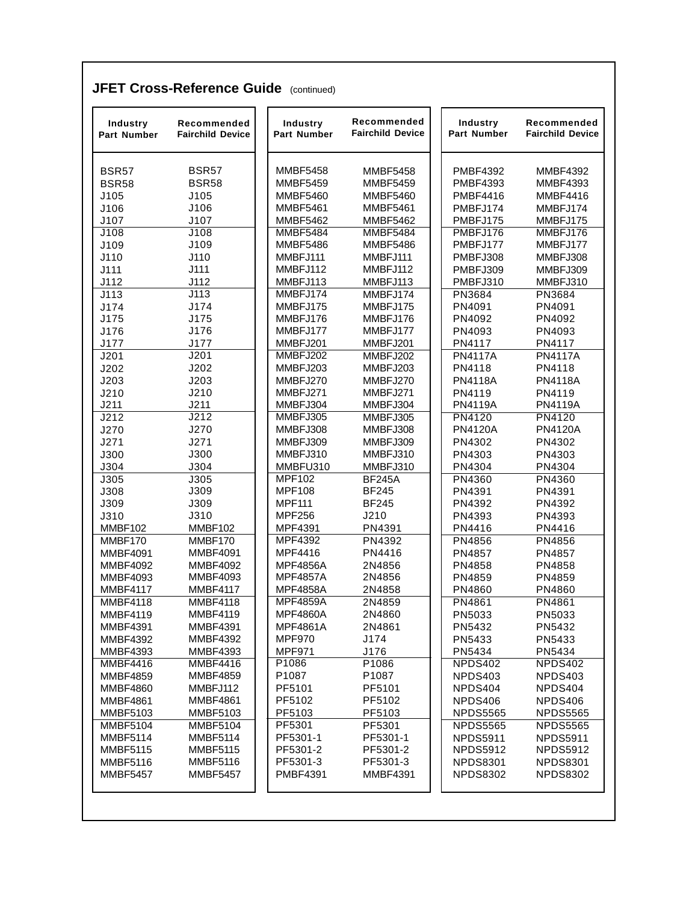#### **JFET Cross-Reference Guide** (continued)

| Industry<br><b>Part Number</b> | Recommended<br><b>Fairchild Device</b> | Industry<br><b>Part Number</b> | Recommended<br><b>Fairchild Device</b> | Industry<br>Part Number | Recommended<br><b>Fairchild Device</b> |
|--------------------------------|----------------------------------------|--------------------------------|----------------------------------------|-------------------------|----------------------------------------|
| <b>BSR57</b>                   | <b>BSR57</b>                           | <b>MMBF5458</b>                | <b>MMBF5458</b>                        | <b>PMBF4392</b>         | MMBF4392                               |
| <b>BSR58</b>                   | <b>BSR58</b>                           | <b>MMBF5459</b>                | <b>MMBF5459</b>                        | <b>PMBF4393</b>         | <b>MMBF4393</b>                        |
| J105                           | J105                                   | <b>MMBF5460</b>                | <b>MMBF5460</b>                        | <b>PMBF4416</b>         | <b>MMBF4416</b>                        |
| J106                           | J106                                   | <b>MMBF5461</b>                | <b>MMBF5461</b>                        | PMBFJ174                | MMBFJ174                               |
| J107                           | J107                                   | <b>MMBF5462</b>                | <b>MMBF5462</b>                        | PMBFJ175                | MMBFJ175                               |
| J108                           | $\overline{J108}$                      | <b>MMBF5484</b>                | <b>MMBF5484</b>                        | PMBFJ176                | MMBFJ176                               |
| J109                           | J109                                   | <b>MMBF5486</b>                | <b>MMBF5486</b>                        | PMBFJ177                | MMBFJ177                               |
| J110                           | J110                                   | MMBFJ111                       | MMBFJ111                               | PMBFJ308                | MMBFJ308                               |
| J111                           | J111                                   | MMBFJ112                       | MMBFJ112                               | PMBFJ309                | MMBFJ309                               |
| J112                           | J112                                   | MMBFJ113                       | MMBFJ113                               | PMBFJ310                | MMBFJ310                               |
| J113                           | J113                                   | MMBFJ174                       | MMBFJ174                               | PN3684                  | PN3684                                 |
| J174                           | J174                                   | MMBFJ175                       | MMBFJ175                               | PN4091                  | PN4091                                 |
| J175                           | J175                                   | MMBFJ176                       | MMBFJ176                               | PN4092                  | PN4092                                 |
| J176                           | J176                                   | MMBFJ177                       | MMBFJ177                               | PN4093                  | PN4093                                 |
| J177                           | J177                                   | MMBFJ201                       | MMBFJ201                               | PN4117                  | PN4117                                 |
| J201                           | J201                                   | MMBFJ202                       | MMBFJ202                               | <b>PN4117A</b>          | <b>PN4117A</b>                         |
| J202                           | J202                                   | MMBFJ203                       | MMBFJ203                               | PN4118                  | PN4118                                 |
| J203                           | J203                                   | MMBFJ270                       | MMBFJ270                               | <b>PN4118A</b>          | <b>PN4118A</b>                         |
| J210                           | J210                                   | MMBFJ271                       | MMBFJ271                               | PN4119                  | PN4119                                 |
| J211                           | J211                                   | MMBFJ304                       | MMBFJ304                               | <b>PN4119A</b>          | <b>PN4119A</b>                         |
| J212                           | J212                                   | MMBFJ305                       | MMBFJ305                               | <b>PN4120</b>           | <b>PN4120</b>                          |
| J270                           | J270                                   | MMBFJ308                       | MMBFJ308                               | <b>PN4120A</b>          | <b>PN4120A</b>                         |
| J271                           | J271                                   | MMBFJ309                       | MMBFJ309                               | PN4302                  | PN4302                                 |
| J300                           | J300                                   | MMBFJ310                       | MMBFJ310                               | PN4303                  | PN4303                                 |
| J304                           | J304                                   | MMBFU310                       | MMBFJ310                               | PN4304                  | PN4304                                 |
| J305                           | J305                                   | <b>MPF102</b>                  | <b>BF245A</b>                          | <b>PN4360</b>           | <b>PN4360</b>                          |
| J308                           | J309                                   | <b>MPF108</b><br><b>MPF111</b> | <b>BF245</b><br><b>BF245</b>           | PN4391                  | PN4391                                 |
| J309<br>J310                   | J309<br>J310                           | <b>MPF256</b>                  | J210                                   | PN4392<br>PN4393        | PN4392<br>PN4393                       |
| MMBF102                        | MMBF102                                | MPF4391                        | PN4391                                 | PN4416                  | PN4416                                 |
| MMBF170                        | MMBF170                                | MPF4392                        | PN4392                                 | PN4856                  | PN4856                                 |
| <b>MMBF4091</b>                | <b>MMBF4091</b>                        | MPF4416                        | PN4416                                 | PN4857                  | PN4857                                 |
| MMBF4092                       | <b>MMBF4092</b>                        | <b>MPF4856A</b>                | 2N4856                                 | PN4858                  | PN4858                                 |
| <b>MMBF4093</b>                | <b>MMBF4093</b>                        | <b>MPF4857A</b>                | 2N4856                                 | PN4859                  | PN4859                                 |
| <b>MMBF4117</b>                | <b>MMBF4117</b>                        | <b>MPF4858A</b>                | 2N4858                                 | PN4860                  | PN4860                                 |
| <b>MMBF4118</b>                | <b>MMBF4118</b>                        | <b>MPF4859A</b>                | 2N4859                                 | PN4861                  | PN4861                                 |
| MMBF4119                       | MMBF4119                               | MPF4860A                       | 2N4860                                 | PN5033                  | PN5033                                 |
| <b>MMBF4391</b>                | <b>MMBF4391</b>                        | MPF4861A                       | 2N4861                                 | PN5432                  | PN5432                                 |
| <b>MMBF4392</b>                | <b>MMBF4392</b>                        | <b>MPF970</b>                  | J174                                   | PN5433                  | PN5433                                 |
| <b>MMBF4393</b>                | <b>MMBF4393</b>                        | <b>MPF971</b>                  | J176                                   | PN5434                  | PN5434                                 |
| <b>MMBF4416</b>                | <b>MMBF4416</b>                        | P1086                          | P1086                                  | NPDS402                 | NPDS402                                |
| <b>MMBF4859</b>                | <b>MMBF4859</b>                        | P1087                          | P1087                                  | NPDS403                 | NPDS403                                |
| <b>MMBF4860</b>                | MMBFJ112                               | PF5101                         | PF5101                                 | NPDS404                 | NPDS404                                |
| <b>MMBF4861</b>                | <b>MMBF4861</b>                        | PF5102                         | PF5102                                 | NPDS406                 | NPDS406                                |
| <b>MMBF5103</b>                | <b>MMBF5103</b>                        | PF5103                         | PF5103                                 | <b>NPDS5565</b>         | <b>NPDS5565</b>                        |
| <b>MMBF5104</b>                | <b>MMBF5104</b>                        | PF5301                         | PF5301                                 | <b>NPDS5565</b>         | <b>NPDS5565</b>                        |
| <b>MMBF5114</b>                | <b>MMBF5114</b>                        | PF5301-1                       | PF5301-1                               | <b>NPDS5911</b>         | <b>NPDS5911</b>                        |
| <b>MMBF5115</b>                | <b>MMBF5115</b>                        | PF5301-2                       | PF5301-2                               | <b>NPDS5912</b>         | <b>NPDS5912</b>                        |
| <b>MMBF5116</b>                | <b>MMBF5116</b>                        | PF5301-3                       | PF5301-3                               | <b>NPDS8301</b>         | <b>NPDS8301</b>                        |
| <b>MMBF5457</b>                | <b>MMBF5457</b>                        | <b>PMBF4391</b>                | <b>MMBF4391</b>                        | <b>NPDS8302</b>         | <b>NPDS8302</b>                        |
|                                |                                        |                                |                                        |                         |                                        |